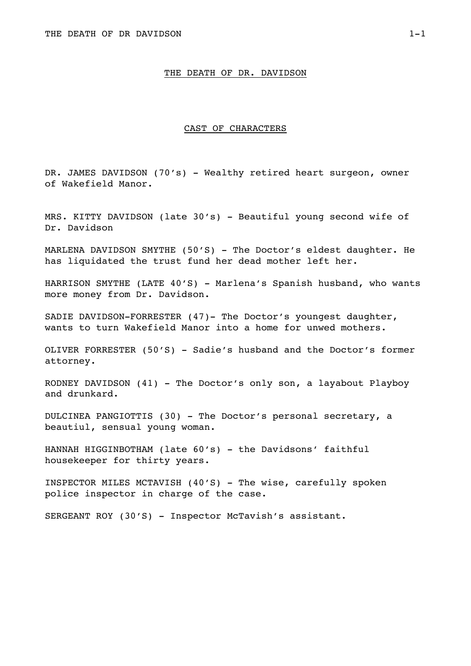#### THE DEATH OF DR. DAVIDSON

#### CAST OF CHARACTERS

DR. JAMES DAVIDSON (70's) - Wealthy retired heart surgeon, owner of Wakefield Manor.

MRS. KITTY DAVIDSON (late 30's) - Beautiful young second wife of Dr. Davidson

MARLENA DAVIDSON SMYTHE  $(50'S)$  - The Doctor's eldest daughter. He has liquidated the trust fund her dead mother left her.

HARRISON SMYTHE (LATE 40'S) - Marlena's Spanish husband, who wants more money from Dr. Davidson.

SADIE DAVIDSON-FORRESTER (47)- The Doctor's youngest daughter, wants to turn Wakefield Manor into a home for unwed mothers.

OLIVER FORRESTER (50'S) - Sadie's husband and the Doctor's former attorney.

RODNEY DAVIDSON (41) - The Doctor's only son, a layabout Playboy and drunkard.

DULCINEA PANGIOTTIS (30) - The Doctor's personal secretary, a beautiul, sensual young woman.

HANNAH HIGGINBOTHAM (late 60's) - the Davidsons' faithful housekeeper for thirty years.

INSPECTOR MILES MCTAVISH (40'S) - The wise, carefully spoken police inspector in charge of the case.

SERGEANT ROY (30'S) - Inspector McTavish's assistant.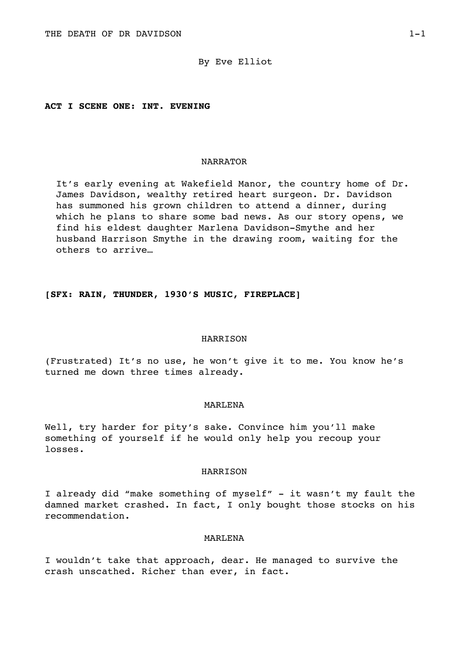### By Eve Elliot

### **ACT I SCENE ONE: INT. EVENING**

#### NARRATOR

It's early evening at Wakefield Manor, the country home of Dr. James Davidson, wealthy retired heart surgeon. Dr. Davidson has summoned his grown children to attend a dinner, during which he plans to share some bad news. As our story opens, we find his eldest daughter Marlena Davidson-Smythe and her husband Harrison Smythe in the drawing room, waiting for the others to arrive…

## **[SFX: RAIN, THUNDER, 1930'S MUSIC, FIREPLACE]**

#### HARRISON

(Frustrated) It's no use, he won't give it to me. You know he's turned me down three times already.

## MARLENA

Well, try harder for pity's sake. Convince him you'll make something of yourself if he would only help you recoup your losses.

### HARRISON

I already did "make something of myself" - it wasn't my fault the damned market crashed. In fact, I only bought those stocks on his recommendation.

#### MARLENA

I wouldn't take that approach, dear. He managed to survive the crash unscathed. Richer than ever, in fact.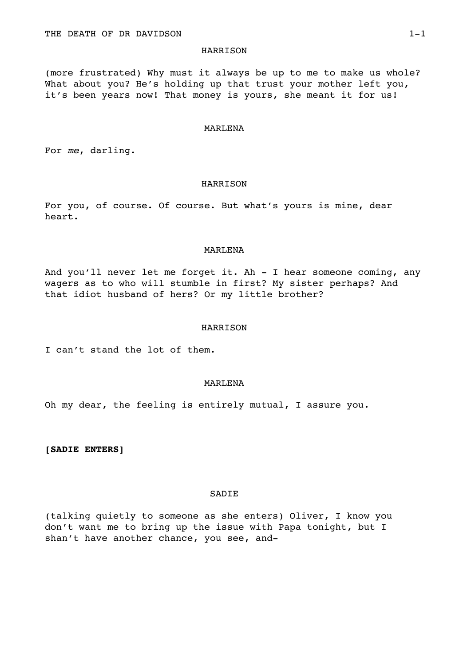#### **HARRISON**

(more frustrated) Why must it always be up to me to make us whole? What about you? He's holding up that trust your mother left you, it's been years now! That money is yours, she meant it for us!

### MARLENA

For *me*, darling.

#### HARRISON

For you, of course. Of course. But what's yours is mine, dear heart.

#### MARLENA

And you'll never let me forget it. Ah - I hear someone coming, any wagers as to who will stumble in first? My sister perhaps? And that idiot husband of hers? Or my little brother?

## HARRISON

I can't stand the lot of them.

## MARLENA

Oh my dear, the feeling is entirely mutual, I assure you.

**[SADIE ENTERS]** 

#### **SADIE**

(talking quietly to someone as she enters) Oliver, I know you don't want me to bring up the issue with Papa tonight, but I shan't have another chance, you see, and-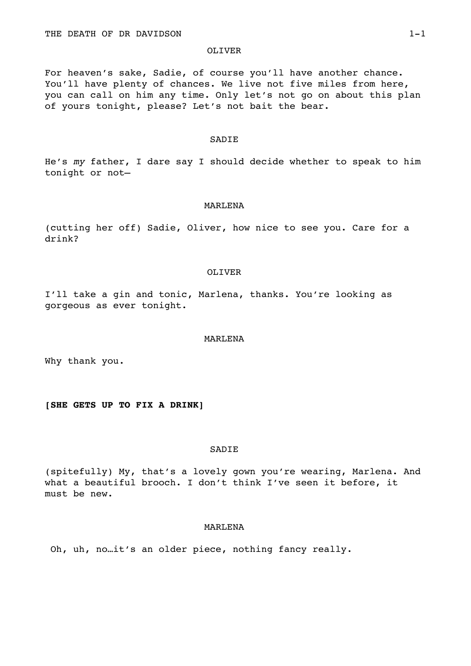#### OLIVER

For heaven's sake, Sadie, of course you'll have another chance. You'll have plenty of chances. We live not five miles from here, you can call on him any time. Only let's not go on about this plan of yours tonight, please? Let's not bait the bear.

#### SADIE

He's *my* father, I dare say I should decide whether to speak to him tonight or not—

### MARLENA

(cutting her off) Sadie, Oliver, how nice to see you. Care for a drink?

#### OLIVER

I'll take a gin and tonic, Marlena, thanks. You're looking as gorgeous as ever tonight.

#### MARLENA

Why thank you.

### **[SHE GETS UP TO FIX A DRINK]**

### SADIE

(spitefully) My, that's a lovely gown you're wearing, Marlena. And what a beautiful brooch. I don't think I've seen it before, it must be new.

### MARLENA

Oh, uh, no…it's an older piece, nothing fancy really.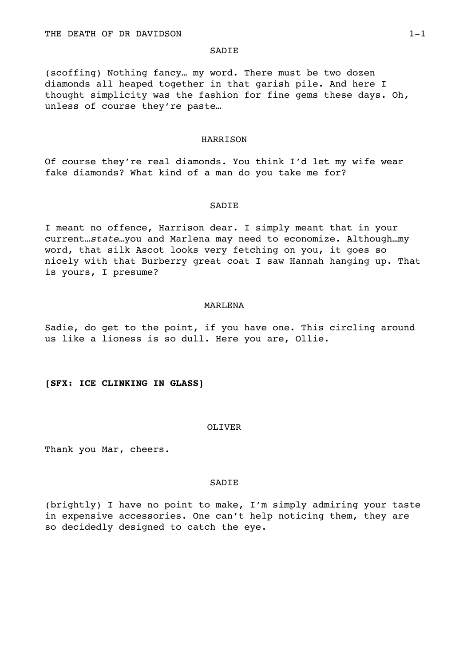### **SADIE**

(scoffing) Nothing fancy… my word. There must be two dozen diamonds all heaped together in that garish pile. And here I thought simplicity was the fashion for fine gems these days. Oh, unless of course they're paste…

#### HARRISON

Of course they're real diamonds. You think I'd let my wife wear fake diamonds? What kind of a man do you take me for?

### SADIE

I meant no offence, Harrison dear. I simply meant that in your current…*state…*you and Marlena may need to economize. Although…my word, that silk Ascot looks very fetching on you, it goes so nicely with that Burberry great coat I saw Hannah hanging up. That is yours, I presume?

#### MARLENA

Sadie, do get to the point, if you have one. This circling around us like a lioness is so dull. Here you are, Ollie.

#### **[SFX: ICE CLINKING IN GLASS]**

#### OLIVER

Thank you Mar, cheers.

#### SADIE

(brightly) I have no point to make, I'm simply admiring your taste in expensive accessories. One can't help noticing them, they are so decidedly designed to catch the eye.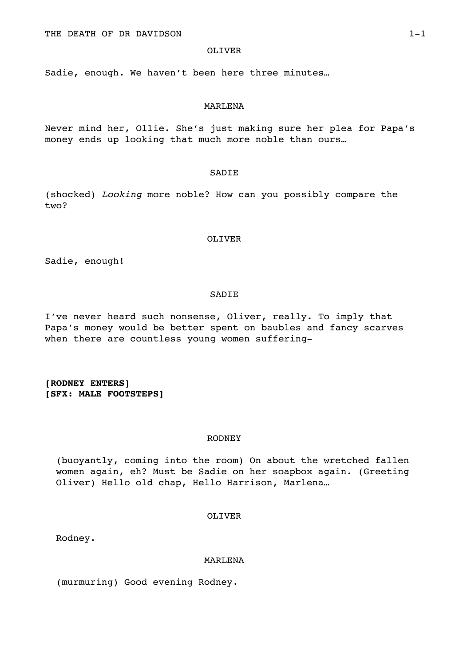## OLIVER

Sadie, enough. We haven't been here three minutes…

#### MARLENA

Never mind her, Ollie. She's just making sure her plea for Papa's money ends up looking that much more noble than ours…

#### SADIE

(shocked) *Looking* more noble? How can you possibly compare the two?

### OLIVER

Sadie, enough!

### SADIE

I've never heard such nonsense, Oliver, really. To imply that Papa's money would be better spent on baubles and fancy scarves when there are countless young women suffering-

**[RODNEY ENTERS] [SFX: MALE FOOTSTEPS]** 

## RODNEY

(buoyantly, coming into the room) On about the wretched fallen women again, eh? Must be Sadie on her soapbox again. (Greeting Oliver) Hello old chap, Hello Harrison, Marlena…

## OLIVER

Rodney.

#### MARLENA

(murmuring) Good evening Rodney.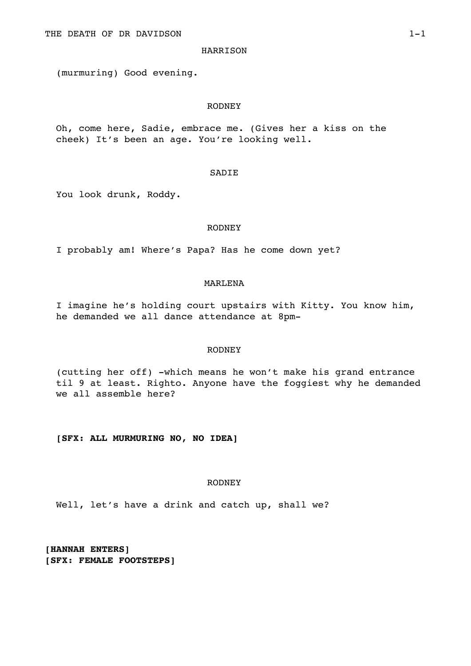### **HARRISON**

(murmuring) Good evening.

## RODNEY

Oh, come here, Sadie, embrace me. (Gives her a kiss on the cheek) It's been an age. You're looking well.

#### SADIE

You look drunk, Roddy.

### RODNEY

I probably am! Where's Papa? Has he come down yet?

#### MARLENA

I imagine he's holding court upstairs with Kitty. You know him, he demanded we all dance attendance at 8pm-

## RODNEY

(cutting her off) -which means he won't make his grand entrance til 9 at least. Righto. Anyone have the foggiest why he demanded we all assemble here?

**[SFX: ALL MURMURING NO, NO IDEA]** 

## RODNEY

Well, let's have a drink and catch up, shall we?

**[HANNAH ENTERS] [SFX: FEMALE FOOTSTEPS]**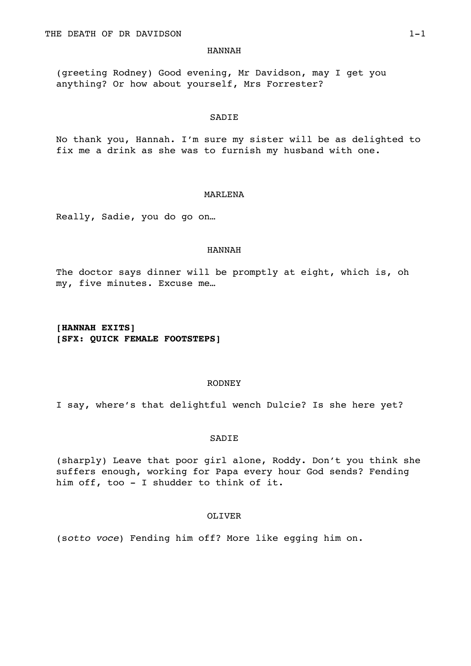#### HANNAH

(greeting Rodney) Good evening, Mr Davidson, may I get you anything? Or how about yourself, Mrs Forrester?

#### SADIE

No thank you, Hannah. I'm sure my sister will be as delighted to fix me a drink as she was to furnish my husband with one.

#### MARLENA

Really, Sadie, you do go on…

#### HANNAH

The doctor says dinner will be promptly at eight, which is, oh my, five minutes. Excuse me…

**[HANNAH EXITS] [SFX: QUICK FEMALE FOOTSTEPS]** 

#### RODNEY

I say, where's that delightful wench Dulcie? Is she here yet?

## **SADIE**

(sharply) Leave that poor girl alone, Roddy. Don't you think she suffers enough, working for Papa every hour God sends? Fending him off, too - I shudder to think of it.

# OLIVER

(s*otto voce*) Fending him off? More like egging him on.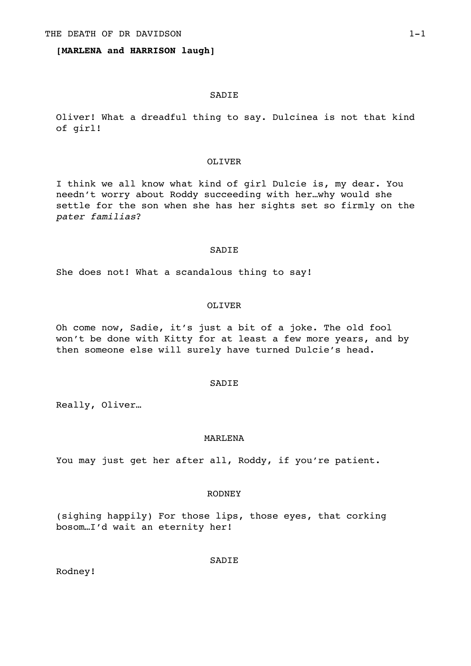### **[MARLENA and HARRISON laugh]**

### SADIE

Oliver! What a dreadful thing to say. Dulcinea is not that kind of girl!

#### OLIVER

I think we all know what kind of girl Dulcie is, my dear. You needn't worry about Roddy succeeding with her…why would she settle for the son when she has her sights set so firmly on the *pater familias*?

#### SADIE

She does not! What a scandalous thing to say!

#### OLIVER

Oh come now, Sadie, it's just a bit of a joke. The old fool won't be done with Kitty for at least a few more years, and by then someone else will surely have turned Dulcie's head.

#### SADIE

Really, Oliver…

## MARLENA

You may just get her after all, Roddy, if you're patient.

#### RODNEY

(sighing happily) For those lips, those eyes, that corking bosom…I'd wait an eternity her!

Rodney!

**SADIE**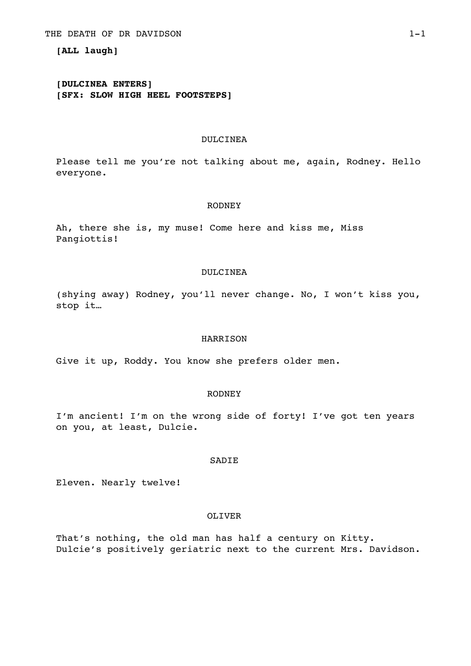## **[ALL laugh]**

# **[DULCINEA ENTERS] [SFX: SLOW HIGH HEEL FOOTSTEPS]**

#### DULCINEA

Please tell me you're not talking about me, again, Rodney. Hello everyone.

#### RODNEY

Ah, there she is, my muse! Come here and kiss me, Miss Pangiottis!

### DULCINEA

(shying away) Rodney, you'll never change. No, I won't kiss you, stop it…

### HARRISON

Give it up, Roddy. You know she prefers older men.

# RODNEY

I'm ancient! I'm on the wrong side of forty! I've got ten years on you, at least, Dulcie.

### **SADIE**

Eleven. Nearly twelve!

## OLIVER

That's nothing, the old man has half a century on Kitty. Dulcie's positively geriatric next to the current Mrs. Davidson.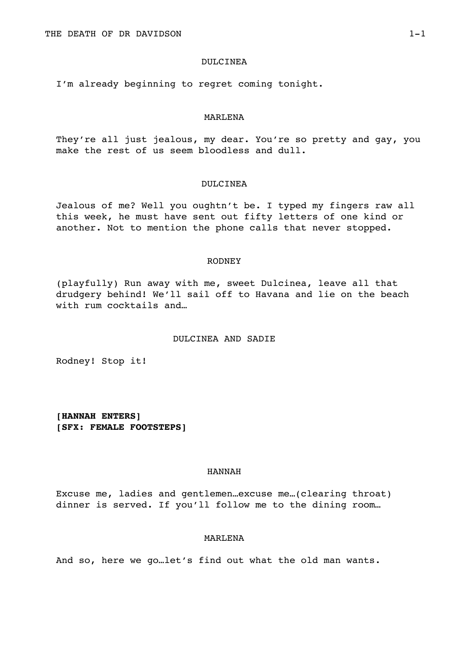#### DULCINEA

I'm already beginning to regret coming tonight.

#### MARLENA

They're all just jealous, my dear. You're so pretty and gay, you make the rest of us seem bloodless and dull.

#### DULCINEA

Jealous of me? Well you oughtn't be. I typed my fingers raw all this week, he must have sent out fifty letters of one kind or another. Not to mention the phone calls that never stopped.

#### RODNEY

(playfully) Run away with me, sweet Dulcinea, leave all that drudgery behind! We'll sail off to Havana and lie on the beach with rum cocktails and…

## DULCINEA AND SADIE

Rodney! Stop it!

**[HANNAH ENTERS] [SFX: FEMALE FOOTSTEPS]** 

## HANNAH

Excuse me, ladies and gentlemen…excuse me…(clearing throat) dinner is served. If you'll follow me to the dining room…

### MARLENA

And so, here we go…let's find out what the old man wants.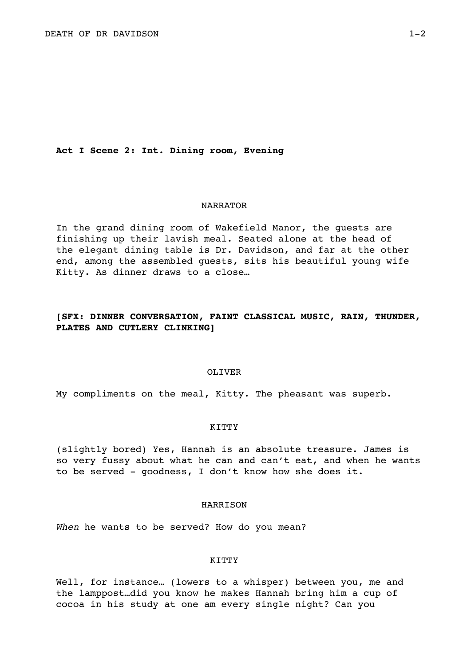**Act I Scene 2: Int. Dining room, Evening** 

#### NARRATOR

In the grand dining room of Wakefield Manor, the guests are finishing up their lavish meal. Seated alone at the head of the elegant dining table is Dr. Davidson, and far at the other end, among the assembled guests, sits his beautiful young wife Kitty. As dinner draws to a close…

# **[SFX: DINNER CONVERSATION, FAINT CLASSICAL MUSIC, RAIN, THUNDER, PLATES AND CUTLERY CLINKING]**

#### OLIVER

My compliments on the meal, Kitty. The pheasant was superb.

#### **KTTTY**

(slightly bored) Yes, Hannah is an absolute treasure. James is so very fussy about what he can and can't eat, and when he wants to be served - goodness, I don't know how she does it.

### HARRISON

*When* he wants to be served? How do you mean?

#### **KITTY**

Well, for instance... (lowers to a whisper) between you, me and the lamppost…did you know he makes Hannah bring him a cup of cocoa in his study at one am every single night? Can you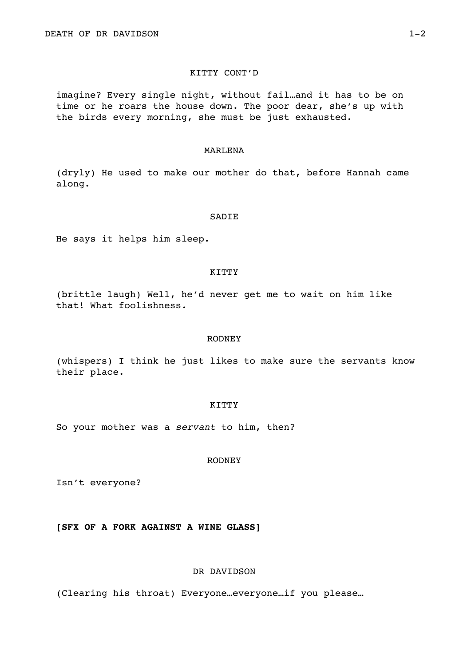## KITTY CONT'D

imagine? Every single night, without fail…and it has to be on time or he roars the house down. The poor dear, she's up with the birds every morning, she must be just exhausted.

### MARLENA

(dryly) He used to make our mother do that, before Hannah came along.

### **SADIE**

He says it helps him sleep.

#### KITTY

(brittle laugh) Well, he'd never get me to wait on him like that! What foolishness.

### RODNEY

(whispers) I think he just likes to make sure the servants know their place.

## KITTY

So your mother was a *servant* to him, then?

### RODNEY

Isn't everyone?

## **[SFX OF A FORK AGAINST A WINE GLASS]**

## DR DAVIDSON

(Clearing his throat) Everyone…everyone…if you please…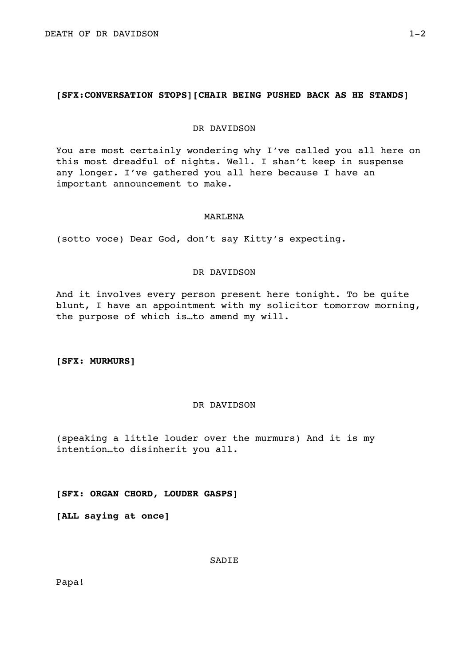## **[SFX:CONVERSATION STOPS][CHAIR BEING PUSHED BACK AS HE STANDS]**

### DR DAVIDSON

You are most certainly wondering why I've called you all here on this most dreadful of nights. Well. I shan't keep in suspense any longer. I've gathered you all here because I have an important announcement to make.

### MARLENA

(sotto voce) Dear God, don't say Kitty's expecting.

## DR DAVIDSON

And it involves every person present here tonight. To be quite blunt, I have an appointment with my solicitor tomorrow morning, the purpose of which is…to amend my will.

**[SFX: MURMURS]** 

# DR DAVIDSON

(speaking a little louder over the murmurs) And it is my intention…to disinherit you all.

**[SFX: ORGAN CHORD, LOUDER GASPS]** 

**[ALL saying at once]** 

**SADIE** 

Papa!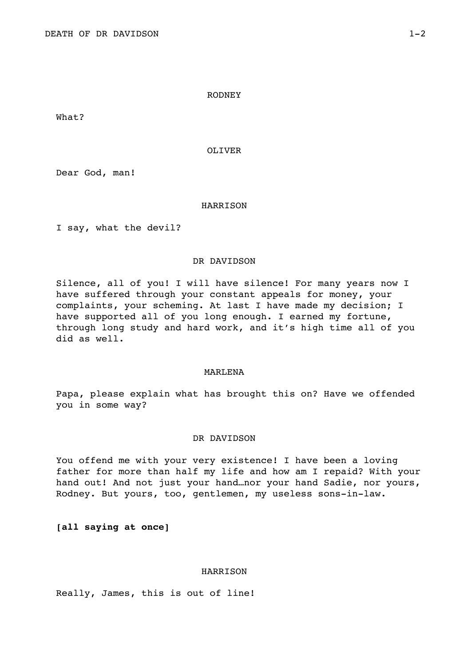#### RODNEY

What?

OLIVER

Dear God, man!

#### HARRISON

I say, what the devil?

### DR DAVIDSON

Silence, all of you! I will have silence! For many years now I have suffered through your constant appeals for money, your complaints, your scheming. At last I have made my decision; I have supported all of you long enough. I earned my fortune, through long study and hard work, and it's high time all of you did as well.

### MARLENA

Papa, please explain what has brought this on? Have we offended you in some way?

## DR DAVIDSON

You offend me with your very existence! I have been a loving father for more than half my life and how am I repaid? With your hand out! And not just your hand…nor your hand Sadie, nor yours, Rodney. But yours, too, gentlemen, my useless sons-in-law.

**[all saying at once]** 

### HARRISON

Really, James, this is out of line!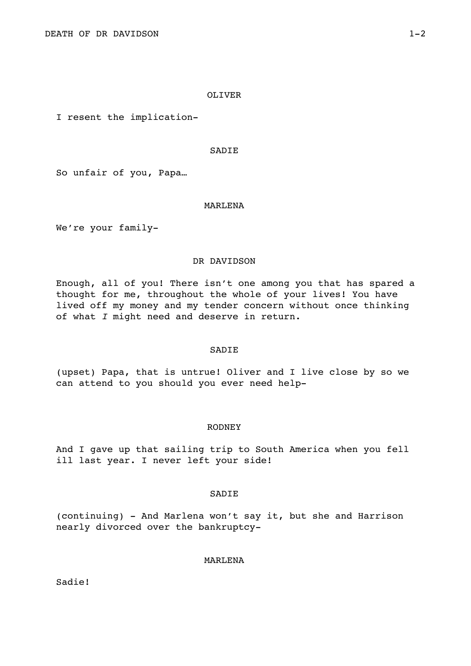### OLIVER

I resent the implication-

### SADIE

So unfair of you, Papa…

### MARLENA

We're your family-

## DR DAVIDSON

Enough, all of you! There isn't one among you that has spared a thought for me, throughout the whole of your lives! You have lived off my money and my tender concern without once thinking of what *I* might need and deserve in return.

## SADIE

(upset) Papa, that is untrue! Oliver and I live close by so we can attend to you should you ever need help-

#### RODNEY

And I gave up that sailing trip to South America when you fell ill last year. I never left your side!

### **SADIE**

(continuing) - And Marlena won't say it, but she and Harrison nearly divorced over the bankruptcy-

## MARLENA

Sadie!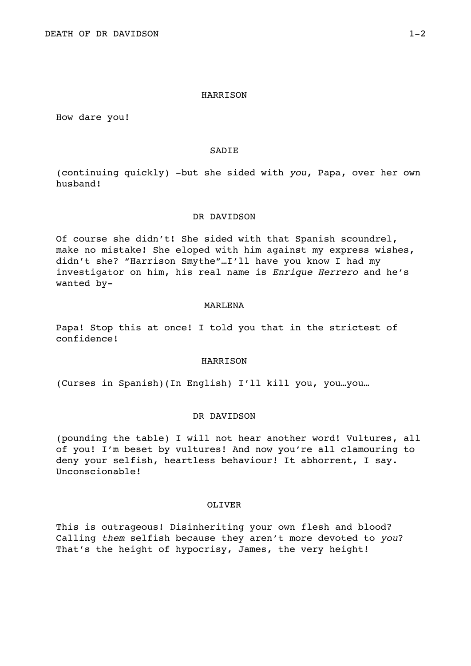### HARRISON

How dare you!

## SADIE

(continuing quickly) -but she sided with *you*, Papa, over her own husband!

#### DR DAVIDSON

Of course she didn't! She sided with that Spanish scoundrel, make no mistake! She eloped with him against my express wishes, didn't she? "Harrison Smythe"…I'll have you know I had my investigator on him, his real name is *Enrique Herrero* and he's wanted by-

#### MARLENA

Papa! Stop this at once! I told you that in the strictest of confidence!

### **HARRISON**

(Curses in Spanish)(In English) I'll kill you, you…you…

#### DR DAVIDSON

(pounding the table) I will not hear another word! Vultures, all of you! I'm beset by vultures! And now you're all clamouring to deny your selfish, heartless behaviour! It abhorrent, I say. Unconscionable!

### OLIVER

This is outrageous! Disinheriting your own flesh and blood? Calling *them* selfish because they aren't more devoted to *you*? That's the height of hypocrisy, James, the very height!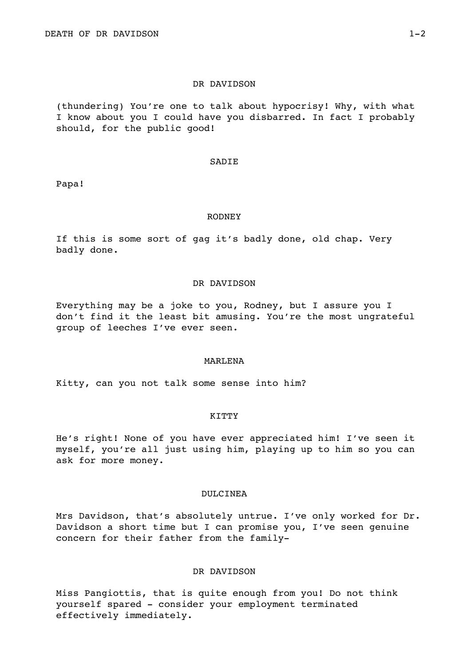#### DR DAVIDSON

(thundering) You're one to talk about hypocrisy! Why, with what I know about you I could have you disbarred. In fact I probably should, for the public good!

#### SADIE

Papa!

#### RODNEY

If this is some sort of gag it's badly done, old chap. Very badly done.

### DR DAVIDSON

Everything may be a joke to you, Rodney, but I assure you I don't find it the least bit amusing. You're the most ungrateful group of leeches I've ever seen.

## MARLENA

Kitty, can you not talk some sense into him?

#### KITTY

He's right! None of you have ever appreciated him! I've seen it myself, you're all just using him, playing up to him so you can ask for more money.

### DULCINEA

Mrs Davidson, that's absolutely untrue. I've only worked for Dr. Davidson a short time but I can promise you, I've seen genuine concern for their father from the family-

## DR DAVIDSON

Miss Pangiottis, that is quite enough from you! Do not think yourself spared - consider your employment terminated effectively immediately.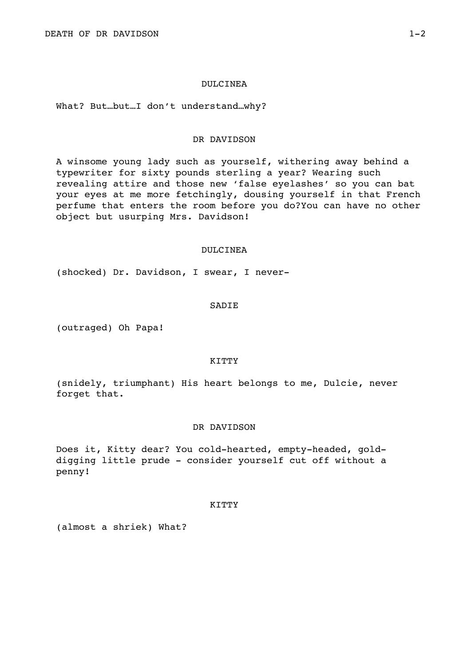#### DULCINEA

What? But…but…I don't understand…why?

### DR DAVIDSON

A winsome young lady such as yourself, withering away behind a typewriter for sixty pounds sterling a year? Wearing such revealing attire and those new 'false eyelashes' so you can bat your eyes at me more fetchingly, dousing yourself in that French perfume that enters the room before you do?You can have no other object but usurping Mrs. Davidson!

#### DULCINEA

(shocked) Dr. Davidson, I swear, I never-

#### SADIE

(outraged) Oh Papa!

## **KITTY**

(snidely, triumphant) His heart belongs to me, Dulcie, never forget that.

#### DR DAVIDSON

Does it, Kitty dear? You cold-hearted, empty-headed, golddigging little prude - consider yourself cut off without a penny!

### KITTY

(almost a shriek) What?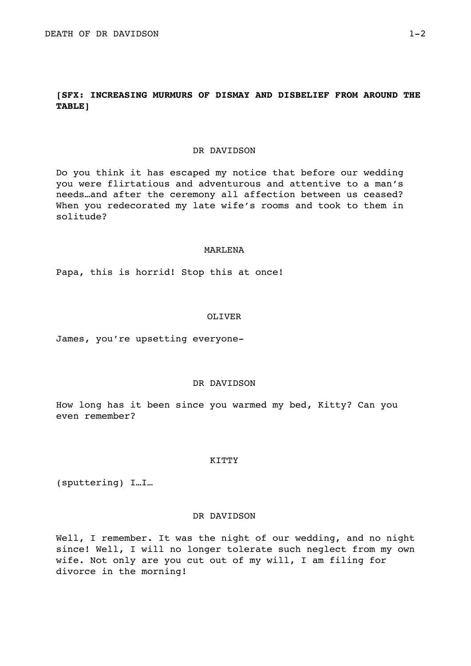# **[SFX: INCREASING MURMURS OF DISMAY AND DISBELIEF FROM AROUND THE TABLE]**

#### DR DAVIDSON

Do you think it has escaped my notice that before our wedding you were flirtatious and adventurous and attentive to a man's needs…and after the ceremony all affection between us ceased? When you redecorated my late wife's rooms and took to them in solitude?

#### MARLENA

Papa, this is horrid! Stop this at once!

#### OLIVER

James, you're upsetting everyone-

#### DR DAVIDSON

How long has it been since you warmed my bed, Kitty? Can you even remember?

#### **KTTTY**

(sputtering) I…I…

## DR DAVIDSON

Well, I remember. It was the night of our wedding, and no night since! Well, I will no longer tolerate such neglect from my own wife. Not only are you cut out of my will, I am filing for divorce in the morning!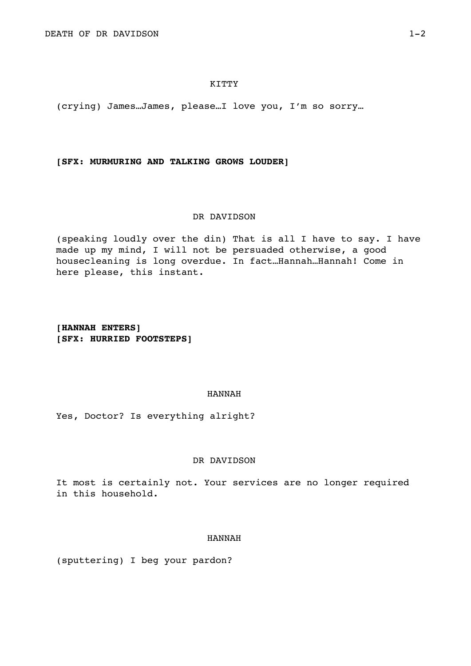(crying) James…James, please…I love you, I'm so sorry…

## **[SFX: MURMURING AND TALKING GROWS LOUDER]**

## DR DAVIDSON

(speaking loudly over the din) That is all I have to say. I have made up my mind, I will not be persuaded otherwise, a good housecleaning is long overdue. In fact…Hannah…Hannah! Come in here please, this instant.

**[HANNAH ENTERS] [SFX: HURRIED FOOTSTEPS]** 

# HANNAH

Yes, Doctor? Is everything alright?

### DR DAVIDSON

It most is certainly not. Your services are no longer required in this household.

### HANNAH

(sputtering) I beg your pardon?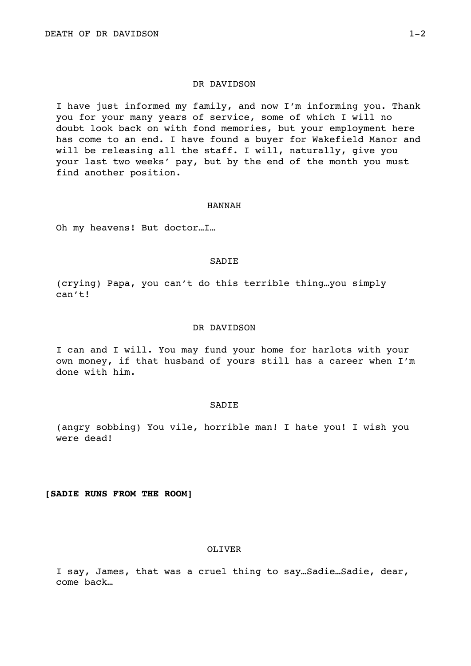#### DR DAVIDSON

I have just informed my family, and now I'm informing you. Thank you for your many years of service, some of which I will no doubt look back on with fond memories, but your employment here has come to an end. I have found a buyer for Wakefield Manor and will be releasing all the staff. I will, naturally, give you your last two weeks' pay, but by the end of the month you must find another position.

### HANNAH

Oh my heavens! But doctor…I…

#### SADIE

(crying) Papa, you can't do this terrible thing…you simply can't!

### DR DAVIDSON

I can and I will. You may fund your home for harlots with your own money, if that husband of yours still has a career when I'm done with him.

#### SADIE

(angry sobbing) You vile, horrible man! I hate you! I wish you were dead!

**[SADIE RUNS FROM THE ROOM]** 

## OLIVER

I say, James, that was a cruel thing to say…Sadie…Sadie, dear, come back…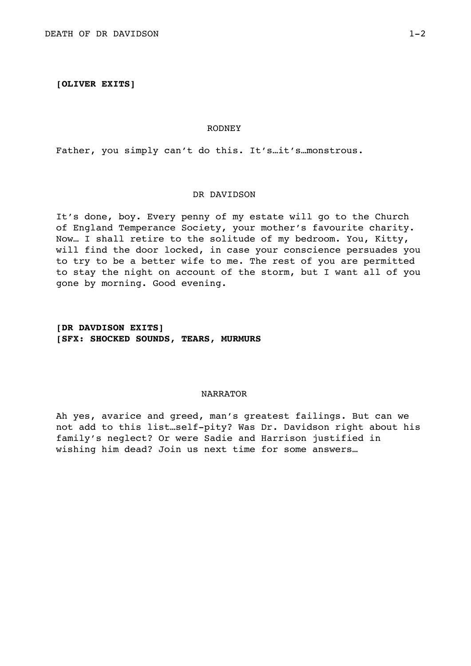### **[OLIVER EXITS]**

#### RODNEY

Father, you simply can't do this. It's…it's…monstrous.

#### DR DAVIDSON

It's done, boy. Every penny of my estate will go to the Church of England Temperance Society, your mother's favourite charity. Now… I shall retire to the solitude of my bedroom. You, Kitty, will find the door locked, in case your conscience persuades you to try to be a better wife to me. The rest of you are permitted to stay the night on account of the storm, but I want all of you gone by morning. Good evening.

# **[DR DAVDISON EXITS] [SFX: SHOCKED SOUNDS, TEARS, MURMURS**

## NARRATOR

Ah yes, avarice and greed, man's greatest failings. But can we not add to this list…self-pity? Was Dr. Davidson right about his family's neglect? Or were Sadie and Harrison justified in wishing him dead? Join us next time for some answers…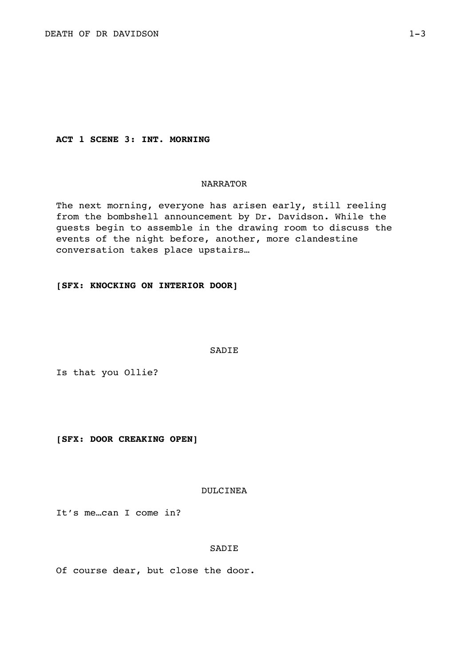**ACT 1 SCENE 3: INT. MORNING** 

# NARRATOR

The next morning, everyone has arisen early, still reeling from the bombshell announcement by Dr. Davidson. While the guests begin to assemble in the drawing room to discuss the events of the night before, another, more clandestine conversation takes place upstairs…

**[SFX: KNOCKING ON INTERIOR DOOR]** 

SADIE

Is that you Ollie?

**[SFX: DOOR CREAKING OPEN]** 

### DULCINEA

It's me…can I come in?

#### SADIE

Of course dear, but close the door.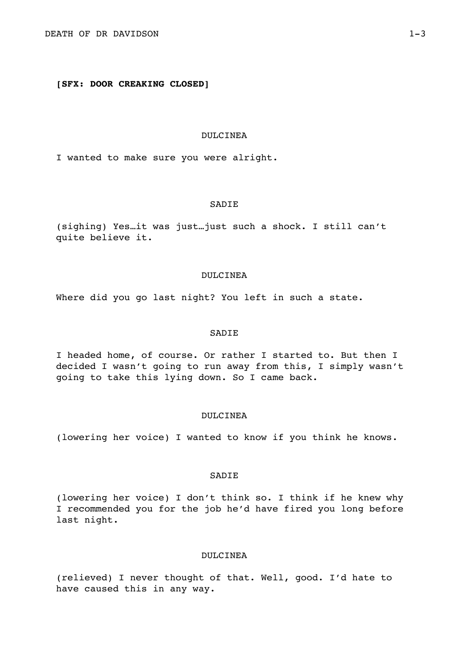# **[SFX: DOOR CREAKING CLOSED]**

### DULCINEA

I wanted to make sure you were alright.

### SADIE

(sighing) Yes…it was just…just such a shock. I still can't quite believe it.

### DULCINEA

Where did you go last night? You left in such a state.

## SADIE

I headed home, of course. Or rather I started to. But then I decided I wasn't going to run away from this, I simply wasn't going to take this lying down. So I came back.

#### DULCINEA

(lowering her voice) I wanted to know if you think he knows.

## **SADIE**

(lowering her voice) I don't think so. I think if he knew why I recommended you for the job he'd have fired you long before last night.

## DULCINEA

(relieved) I never thought of that. Well, good. I'd hate to have caused this in any way.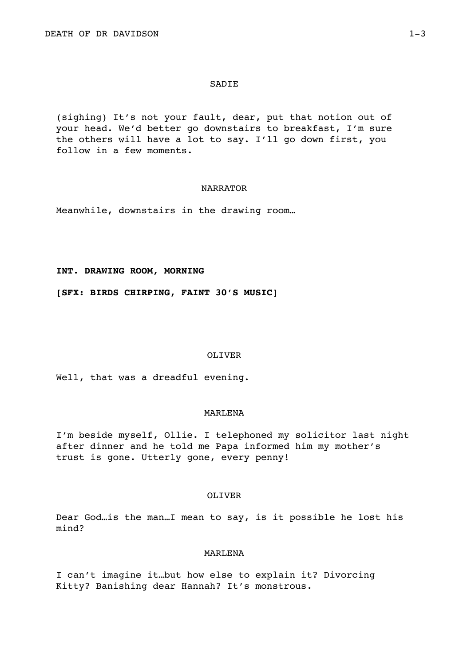### **SADIE**

(sighing) It's not your fault, dear, put that notion out of your head. We'd better go downstairs to breakfast, I'm sure the others will have a lot to say. I'll go down first, you follow in a few moments.

### NARRATOR

Meanwhile, downstairs in the drawing room…

#### **INT. DRAWING ROOM, MORNING**

**[SFX: BIRDS CHIRPING, FAINT 30'S MUSIC]** 

#### OLIVER

Well, that was a dreadful evening.

### MARLENA

I'm beside myself, Ollie. I telephoned my solicitor last night after dinner and he told me Papa informed him my mother's trust is gone. Utterly gone, every penny!

### OLIVER

Dear God…is the man…I mean to say, is it possible he lost his mind?

### MARLENA

I can't imagine it…but how else to explain it? Divorcing Kitty? Banishing dear Hannah? It's monstrous.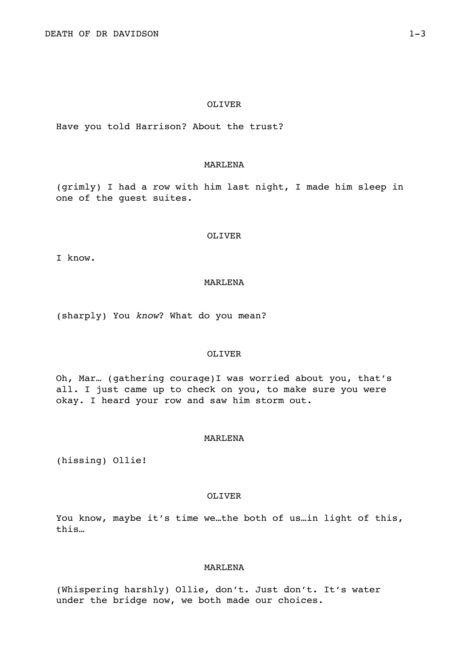### OLIVER

Have you told Harrison? About the trust?

## MARLENA

(grimly) I had a row with him last night, I made him sleep in one of the guest suites.

#### OLIVER

I know.

## MARLENA

(sharply) You *know*? What do you mean?

## OLIVER

Oh, Mar… (gathering courage)I was worried about you, that's all. I just came up to check on you, to make sure you were okay. I heard your row and saw him storm out.

## MARLENA

(hissing) Ollie!

#### OLIVER

You know, maybe it's time we…the both of us…in light of this, this…

## MARLENA

(Whispering harshly) Ollie, don't. Just don't. It's water under the bridge now, we both made our choices.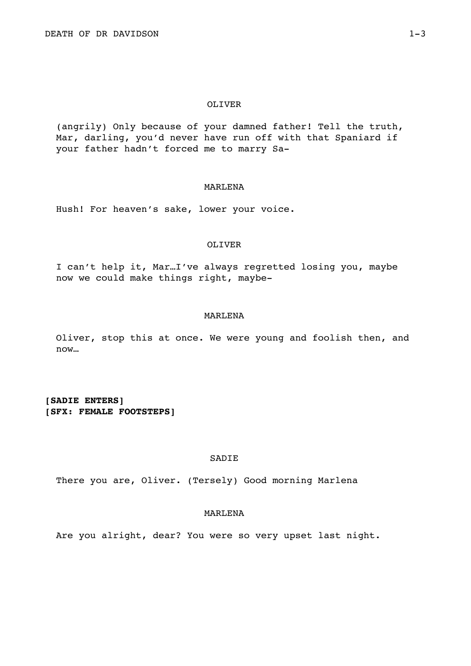#### OLIVER

(angrily) Only because of your damned father! Tell the truth, Mar, darling, you'd never have run off with that Spaniard if your father hadn't forced me to marry Sa-

## MARLENA

Hush! For heaven's sake, lower your voice.

#### OLIVER

I can't help it, Mar…I've always regretted losing you, maybe now we could make things right, maybe-

### MARLENA

Oliver, stop this at once. We were young and foolish then, and now…

**[SADIE ENTERS] [SFX: FEMALE FOOTSTEPS]** 

**SADIE** 

There you are, Oliver. (Tersely) Good morning Marlena

### MARLENA

Are you alright, dear? You were so very upset last night.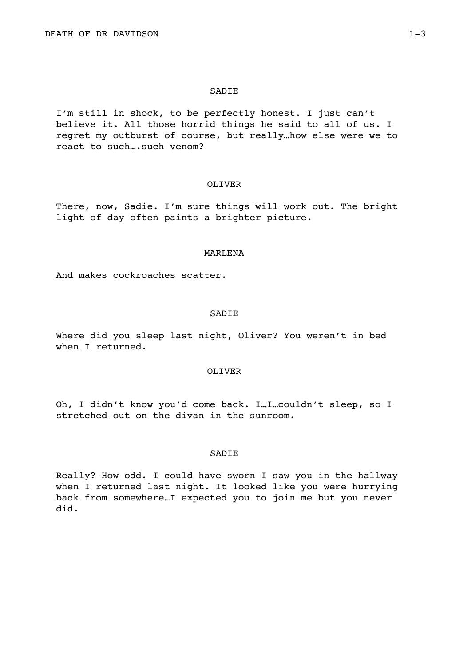#### SADIE

I'm still in shock, to be perfectly honest. I just can't believe it. All those horrid things he said to all of us. I regret my outburst of course, but really…how else were we to react to such....such venom?

#### OLIVER

There, now, Sadie. I'm sure things will work out. The bright light of day often paints a brighter picture.

#### MARLENA

And makes cockroaches scatter.

#### SADIE

Where did you sleep last night, Oliver? You weren't in bed when I returned.

#### OLIVER

Oh, I didn't know you'd come back. I…I…couldn't sleep, so I stretched out on the divan in the sunroom.

### **SADIE**

Really? How odd. I could have sworn I saw you in the hallway when I returned last night. It looked like you were hurrying back from somewhere…I expected you to join me but you never did.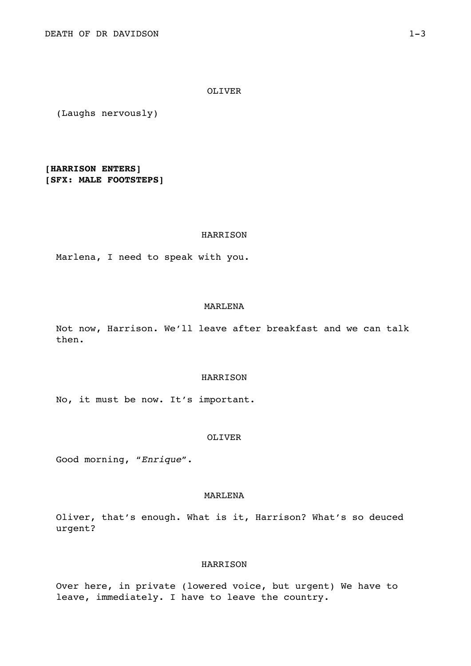OLIVER

(Laughs nervously)

**[HARRISON ENTERS] [SFX: MALE FOOTSTEPS]** 

#### HARRISON

Marlena, I need to speak with you.

#### MARLENA

Not now, Harrison. We'll leave after breakfast and we can talk then.

#### **HARRISON**

No, it must be now. It's important.

## OLIVER

Good morning, "*Enrique*".

### MARLENA

Oliver, that's enough. What is it, Harrison? What's so deuced urgent?

### HARRISON

Over here, in private (lowered voice, but urgent) We have to leave, immediately. I have to leave the country.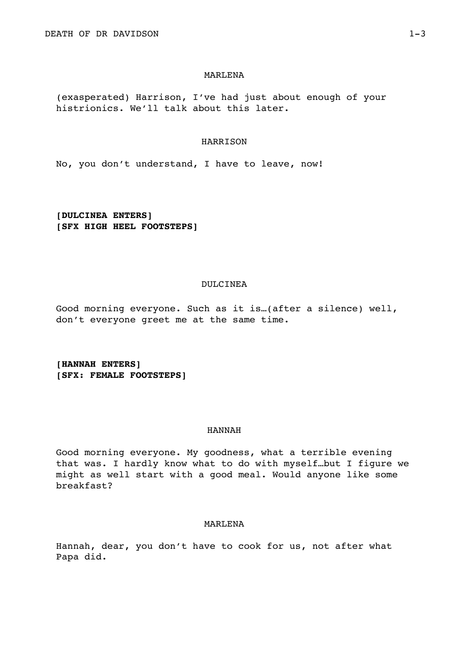#### MARLENA

(exasperated) Harrison, I've had just about enough of your histrionics. We'll talk about this later.

### HARRISON

No, you don't understand, I have to leave, now!

**[DULCINEA ENTERS] [SFX HIGH HEEL FOOTSTEPS]** 

### DULCINEA

Good morning everyone. Such as it is…(after a silence) well, don't everyone greet me at the same time.

**[HANNAH ENTERS] [SFX: FEMALE FOOTSTEPS]** 

### HANNAH

Good morning everyone. My goodness, what a terrible evening that was. I hardly know what to do with myself…but I figure we might as well start with a good meal. Would anyone like some breakfast?

### MARLENA

Hannah, dear, you don't have to cook for us, not after what Papa did.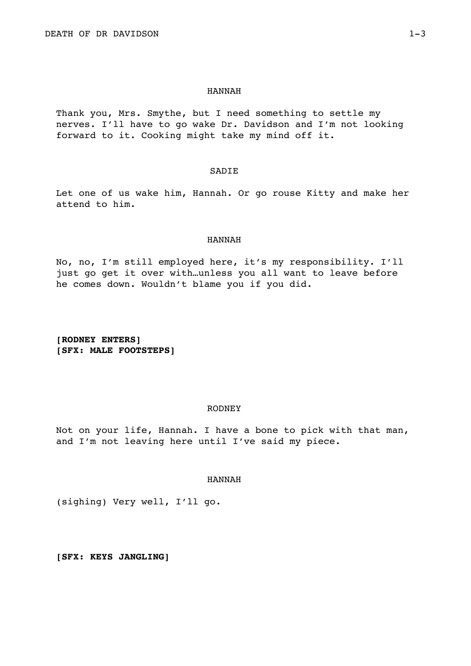#### HANNAH

Thank you, Mrs. Smythe, but I need something to settle my nerves. I'll have to go wake Dr. Davidson and I'm not looking forward to it. Cooking might take my mind off it.

### SADIE

Let one of us wake him, Hannah. Or go rouse Kitty and make her attend to him.

#### HANNAH

No, no, I'm still employed here, it's my responsibility. I'll just go get it over with…unless you all want to leave before he comes down. Wouldn't blame you if you did.

**[RODNEY ENTERS] [SFX: MALE FOOTSTEPS]** 

#### RODNEY

Not on your life, Hannah. I have a bone to pick with that man, and I'm not leaving here until I've said my piece.

#### HANNAH

(sighing) Very well, I'll go.

**[SFX: KEYS JANGLING]**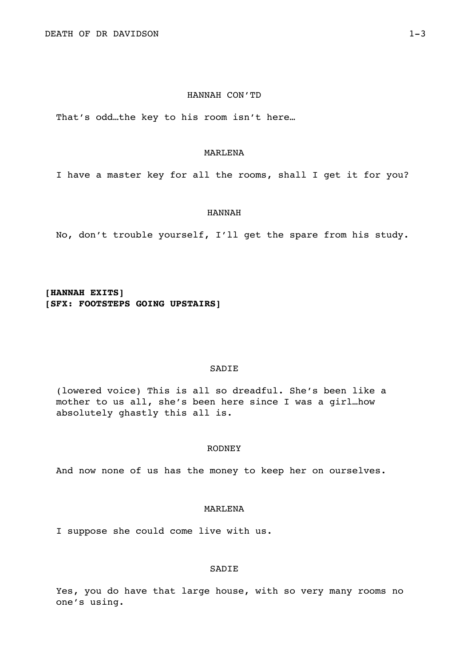### HANNAH CON'TD

That's odd…the key to his room isn't here…

## MARLENA

I have a master key for all the rooms, shall I get it for you?

#### HANNAH

No, don't trouble yourself, I'll get the spare from his study.

**[HANNAH EXITS] [SFX: FOOTSTEPS GOING UPSTAIRS]** 

### SADIE

(lowered voice) This is all so dreadful. She's been like a mother to us all, she's been here since I was a girl…how absolutely ghastly this all is.

### RODNEY

And now none of us has the money to keep her on ourselves.

### MARLENA

I suppose she could come live with us.

## SADIE

Yes, you do have that large house, with so very many rooms no one's using.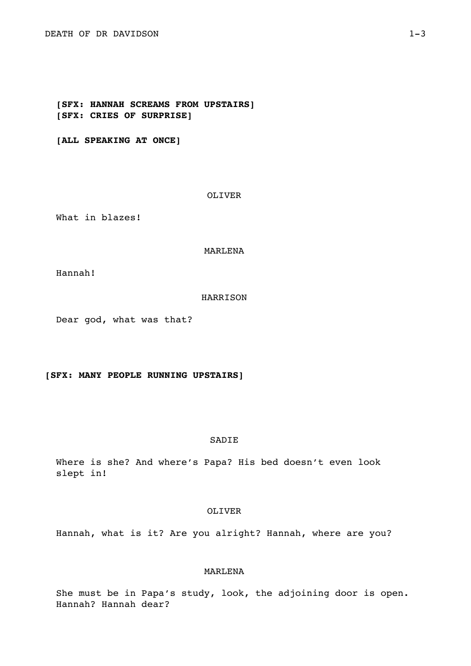**[SFX: HANNAH SCREAMS FROM UPSTAIRS] [SFX: CRIES OF SURPRISE]** 

**[ALL SPEAKING AT ONCE]** 

OLIVER

What in blazes!

MARLENA

Hannah!

HARRISON

Dear god, what was that?

**[SFX: MANY PEOPLE RUNNING UPSTAIRS]** 

### SADIE

Where is she? And where's Papa? His bed doesn't even look slept in!

## OLIVER

Hannah, what is it? Are you alright? Hannah, where are you?

# MARLENA

She must be in Papa's study, look, the adjoining door is open. Hannah? Hannah dear?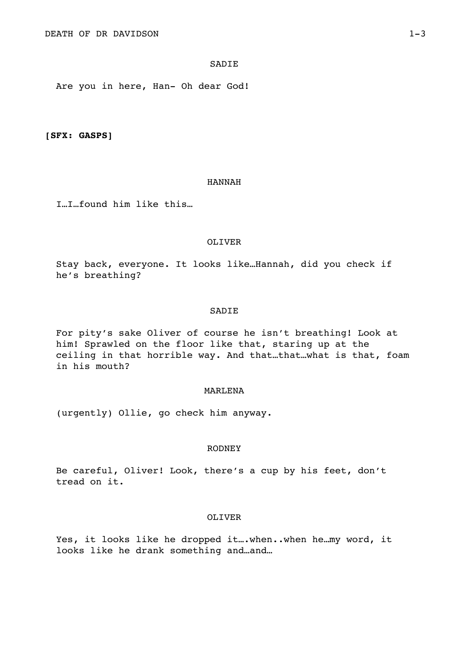## SADIE

Are you in here, Han- Oh dear God!

**[SFX: GASPS]** 

### HANNAH

I…I…found him like this…

### OLIVER

Stay back, everyone. It looks like…Hannah, did you check if he's breathing?

### SADIE

For pity's sake Oliver of course he isn't breathing! Look at him! Sprawled on the floor like that, staring up at the ceiling in that horrible way. And that…that…what is that, foam in his mouth?

#### MARLENA

(urgently) Ollie, go check him anyway.

#### RODNEY

Be careful, Oliver! Look, there's a cup by his feet, don't tread on it.

### OLIVER

Yes, it looks like he dropped it….when..when he…my word, it looks like he drank something and…and…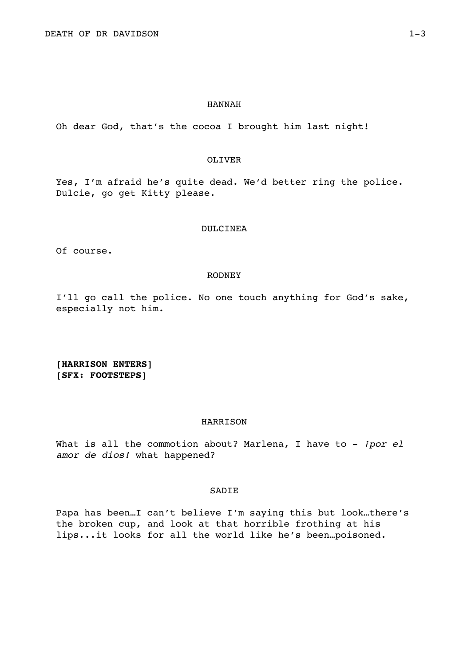### HANNAH

Oh dear God, that's the cocoa I brought him last night!

## OLIVER

Yes, I'm afraid he's quite dead. We'd better ring the police. Dulcie, go get Kitty please.

### DULCINEA

Of course.

#### RODNEY

I'll go call the police. No one touch anything for God's sake, especially not him.

**[HARRISON ENTERS] [SFX: FOOTSTEPS]** 

### HARRISON

What is all the commotion about? Marlena, I have to - *ipor el amor de dios!* what happened?

### SADIE

Papa has been…I can't believe I'm saying this but look…there's the broken cup, and look at that horrible frothing at his lips...it looks for all the world like he's been…poisoned.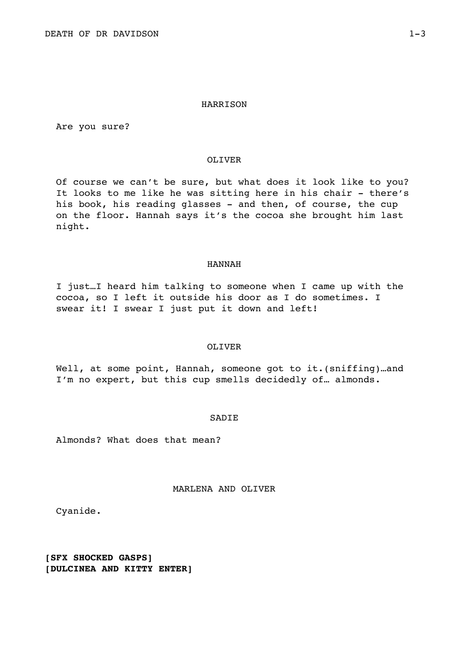Are you sure?

# OLIVER

Of course we can't be sure, but what does it look like to you? It looks to me like he was sitting here in his chair - there's his book, his reading glasses - and then, of course, the cup on the floor. Hannah says it's the cocoa she brought him last night.

# HANNAH

I just…I heard him talking to someone when I came up with the cocoa, so I left it outside his door as I do sometimes. I swear it! I swear I just put it down and left!

### OLIVER

Well, at some point, Hannah, someone got to it.(sniffing)...and I'm no expert, but this cup smells decidedly of… almonds.

### SADIE

Almonds? What does that mean?

# MARLENA AND OLIVER

Cyanide.

**[SFX SHOCKED GASPS] [DULCINEA AND KITTY ENTER]**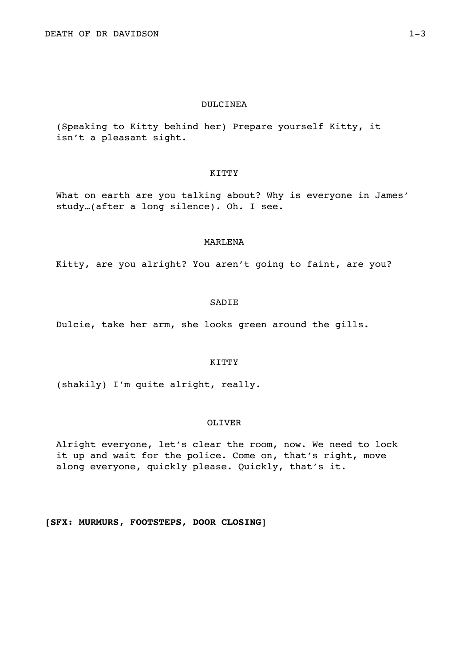# DULCINEA

(Speaking to Kitty behind her) Prepare yourself Kitty, it isn't a pleasant sight.

## KITTY

What on earth are you talking about? Why is everyone in James' study…(after a long silence). Oh. I see.

## MARLENA

Kitty, are you alright? You aren't going to faint, are you?

# SADIE

Dulcie, take her arm, she looks green around the gills.

### KITTY

(shakily) I'm quite alright, really.

# OLIVER

Alright everyone, let's clear the room, now. We need to lock it up and wait for the police. Come on, that's right, move along everyone, quickly please. Quickly, that's it.

**[SFX: MURMURS, FOOTSTEPS, DOOR CLOSING]**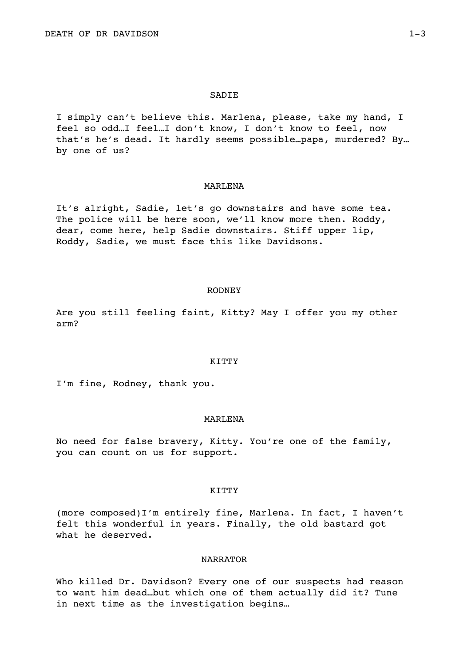### SADIE

I simply can't believe this. Marlena, please, take my hand, I feel so odd…I feel…I don't know, I don't know to feel, now that's he's dead. It hardly seems possible…papa, murdered? By… by one of us?

## MARLENA

It's alright, Sadie, let's go downstairs and have some tea. The police will be here soon, we'll know more then. Roddy, dear, come here, help Sadie downstairs. Stiff upper lip, Roddy, Sadie, we must face this like Davidsons.

## RODNEY

Are you still feeling faint, Kitty? May I offer you my other arm?

## KITTY

I'm fine, Rodney, thank you.

#### MARLENA

No need for false bravery, Kitty. You're one of the family, you can count on us for support.

### **KITTY**

(more composed)I'm entirely fine, Marlena. In fact, I haven't felt this wonderful in years. Finally, the old bastard got what he deserved.

# NARRATOR

Who killed Dr. Davidson? Every one of our suspects had reason to want him dead…but which one of them actually did it? Tune in next time as the investigation begins…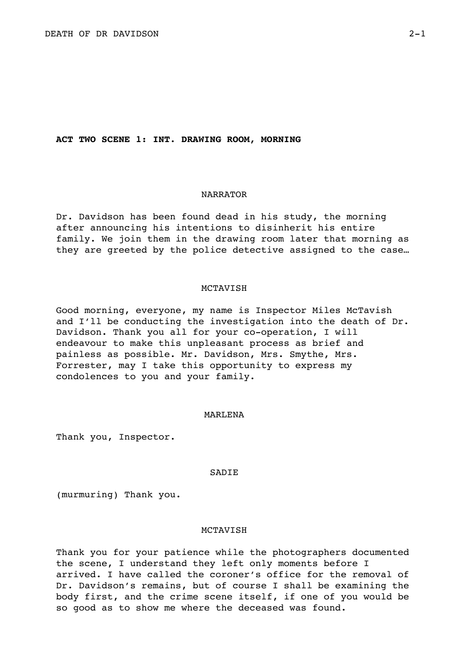### **ACT TWO SCENE 1: INT. DRAWING ROOM, MORNING**

# NARRATOR

Dr. Davidson has been found dead in his study, the morning after announcing his intentions to disinherit his entire family. We join them in the drawing room later that morning as they are greeted by the police detective assigned to the case…

#### MCTAVISH

Good morning, everyone, my name is Inspector Miles McTavish and I'll be conducting the investigation into the death of Dr. Davidson. Thank you all for your co-operation, I will endeavour to make this unpleasant process as brief and painless as possible. Mr. Davidson, Mrs. Smythe, Mrs. Forrester, may I take this opportunity to express my condolences to you and your family.

## MARLENA

Thank you, Inspector.

## SADIE

(murmuring) Thank you.

### MCTAVISH

Thank you for your patience while the photographers documented the scene, I understand they left only moments before I arrived. I have called the coroner's office for the removal of Dr. Davidson's remains, but of course I shall be examining the body first, and the crime scene itself, if one of you would be so good as to show me where the deceased was found.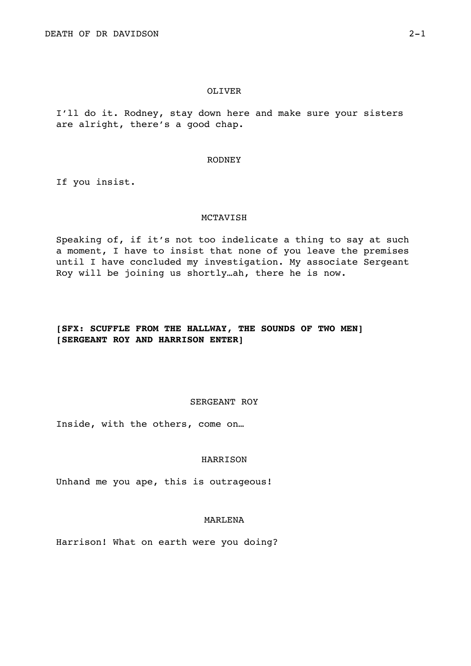### OLIVER

I'll do it. Rodney, stay down here and make sure your sisters are alright, there's a good chap.

#### RODNEY

If you insist.

### MCTAVISH

Speaking of, if it's not too indelicate a thing to say at such a moment, I have to insist that none of you leave the premises until I have concluded my investigation. My associate Sergeant Roy will be joining us shortly…ah, there he is now.

# **[SFX: SCUFFLE FROM THE HALLWAY, THE SOUNDS OF TWO MEN] [SERGEANT ROY AND HARRISON ENTER]**

# SERGEANT ROY

Inside, with the others, come on…

## HARRISON

Unhand me you ape, this is outrageous!

# MARLENA

Harrison! What on earth were you doing?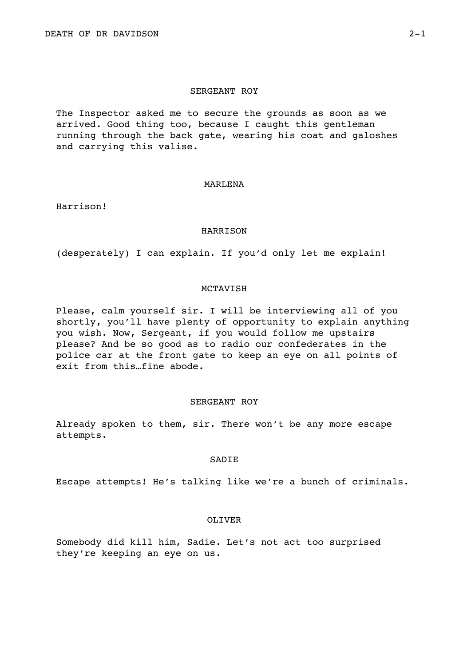# SERGEANT ROY

The Inspector asked me to secure the grounds as soon as we arrived. Good thing too, because I caught this gentleman running through the back gate, wearing his coat and galoshes and carrying this valise.

### MARLENA

Harrison!

## HARRISON

(desperately) I can explain. If you'd only let me explain!

# MCTAVISH

Please, calm yourself sir. I will be interviewing all of you shortly, you'll have plenty of opportunity to explain anything you wish. Now, Sergeant, if you would follow me upstairs please? And be so good as to radio our confederates in the police car at the front gate to keep an eye on all points of exit from this…fine abode.

# SERGEANT ROY

Already spoken to them, sir. There won't be any more escape attempts.

## SADIE

Escape attempts! He's talking like we're a bunch of criminals.

# OLIVER

Somebody did kill him, Sadie. Let's not act too surprised they're keeping an eye on us.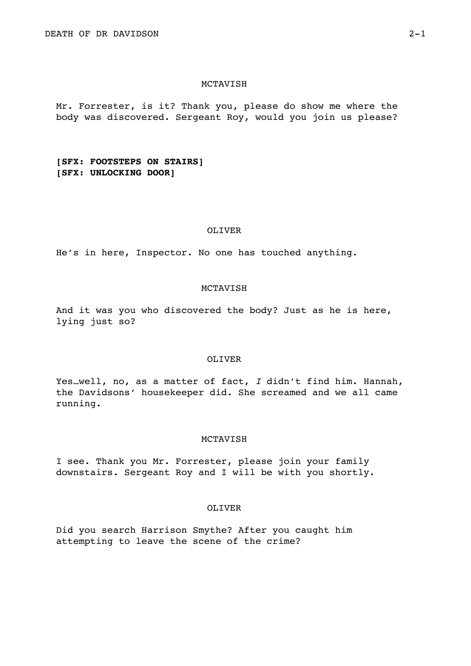Mr. Forrester, is it? Thank you, please do show me where the body was discovered. Sergeant Roy, would you join us please?

# **[SFX: FOOTSTEPS ON STAIRS] [SFX: UNLOCKING DOOR]**

## OLIVER

He's in here, Inspector. No one has touched anything.

### MCTAVISH

And it was you who discovered the body? Just as he is here, lying just so?

# OLIVER

Yes…well, no, as a matter of fact, *I* didn't find him. Hannah, the Davidsons' housekeeper did. She screamed and we all came running.

# **MCTAVISH**

I see. Thank you Mr. Forrester, please join your family downstairs. Sergeant Roy and I will be with you shortly.

### OLIVER

Did you search Harrison Smythe? After you caught him attempting to leave the scene of the crime?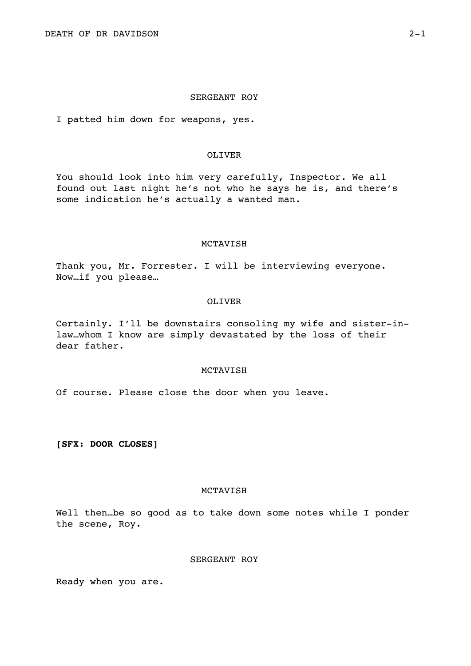### SERGEANT ROY

I patted him down for weapons, yes.

# OLIVER

You should look into him very carefully, Inspector. We all found out last night he's not who he says he is, and there's some indication he's actually a wanted man.

#### MCTAVISH

Thank you, Mr. Forrester. I will be interviewing everyone. Now…if you please…

## OLIVER

Certainly. I'll be downstairs consoling my wife and sister-inlaw…whom I know are simply devastated by the loss of their dear father.

# MCTAVISH

Of course. Please close the door when you leave.

**[SFX: DOOR CLOSES]** 

## MCTAVISH

Well then...be so good as to take down some notes while I ponder the scene, Roy.

# SERGEANT ROY

Ready when you are.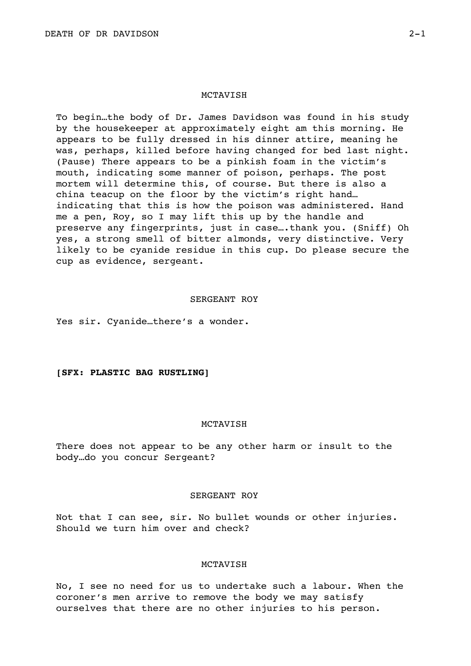To begin…the body of Dr. James Davidson was found in his study by the housekeeper at approximately eight am this morning. He appears to be fully dressed in his dinner attire, meaning he was, perhaps, killed before having changed for bed last night. (Pause) There appears to be a pinkish foam in the victim's mouth, indicating some manner of poison, perhaps. The post mortem will determine this, of course. But there is also a china teacup on the floor by the victim's right hand… indicating that this is how the poison was administered. Hand me a pen, Roy, so I may lift this up by the handle and preserve any fingerprints, just in case….thank you. (Sniff) Oh yes, a strong smell of bitter almonds, very distinctive. Very likely to be cyanide residue in this cup. Do please secure the cup as evidence, sergeant.

#### SERGEANT ROY

Yes sir. Cyanide…there's a wonder.

# **[SFX: PLASTIC BAG RUSTLING]**

### MCTAVISH

There does not appear to be any other harm or insult to the body…do you concur Sergeant?

# SERGEANT ROY

Not that I can see, sir. No bullet wounds or other injuries. Should we turn him over and check?

# MCTAVISH

No, I see no need for us to undertake such a labour. When the coroner's men arrive to remove the body we may satisfy ourselves that there are no other injuries to his person.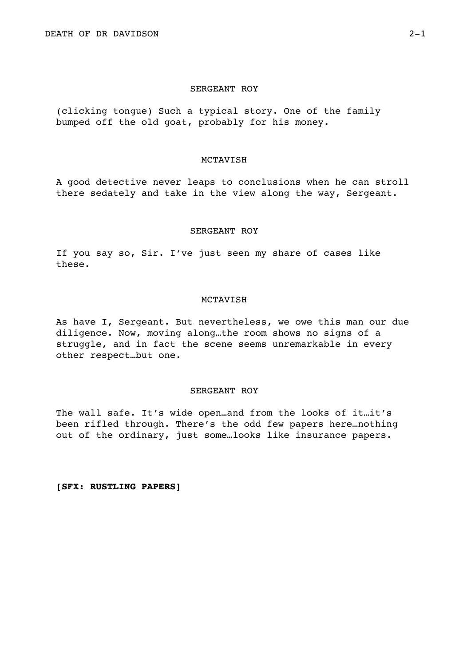## SERGEANT ROY

(clicking tongue) Such a typical story. One of the family bumped off the old goat, probably for his money.

# MCTAVISH

A good detective never leaps to conclusions when he can stroll there sedately and take in the view along the way, Sergeant.

# SERGEANT ROY

If you say so, Sir. I've just seen my share of cases like these.

## MCTAVISH

As have I, Sergeant. But nevertheless, we owe this man our due diligence. Now, moving along…the room shows no signs of a struggle, and in fact the scene seems unremarkable in every other respect…but one.

#### SERGEANT ROY

The wall safe. It's wide open…and from the looks of it…it's been rifled through. There's the odd few papers here…nothing out of the ordinary, just some…looks like insurance papers.

**[SFX: RUSTLING PAPERS]**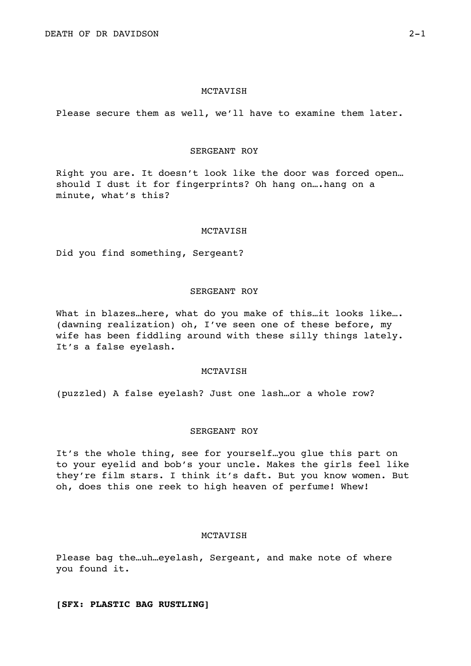Please secure them as well, we'll have to examine them later.

# SERGEANT ROY

Right you are. It doesn't look like the door was forced open… should I dust it for fingerprints? Oh hang on….hang on a minute, what's this?

## MCTAVISH

Did you find something, Sergeant?

# SERGEANT ROY

What in blazes…here, what do you make of this…it looks like…. (dawning realization) oh, I've seen one of these before, my wife has been fiddling around with these silly things lately. It's a false eyelash.

# MCTAVISH

(puzzled) A false eyelash? Just one lash…or a whole row?

#### SERGEANT ROY

It's the whole thing, see for yourself…you glue this part on to your eyelid and bob's your uncle. Makes the girls feel like they're film stars. I think it's daft. But you know women. But oh, does this one reek to high heaven of perfume! Whew!

### MCTAVISH

Please bag the…uh…eyelash, Sergeant, and make note of where you found it.

**[SFX: PLASTIC BAG RUSTLING]**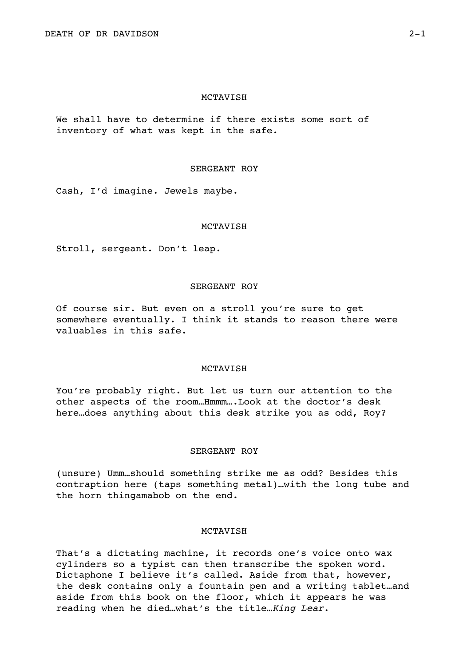We shall have to determine if there exists some sort of inventory of what was kept in the safe.

## SERGEANT ROY

Cash, I'd imagine. Jewels maybe.

#### MCTAVISH

Stroll, sergeant. Don't leap.

# SERGEANT ROY

Of course sir. But even on a stroll you're sure to get somewhere eventually. I think it stands to reason there were valuables in this safe.

# MCTAVISH

You're probably right. But let us turn our attention to the other aspects of the room…Hmmm….Look at the doctor's desk here…does anything about this desk strike you as odd, Roy?

### SERGEANT ROY

(unsure) Umm…should something strike me as odd? Besides this contraption here (taps something metal)…with the long tube and the horn thingamabob on the end.

# MCTAVISH

That's a dictating machine, it records one's voice onto wax cylinders so a typist can then transcribe the spoken word. Dictaphone I believe it's called. Aside from that, however, the desk contains only a fountain pen and a writing tablet…and aside from this book on the floor, which it appears he was reading when he died…what's the title…*King Lear*.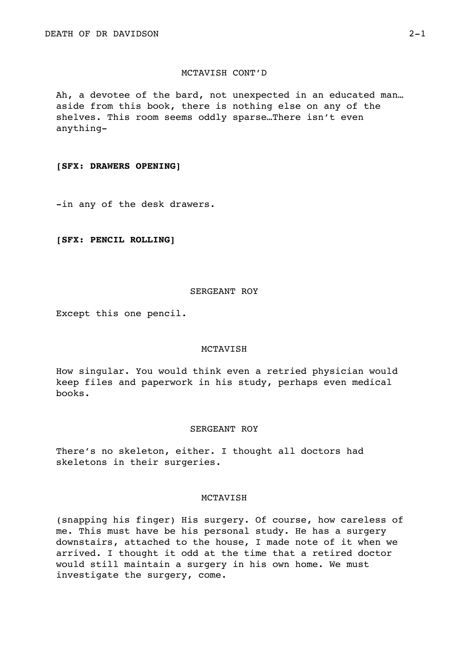# MCTAVISH CONT'D

Ah, a devotee of the bard, not unexpected in an educated man… aside from this book, there is nothing else on any of the shelves. This room seems oddly sparse…There isn't even anything-

#### **[SFX: DRAWERS OPENING]**

-in any of the desk drawers.

# **[SFX: PENCIL ROLLING]**

# SERGEANT ROY

Except this one pencil.

#### MCTAVISH

How singular. You would think even a retried physician would keep files and paperwork in his study, perhaps even medical books.

# SERGEANT ROY

There's no skeleton, either. I thought all doctors had skeletons in their surgeries.

# MCTAVISH

(snapping his finger) His surgery. Of course, how careless of me. This must have be his personal study. He has a surgery downstairs, attached to the house, I made note of it when we arrived. I thought it odd at the time that a retired doctor would still maintain a surgery in his own home. We must investigate the surgery, come.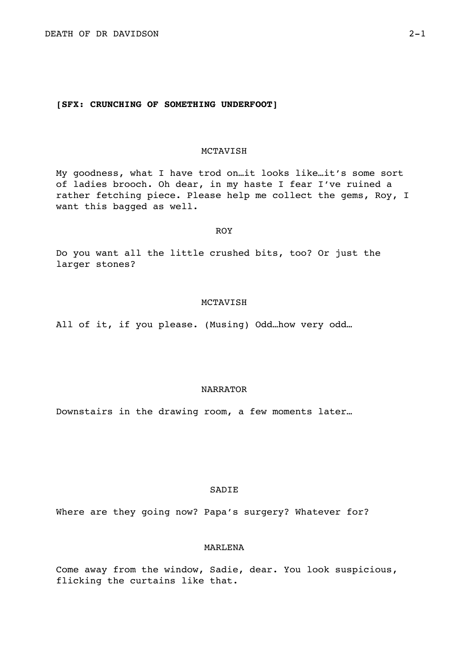# **[SFX: CRUNCHING OF SOMETHING UNDERFOOT]**

# MCTAVISH

My goodness, what I have trod on…it looks like…it's some sort of ladies brooch. Oh dear, in my haste I fear I've ruined a rather fetching piece. Please help me collect the gems, Roy, I want this bagged as well.

# ROY

Do you want all the little crushed bits, too? Or just the larger stones?

## MCTAVISH

All of it, if you please. (Musing) Odd…how very odd…

# NARRATOR

Downstairs in the drawing room, a few moments later…

# SADIE

Where are they going now? Papa's surgery? Whatever for?

# MARLENA

Come away from the window, Sadie, dear. You look suspicious, flicking the curtains like that.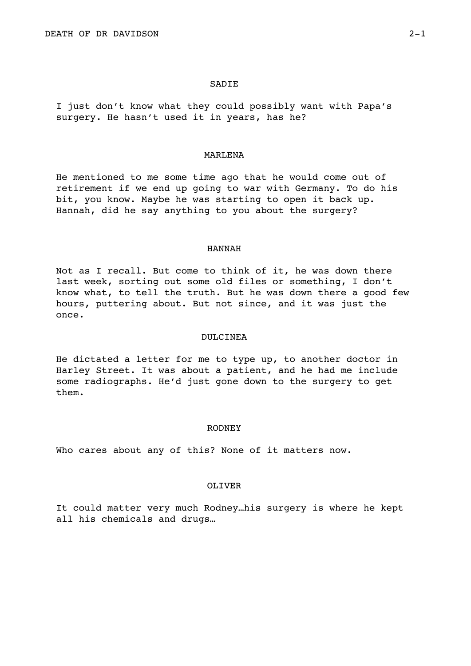#### **SADIE**

I just don't know what they could possibly want with Papa's surgery. He hasn't used it in years, has he?

## MARLENA

He mentioned to me some time ago that he would come out of retirement if we end up going to war with Germany. To do his bit, you know. Maybe he was starting to open it back up. Hannah, did he say anything to you about the surgery?

### HANNAH

Not as I recall. But come to think of it, he was down there last week, sorting out some old files or something, I don't know what, to tell the truth. But he was down there a good few hours, puttering about. But not since, and it was just the once.

### DULCINEA

He dictated a letter for me to type up, to another doctor in Harley Street. It was about a patient, and he had me include some radiographs. He'd just gone down to the surgery to get them.

### RODNEY

Who cares about any of this? None of it matters now.

#### OLIVER

It could matter very much Rodney…his surgery is where he kept all his chemicals and drugs…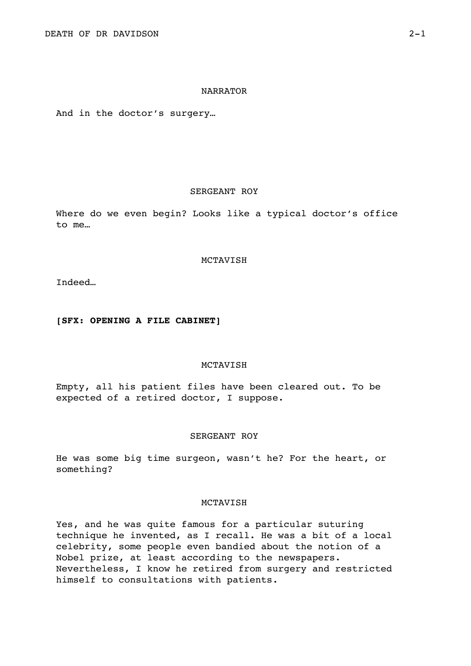## NARRATOR

And in the doctor's surgery…

# SERGEANT ROY

Where do we even begin? Looks like a typical doctor's office to me…

# MCTAVISH

Indeed…

# **[SFX: OPENING A FILE CABINET]**

#### MCTAVISH

Empty, all his patient files have been cleared out. To be expected of a retired doctor, I suppose.

#### SERGEANT ROY

He was some big time surgeon, wasn't he? For the heart, or something?

# MCTAVISH

Yes, and he was quite famous for a particular suturing technique he invented, as I recall. He was a bit of a local celebrity, some people even bandied about the notion of a Nobel prize, at least according to the newspapers. Nevertheless, I know he retired from surgery and restricted himself to consultations with patients.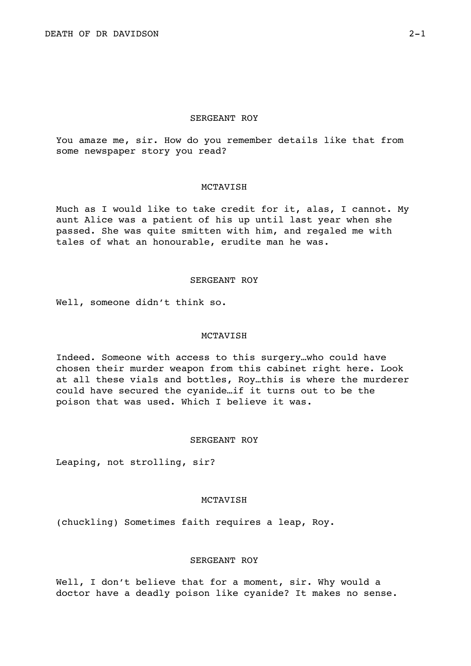# SERGEANT ROY

You amaze me, sir. How do you remember details like that from some newspaper story you read?

# MCTAVISH

Much as I would like to take credit for it, alas, I cannot. My aunt Alice was a patient of his up until last year when she passed. She was quite smitten with him, and regaled me with tales of what an honourable, erudite man he was.

### SERGEANT ROY

Well, someone didn't think so.

# MCTAVISH

Indeed. Someone with access to this surgery…who could have chosen their murder weapon from this cabinet right here. Look at all these vials and bottles, Roy…this is where the murderer could have secured the cyanide…if it turns out to be the poison that was used. Which I believe it was.

### SERGEANT ROY

Leaping, not strolling, sir?

## MCTAVISH

(chuckling) Sometimes faith requires a leap, Roy.

# SERGEANT ROY

Well, I don't believe that for a moment, sir. Why would a doctor have a deadly poison like cyanide? It makes no sense.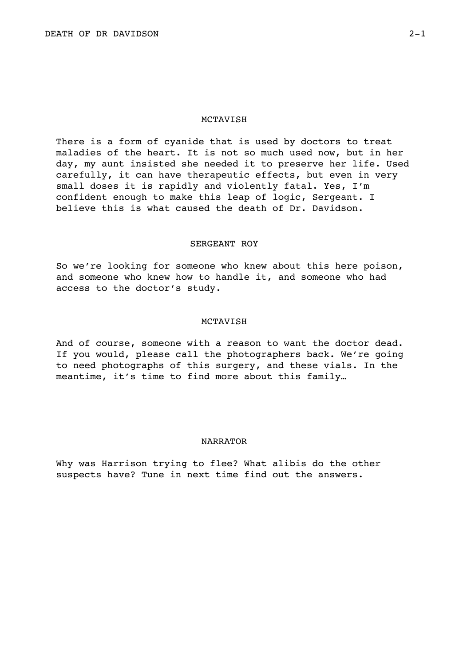There is a form of cyanide that is used by doctors to treat maladies of the heart. It is not so much used now, but in her day, my aunt insisted she needed it to preserve her life. Used carefully, it can have therapeutic effects, but even in very small doses it is rapidly and violently fatal. Yes, I'm confident enough to make this leap of logic, Sergeant. I believe this is what caused the death of Dr. Davidson.

#### SERGEANT ROY

So we're looking for someone who knew about this here poison, and someone who knew how to handle it, and someone who had access to the doctor's study.

## MCTAVISH

And of course, someone with a reason to want the doctor dead. If you would, please call the photographers back. We're going to need photographs of this surgery, and these vials. In the meantime, it's time to find more about this family…

#### NARRATOR

Why was Harrison trying to flee? What alibis do the other suspects have? Tune in next time find out the answers.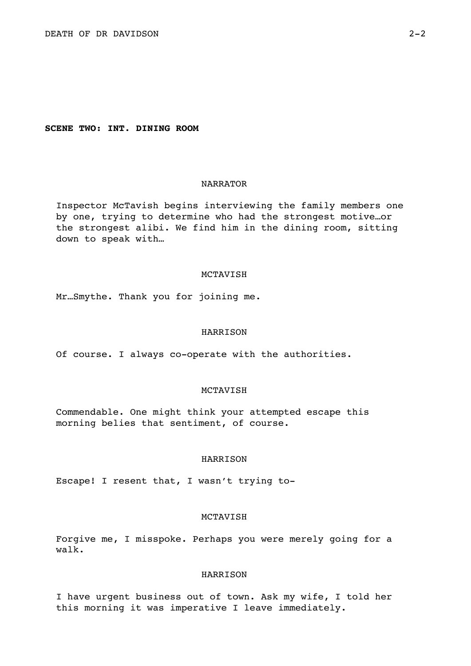**SCENE TWO: INT. DINING ROOM** 

# NARRATOR

Inspector McTavish begins interviewing the family members one by one, trying to determine who had the strongest motive…or the strongest alibi. We find him in the dining room, sitting down to speak with…

### MCTAVISH

Mr…Smythe. Thank you for joining me.

### HARRISON

Of course. I always co-operate with the authorities.

## MCTAVISH

Commendable. One might think your attempted escape this morning belies that sentiment, of course.

#### HARRISON

Escape! I resent that, I wasn't trying to-

#### MCTAVISH

Forgive me, I misspoke. Perhaps you were merely going for a walk.

# HARRISON

I have urgent business out of town. Ask my wife, I told her this morning it was imperative I leave immediately.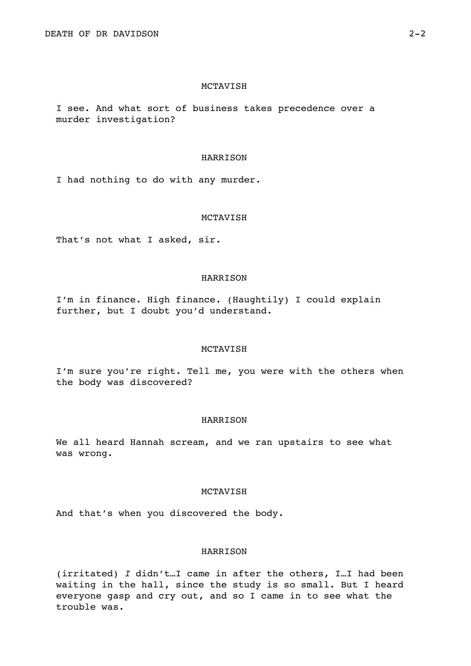I see. And what sort of business takes precedence over a murder investigation?

## HARRISON

I had nothing to do with any murder.

# MCTAVISH

That's not what I asked, sir.

## HARRISON

I'm in finance. High finance. (Haughtily) I could explain further, but I doubt you'd understand.

#### MCTAVISH

I'm sure you're right. Tell me, you were with the others when the body was discovered?

# HARRISON

We all heard Hannah scream, and we ran upstairs to see what was wrong.

# MCTAVISH

And that's when you discovered the body.

# HARRISON

(irritated) *I* didn't…I came in after the others, I…I had been waiting in the hall, since the study is so small. But I heard everyone gasp and cry out, and so I came in to see what the trouble was.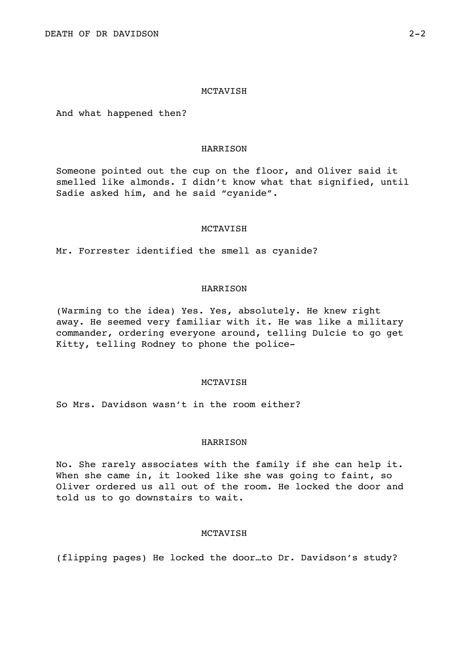And what happened then?

## HARRISON

Someone pointed out the cup on the floor, and Oliver said it smelled like almonds. I didn't know what that signified, until Sadie asked him, and he said "cyanide".

## MCTAVISH

Mr. Forrester identified the smell as cyanide?

# HARRISON

(Warming to the idea) Yes. Yes, absolutely. He knew right away. He seemed very familiar with it. He was like a military commander, ordering everyone around, telling Dulcie to go get Kitty, telling Rodney to phone the police-

## MCTAVISH

So Mrs. Davidson wasn't in the room either?

## HARRISON

No. She rarely associates with the family if she can help it. When she came in, it looked like she was going to faint, so Oliver ordered us all out of the room. He locked the door and told us to go downstairs to wait.

# MCTAVISH

(flipping pages) He locked the door…to Dr. Davidson's study?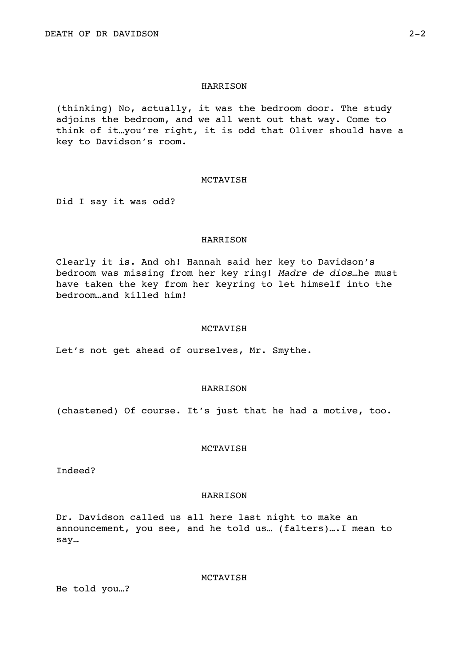(thinking) No, actually, it was the bedroom door. The study adioins the bedroom, and we all went out that way. Come to think of it…you're right, it is odd that Oliver should have a key to Davidson's room.

## MCTAVISH

Did I say it was odd?

# HARRISON

Clearly it is. And oh! Hannah said her key to Davidson's bedroom was missing from her key ring! *Madre de dios*…he must have taken the key from her keyring to let himself into the bedroom…and killed him!

### MCTAVISH

Let's not get ahead of ourselves, Mr. Smythe.

## HARRISON

(chastened) Of course. It's just that he had a motive, too.

# **MCTAVISH**

Indeed?

#### HARRISON

Dr. Davidson called us all here last night to make an announcement, you see, and he told us… (falters)….I mean to say…

MCTAVISH

He told you…?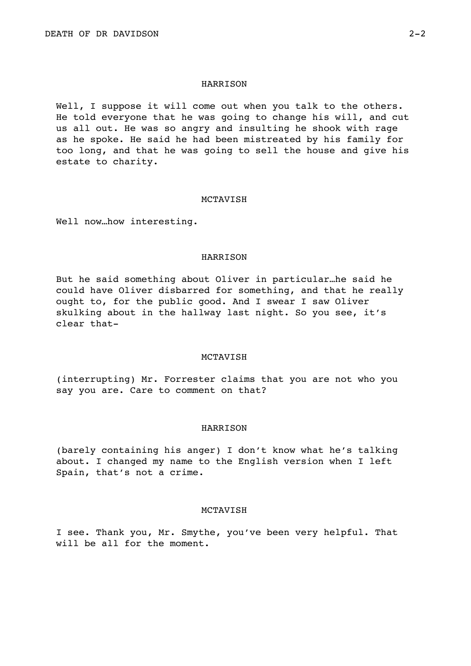Well, I suppose it will come out when you talk to the others. He told everyone that he was going to change his will, and cut us all out. He was so angry and insulting he shook with rage as he spoke. He said he had been mistreated by his family for too long, and that he was going to sell the house and give his estate to charity.

#### MCTAVISH

Well now…how interesting.

## HARRISON

But he said something about Oliver in particular…he said he could have Oliver disbarred for something, and that he really ought to, for the public good. And I swear I saw Oliver skulking about in the hallway last night. So you see, it's clear that-

#### MCTAVISH

(interrupting) Mr. Forrester claims that you are not who you say you are. Care to comment on that?

### HARRISON

(barely containing his anger) I don't know what he's talking about. I changed my name to the English version when I left Spain, that's not a crime.

## **MCTAVISH**

I see. Thank you, Mr. Smythe, you've been very helpful. That will be all for the moment.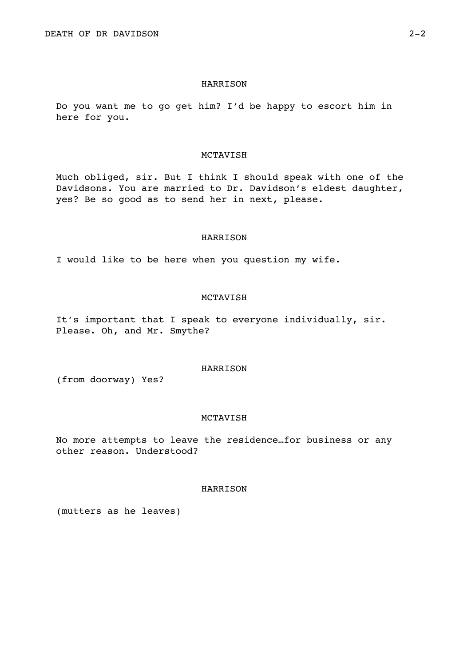Do you want me to go get him? I'd be happy to escort him in here for you.

# MCTAVISH

Much obliged, sir. But I think I should speak with one of the Davidsons. You are married to Dr. Davidson's eldest daughter, yes? Be so good as to send her in next, please.

### HARRISON

I would like to be here when you question my wife.

# MCTAVISH

It's important that I speak to everyone individually, sir. Please. Oh, and Mr. Smythe?

# HARRISON

(from doorway) Yes?

### MCTAVISH

No more attempts to leave the residence…for business or any other reason. Understood?

# **HARRISON**

(mutters as he leaves)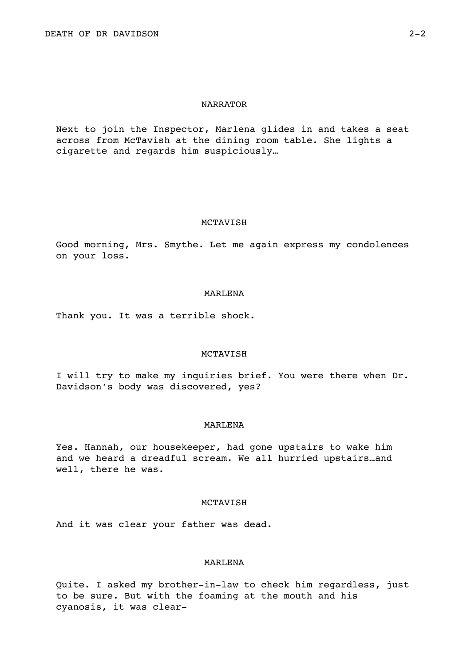# NARRATOR

Next to join the Inspector, Marlena glides in and takes a seat across from McTavish at the dining room table. She lights a cigarette and regards him suspiciously…

#### MCTAVISH

Good morning, Mrs. Smythe. Let me again express my condolences on your loss.

#### MARLENA

Thank you. It was a terrible shock.

## MCTAVISH

I will try to make my inquiries brief. You were there when Dr. Davidson's body was discovered, yes?

### MARLENA

Yes. Hannah, our housekeeper, had gone upstairs to wake him and we heard a dreadful scream. We all hurried upstairs…and well, there he was.

#### MCTAVISH

And it was clear your father was dead.

### MARLENA

Quite. I asked my brother-in-law to check him regardless, just to be sure. But with the foaming at the mouth and his cyanosis, it was clear-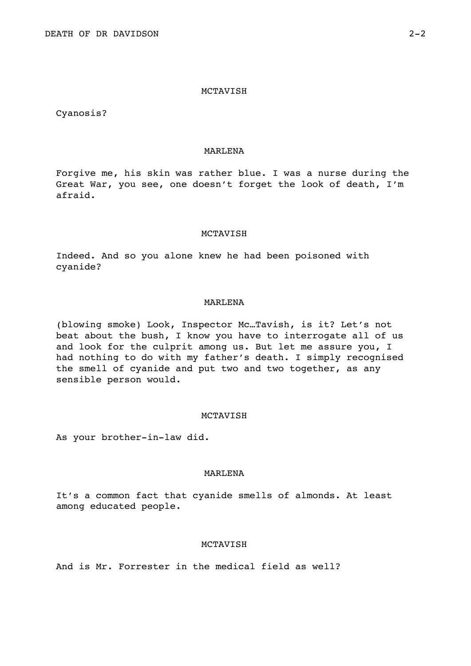Cyanosis?

# MARLENA

Forgive me, his skin was rather blue. I was a nurse during the Great War, you see, one doesn't forget the look of death, I'm afraid.

### MCTAVISH

Indeed. And so you alone knew he had been poisoned with cyanide?

## MARLENA

(blowing smoke) Look, Inspector Mc…Tavish, is it? Let's not beat about the bush, I know you have to interrogate all of us and look for the culprit among us. But let me assure you, I had nothing to do with my father's death. I simply recognised the smell of cyanide and put two and two together, as any sensible person would.

# MCTAVISH

As your brother-in-law did.

## MARLENA

It's a common fact that cyanide smells of almonds. At least among educated people.

## MCTAVISH

And is Mr. Forrester in the medical field as well?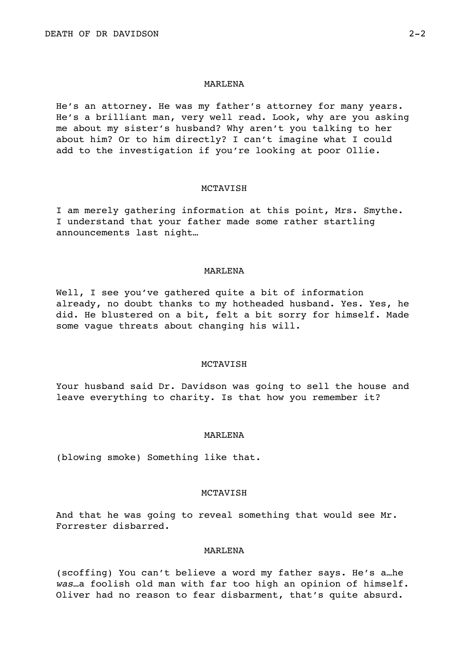## MARLENA

He's an attorney. He was my father's attorney for many years. He's a brilliant man, very well read. Look, why are you asking me about my sister's husband? Why aren't you talking to her about him? Or to him directly? I can't imagine what I could add to the investigation if you're looking at poor Ollie.

#### MCTAVISH

I am merely gathering information at this point, Mrs. Smythe. I understand that your father made some rather startling announcements last night…

#### MARLENA

Well, I see you've gathered quite a bit of information already, no doubt thanks to my hotheaded husband. Yes. Yes, he did. He blustered on a bit, felt a bit sorry for himself. Made some vague threats about changing his will.

# MCTAVISH

Your husband said Dr. Davidson was going to sell the house and leave everything to charity. Is that how you remember it?

### MARLENA

(blowing smoke) Something like that.

## MCTAVISH

And that he was going to reveal something that would see Mr. Forrester disbarred.

## MARLENA

(scoffing) You can't believe a word my father says. He's a…he *was*…a foolish old man with far too high an opinion of himself. Oliver had no reason to fear disbarment, that's quite absurd.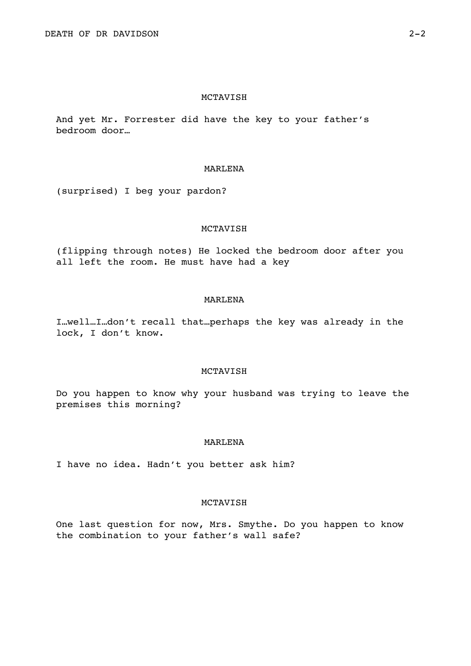And yet Mr. Forrester did have the key to your father's bedroom door…

### MARLENA

(surprised) I beg your pardon?

## MCTAVISH

(flipping through notes) He locked the bedroom door after you all left the room. He must have had a key

# MARLENA

I…well…I…don't recall that…perhaps the key was already in the lock, I don't know.

# MCTAVISH

Do you happen to know why your husband was trying to leave the premises this morning?

# MARLENA

I have no idea. Hadn't you better ask him?

# MCTAVISH

One last question for now, Mrs. Smythe. Do you happen to know the combination to your father's wall safe?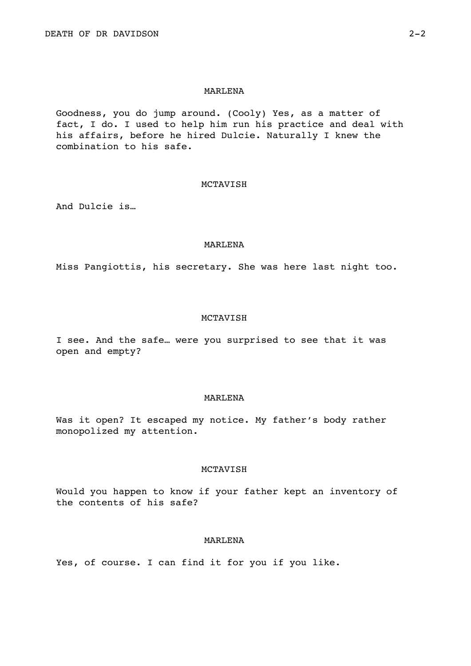# MARLENA

Goodness, you do jump around. (Cooly) Yes, as a matter of fact, I do. I used to help him run his practice and deal with his affairs, before he hired Dulcie. Naturally I knew the combination to his safe.

## MCTAVISH

And Dulcie is…

#### MARLENA

Miss Pangiottis, his secretary. She was here last night too.

# MCTAVISH

I see. And the safe… were you surprised to see that it was open and empty?

#### MARLENA

Was it open? It escaped my notice. My father's body rather monopolized my attention.

# MCTAVISH

Would you happen to know if your father kept an inventory of the contents of his safe?

# MARLENA

Yes, of course. I can find it for you if you like.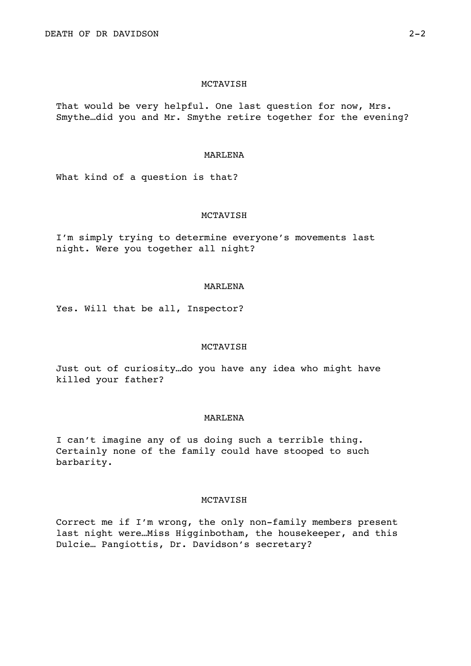That would be very helpful. One last question for now, Mrs. Smythe…did you and Mr. Smythe retire together for the evening?

### MARLENA

What kind of a question is that?

## MCTAVISH

I'm simply trying to determine everyone's movements last night. Were you together all night?

## MARLENA

Yes. Will that be all, Inspector?

### MCTAVISH

Just out of curiosity…do you have any idea who might have killed your father?

### MARLENA

I can't imagine any of us doing such a terrible thing. Certainly none of the family could have stooped to such barbarity.

# MCTAVISH

Correct me if I'm wrong, the only non-family members present last night were…Miss Higginbotham, the housekeeper, and this Dulcie… Pangiottis, Dr. Davidson's secretary?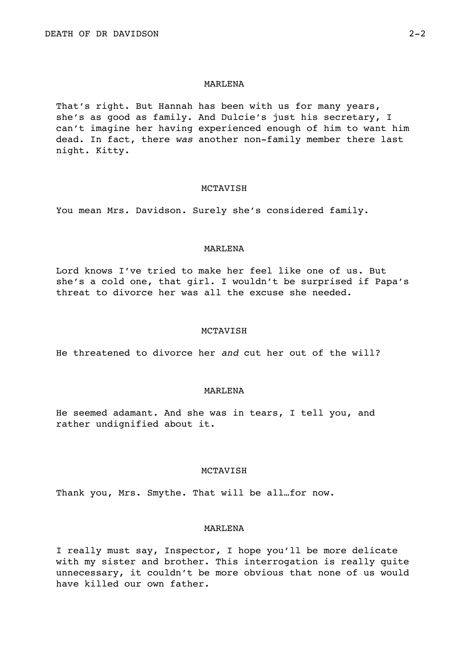#### MARLENA

That's right. But Hannah has been with us for many years, she's as good as family. And Dulcie's just his secretary, I can't imagine her having experienced enough of him to want him dead. In fact, there *was* another non-family member there last night. Kitty.

#### MCTAVISH

You mean Mrs. Davidson. Surely she's considered family.

## MARLENA

Lord knows I've tried to make her feel like one of us. But she's a cold one, that girl. I wouldn't be surprised if Papa's threat to divorce her was all the excuse she needed.

#### MCTAVISH

He threatened to divorce her *and* cut her out of the will?

### MARLENA

He seemed adamant. And she was in tears, I tell you, and rather undignified about it.

## MCTAVISH

Thank you, Mrs. Smythe. That will be all…for now.

# MARLENA

I really must say, Inspector, I hope you'll be more delicate with my sister and brother. This interrogation is really quite unnecessary, it couldn't be more obvious that none of us would have killed our own father.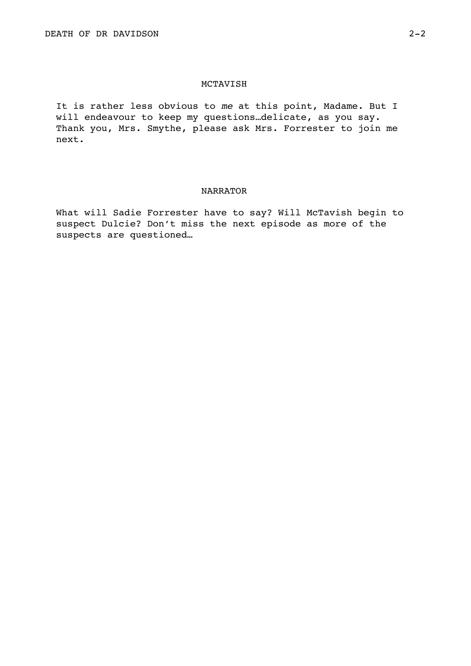It is rather less obvious to *me* at this point, Madame. But I will endeavour to keep my questions…delicate, as you say. Thank you, Mrs. Smythe, please ask Mrs. Forrester to join me next.

# NARRATOR

What will Sadie Forrester have to say? Will McTavish begin to suspect Dulcie? Don't miss the next episode as more of the suspects are questioned…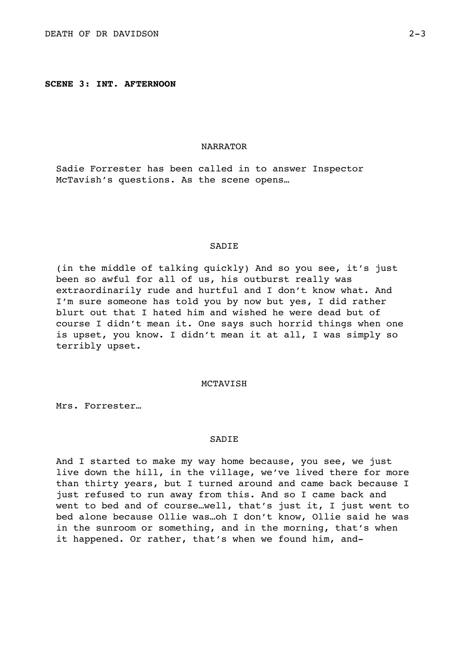**SCENE 3: INT. AFTERNOON**

## NARRATOR

Sadie Forrester has been called in to answer Inspector McTavish's questions. As the scene opens…

### SADIE

(in the middle of talking quickly) And so you see, it's just been so awful for all of us, his outburst really was extraordinarily rude and hurtful and I don't know what. And I'm sure someone has told you by now but yes, I did rather blurt out that I hated him and wished he were dead but of course I didn't mean it. One says such horrid things when one is upset, you know. I didn't mean it at all, I was simply so terribly upset.

### MCTAVISH

Mrs. Forrester…

#### **SADIE**

And I started to make my way home because, you see, we just live down the hill, in the village, we've lived there for more than thirty years, but I turned around and came back because I just refused to run away from this. And so I came back and went to bed and of course…well, that's just it, I just went to bed alone because Ollie was…oh I don't know, Ollie said he was in the sunroom or something, and in the morning, that's when it happened. Or rather, that's when we found him, and-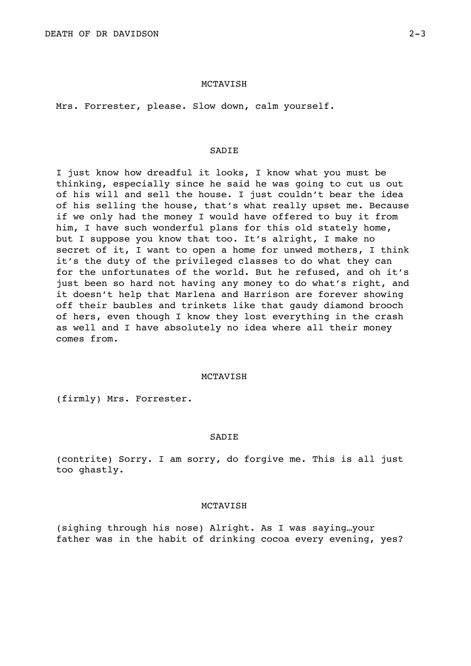Mrs. Forrester, please. Slow down, calm yourself.

## **SADIE**

I just know how dreadful it looks, I know what you must be thinking, especially since he said he was going to cut us out of his will and sell the house. I just couldn't bear the idea of his selling the house, that's what really upset me. Because if we only had the money I would have offered to buy it from him, I have such wonderful plans for this old stately home, but I suppose you know that too. It's alright, I make no secret of it, I want to open a home for unwed mothers, I think it's the duty of the privileged classes to do what they can for the unfortunates of the world. But he refused, and oh it's just been so hard not having any money to do what's right, and it doesn't help that Marlena and Harrison are forever showing off their baubles and trinkets like that gaudy diamond brooch of hers, even though I know they lost everything in the crash as well and I have absolutely no idea where all their money comes from.

## MCTAVISH

(firmly) Mrs. Forrester.

### SADIE

(contrite) Sorry. I am sorry, do forgive me. This is all just too ghastly.

# MCTAVISH

(sighing through his nose) Alright. As I was saying…your father was in the habit of drinking cocoa every evening, yes?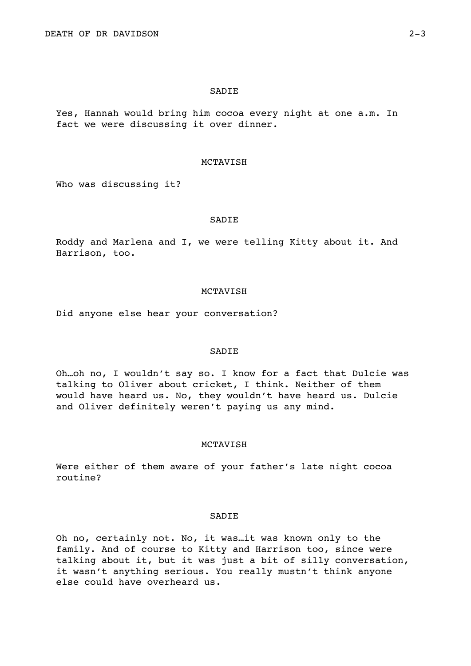#### SADIE

Yes, Hannah would bring him cocoa every night at one a.m. In fact we were discussing it over dinner.

## MCTAVISH

Who was discussing it?

# SADIE

Roddy and Marlena and I, we were telling Kitty about it. And Harrison, too.

#### MCTAVISH

Did anyone else hear your conversation?

# SADIE

Oh…oh no, I wouldn't say so. I know for a fact that Dulcie was talking to Oliver about cricket, I think. Neither of them would have heard us. No, they wouldn't have heard us. Dulcie and Oliver definitely weren't paying us any mind.

# MCTAVISH

Were either of them aware of your father's late night cocoa routine?

# SADIE

Oh no, certainly not. No, it was…it was known only to the family. And of course to Kitty and Harrison too, since were talking about it, but it was just a bit of silly conversation, it wasn't anything serious. You really mustn't think anyone else could have overheard us.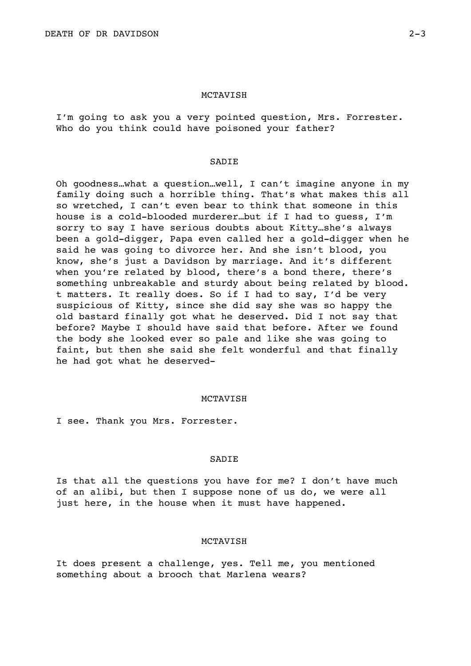I'm going to ask you a very pointed question, Mrs. Forrester. Who do you think could have poisoned your father?

### SADIE

Oh goodness…what a question…well, I can't imagine anyone in my family doing such a horrible thing. That's what makes this all so wretched, I can't even bear to think that someone in this house is a cold-blooded murderer…but if I had to guess, I'm sorry to say I have serious doubts about Kitty…she's always been a gold-digger, Papa even called her a gold-digger when he said he was going to divorce her. And she isn't blood, you know, she's just a Davidson by marriage. And it's different when you're related by blood, there's a bond there, there's something unbreakable and sturdy about being related by blood. t matters. It really does. So if I had to say, I'd be very suspicious of Kitty, since she did say she was so happy the old bastard finally got what he deserved. Did I not say that before? Maybe I should have said that before. After we found the body she looked ever so pale and like she was going to faint, but then she said she felt wonderful and that finally he had got what he deserved-

#### MCTAVISH

I see. Thank you Mrs. Forrester.

#### SADIE

Is that all the questions you have for me? I don't have much of an alibi, but then I suppose none of us do, we were all just here, in the house when it must have happened.

## MCTAVISH

It does present a challenge, yes. Tell me, you mentioned something about a brooch that Marlena wears?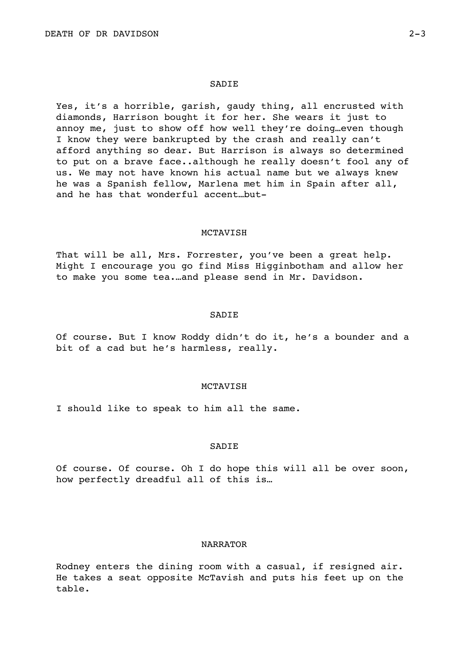#### **SADIE**

Yes, it's a horrible, garish, gaudy thing, all encrusted with diamonds, Harrison bought it for her. She wears it just to annoy me, just to show off how well they're doing…even though I know they were bankrupted by the crash and really can't afford anything so dear. But Harrison is always so determined to put on a brave face..although he really doesn't fool any of us. We may not have known his actual name but we always knew he was a Spanish fellow, Marlena met him in Spain after all, and he has that wonderful accent…but-

## MCTAVISH

That will be all, Mrs. Forrester, you've been a great help. Might I encourage you go find Miss Higginbotham and allow her to make you some tea.…and please send in Mr. Davidson.

#### SADIE

Of course. But I know Roddy didn't do it, he's a bounder and a bit of a cad but he's harmless, really.

## MCTAVISH

I should like to speak to him all the same.

## **SADIE**

Of course. Of course. Oh I do hope this will all be over soon, how perfectly dreadful all of this is…

## NARRATOR

Rodney enters the dining room with a casual, if resigned air. He takes a seat opposite McTavish and puts his feet up on the table.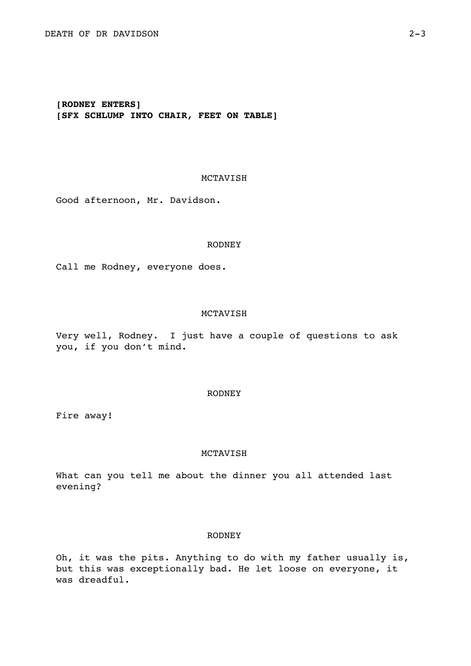# **[RODNEY ENTERS] [SFX SCHLUMP INTO CHAIR, FEET ON TABLE]**

# MCTAVISH

Good afternoon, Mr. Davidson.

#### RODNEY

Call me Rodney, everyone does.

## MCTAVISH

Very well, Rodney. I just have a couple of questions to ask you, if you don't mind.

## RODNEY

Fire away!

## MCTAVISH

What can you tell me about the dinner you all attended last evening?

## RODNEY

Oh, it was the pits. Anything to do with my father usually is, but this was exceptionally bad. He let loose on everyone, it was dreadful.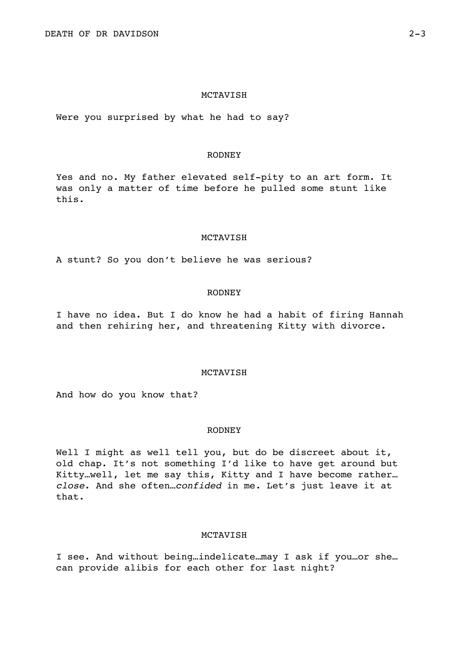Were you surprised by what he had to say?

## RODNEY

Yes and no. My father elevated self-pity to an art form. It was only a matter of time before he pulled some stunt like this.

### MCTAVISH

A stunt? So you don't believe he was serious?

#### RODNEY

I have no idea. But I do know he had a habit of firing Hannah and then rehiring her, and threatening Kitty with divorce.

## **MCTAVISH**

And how do you know that?

#### RODNEY

Well I might as well tell you, but do be discreet about it, old chap. It's not something I'd like to have get around but Kitty…well, let me say this, Kitty and I have become rather… *close*. And she often…*confided* in me. Let's just leave it at that.

### MCTAVISH

I see. And without being…indelicate…may I ask if you…or she… can provide alibis for each other for last night?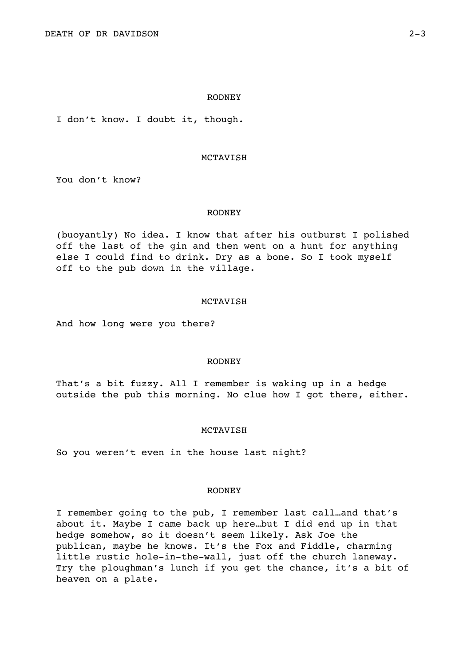#### RODNEY

I don't know. I doubt it, though.

### MCTAVISH

You don't know?

#### RODNEY

(buoyantly) No idea. I know that after his outburst I polished off the last of the gin and then went on a hunt for anything else I could find to drink. Dry as a bone. So I took myself off to the pub down in the village.

## MCTAVISH

And how long were you there?

## RODNEY

That's a bit fuzzy. All I remember is waking up in a hedge outside the pub this morning. No clue how I got there, either.

### MCTAVISH

So you weren't even in the house last night?

### RODNEY

I remember going to the pub, I remember last call…and that's about it. Maybe I came back up here…but I did end up in that hedge somehow, so it doesn't seem likely. Ask Joe the publican, maybe he knows. It's the Fox and Fiddle, charming little rustic hole-in-the-wall, just off the church laneway. Try the ploughman's lunch if you get the chance, it's a bit of heaven on a plate.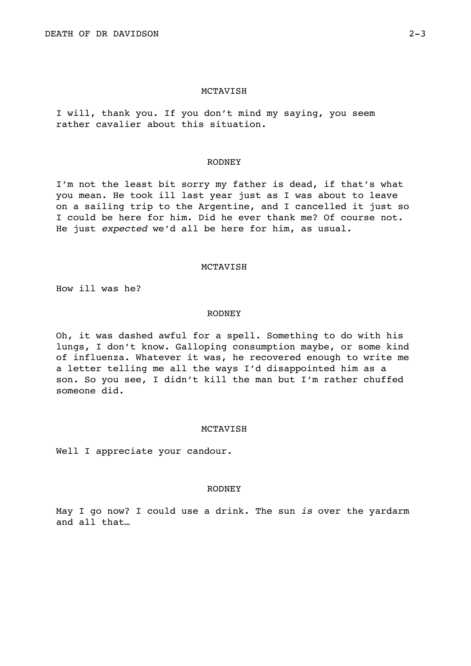I will, thank you. If you don't mind my saying, you seem rather cavalier about this situation.

#### RODNEY

I'm not the least bit sorry my father is dead, if that's what you mean. He took ill last year just as I was about to leave on a sailing trip to the Argentine, and I cancelled it just so I could be here for him. Did he ever thank me? Of course not. He just *expected* we'd all be here for him, as usual.

## MCTAVISH

How ill was he?

#### RODNEY

Oh, it was dashed awful for a spell. Something to do with his lungs, I don't know. Galloping consumption maybe, or some kind of influenza. Whatever it was, he recovered enough to write me a letter telling me all the ways I'd disappointed him as a son. So you see, I didn't kill the man but I'm rather chuffed someone did.

## MCTAVISH

Well I appreciate your candour.

### RODNEY

May I go now? I could use a drink. The sun *is* over the yardarm and all that…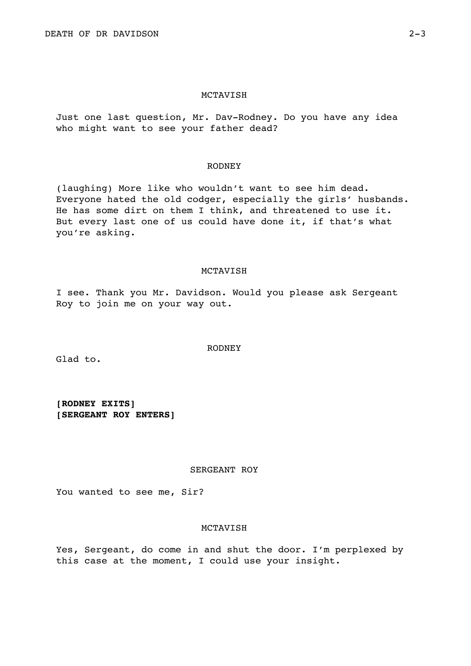Just one last question, Mr. Dav-Rodney. Do you have any idea who might want to see your father dead?

#### RODNEY

(laughing) More like who wouldn't want to see him dead. Everyone hated the old codger, especially the girls' husbands. He has some dirt on them I think, and threatened to use it. But every last one of us could have done it, if that's what you're asking.

## MCTAVISH

I see. Thank you Mr. Davidson. Would you please ask Sergeant Roy to join me on your way out.

RODNEY

Glad to.

**[RODNEY EXITS] [SERGEANT ROY ENTERS]** 

## SERGEANT ROY

You wanted to see me, Sir?

## MCTAVISH

Yes, Sergeant, do come in and shut the door. I'm perplexed by this case at the moment, I could use your insight.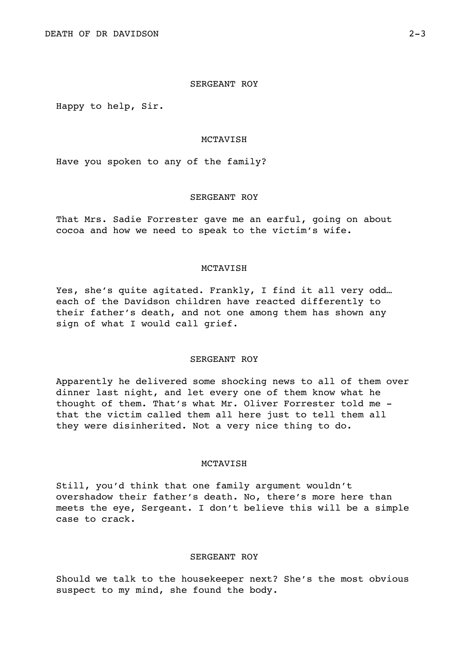## SERGEANT ROY

Happy to help, Sir.

#### MCTAVISH

Have you spoken to any of the family?

## SERGEANT ROY

That Mrs. Sadie Forrester gave me an earful, going on about cocoa and how we need to speak to the victim's wife.

## MCTAVISH

Yes, she's quite agitated. Frankly, I find it all very odd… each of the Davidson children have reacted differently to their father's death, and not one among them has shown any sign of what I would call grief.

## SERGEANT ROY

Apparently he delivered some shocking news to all of them over dinner last night, and let every one of them know what he thought of them. That's what Mr. Oliver Forrester told me that the victim called them all here just to tell them all they were disinherited. Not a very nice thing to do.

## MCTAVISH

Still, you'd think that one family argument wouldn't overshadow their father's death. No, there's more here than meets the eye, Sergeant. I don't believe this will be a simple case to crack.

## SERGEANT ROY

Should we talk to the housekeeper next? She's the most obvious suspect to my mind, she found the body.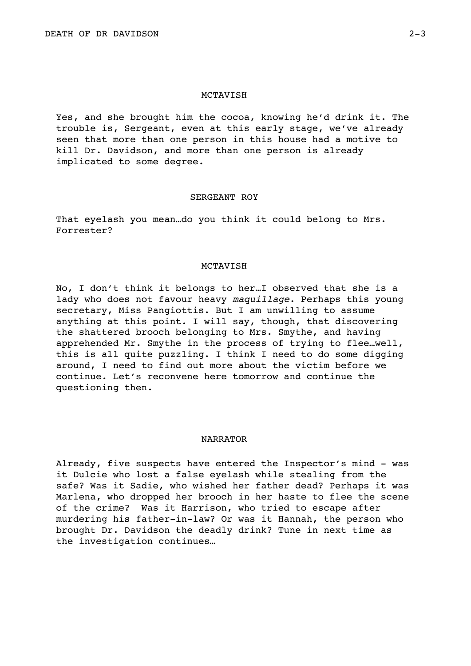Yes, and she brought him the cocoa, knowing he'd drink it. The trouble is, Sergeant, even at this early stage, we've already seen that more than one person in this house had a motive to kill Dr. Davidson, and more than one person is already implicated to some degree.

## SERGEANT ROY

That eyelash you mean…do you think it could belong to Mrs. Forrester?

## MCTAVISH

No, I don't think it belongs to her…I observed that she is a lady who does not favour heavy *maquillage*. Perhaps this young secretary, Miss Pangiottis. But I am unwilling to assume anything at this point. I will say, though, that discovering the shattered brooch belonging to Mrs. Smythe, and having apprehended Mr. Smythe in the process of trying to flee…well, this is all quite puzzling. I think I need to do some digging around, I need to find out more about the victim before we continue. Let's reconvene here tomorrow and continue the questioning then.

## NARRATOR

Already, five suspects have entered the Inspector's mind - was it Dulcie who lost a false eyelash while stealing from the safe? Was it Sadie, who wished her father dead? Perhaps it was Marlena, who dropped her brooch in her haste to flee the scene of the crime? Was it Harrison, who tried to escape after murdering his father-in-law? Or was it Hannah, the person who brought Dr. Davidson the deadly drink? Tune in next time as the investigation continues…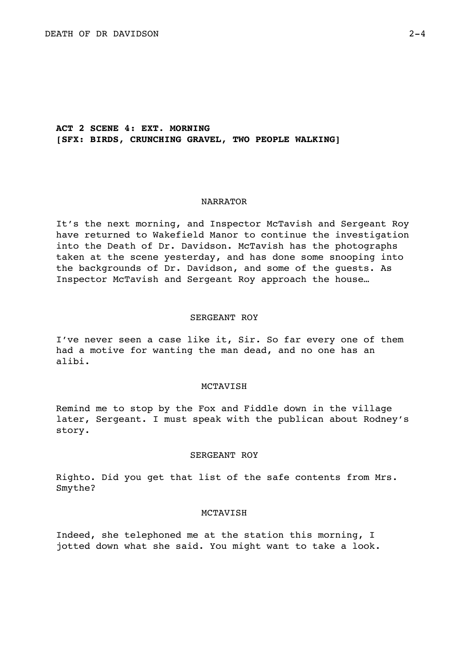# **ACT 2 SCENE 4: EXT. MORNING [SFX: BIRDS, CRUNCHING GRAVEL, TWO PEOPLE WALKING]**

### NARRATOR

It's the next morning, and Inspector McTavish and Sergeant Roy have returned to Wakefield Manor to continue the investigation into the Death of Dr. Davidson. McTavish has the photographs taken at the scene yesterday, and has done some snooping into the backgrounds of Dr. Davidson, and some of the guests. As Inspector McTavish and Sergeant Roy approach the house…

### SERGEANT ROY

I've never seen a case like it, Sir. So far every one of them had a motive for wanting the man dead, and no one has an alibi.

## MCTAVISH

Remind me to stop by the Fox and Fiddle down in the village later, Sergeant. I must speak with the publican about Rodney's story.

#### SERGEANT ROY

Righto. Did you get that list of the safe contents from Mrs. Smythe?

### MCTAVISH

Indeed, she telephoned me at the station this morning, I jotted down what she said. You might want to take a look.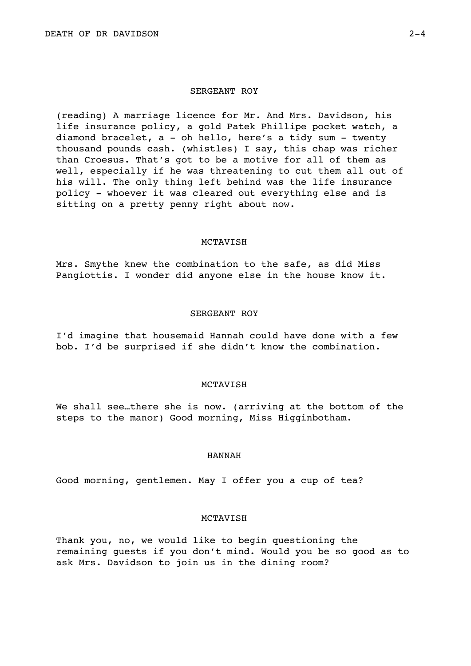### SERGEANT ROY

(reading) A marriage licence for Mr. And Mrs. Davidson, his life insurance policy, a gold Patek Phillipe pocket watch, a diamond bracelet, a - oh hello, here's a tidy sum - twenty thousand pounds cash. (whistles) I say, this chap was richer than Croesus. That's got to be a motive for all of them as well, especially if he was threatening to cut them all out of his will. The only thing left behind was the life insurance policy - whoever it was cleared out everything else and is sitting on a pretty penny right about now.

### MCTAVISH

Mrs. Smythe knew the combination to the safe, as did Miss Pangiottis. I wonder did anyone else in the house know it.

#### SERGEANT ROY

I'd imagine that housemaid Hannah could have done with a few bob. I'd be surprised if she didn't know the combination.

## MCTAVISH

We shall see…there she is now. (arriving at the bottom of the steps to the manor) Good morning, Miss Higginbotham.

### HANNAH

Good morning, gentlemen. May I offer you a cup of tea?

## MCTAVISH

Thank you, no, we would like to begin questioning the remaining guests if you don't mind. Would you be so good as to ask Mrs. Davidson to join us in the dining room?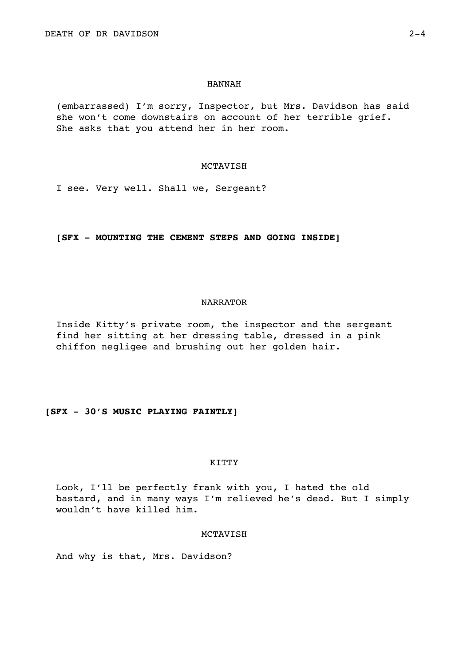#### HANNAH

(embarrassed) I'm sorry, Inspector, but Mrs. Davidson has said she won't come downstairs on account of her terrible grief. She asks that you attend her in her room.

#### MCTAVISH

I see. Very well. Shall we, Sergeant?

# **[SFX - MOUNTING THE CEMENT STEPS AND GOING INSIDE]**

### NARRATOR

Inside Kitty's private room, the inspector and the sergeant find her sitting at her dressing table, dressed in a pink chiffon negligee and brushing out her golden hair.

# **[SFX - 30'S MUSIC PLAYING FAINTLY]**

## KITTY

Look, I'll be perfectly frank with you, I hated the old bastard, and in many ways I'm relieved he's dead. But I simply wouldn't have killed him.

## MCTAVISH

And why is that, Mrs. Davidson?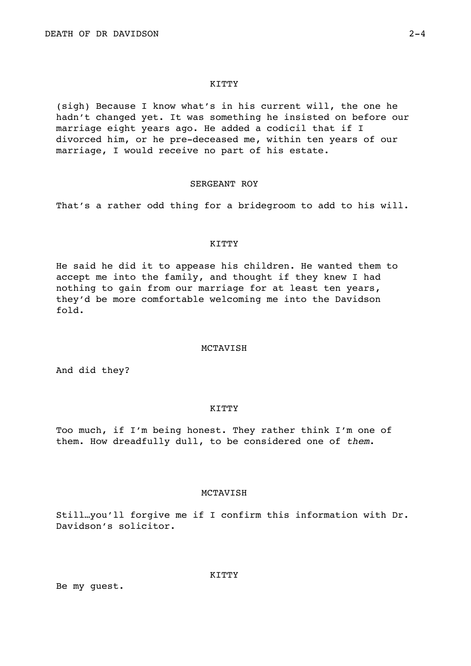## **KITTY**

(sigh) Because I know what's in his current will, the one he hadn't changed yet. It was something he insisted on before our marriage eight years ago. He added a codicil that if I divorced him, or he pre-deceased me, within ten years of our marriage, I would receive no part of his estate.

## SERGEANT ROY

That's a rather odd thing for a bridegroom to add to his will.

## KITTY

He said he did it to appease his children. He wanted them to accept me into the family, and thought if they knew I had nothing to gain from our marriage for at least ten years, they'd be more comfortable welcoming me into the Davidson fold.

#### MCTAVISH

And did they?

### KITTY

Too much, if I'm being honest. They rather think I'm one of them. How dreadfully dull, to be considered one of *them*.

## MCTAVISH

Still…you'll forgive me if I confirm this information with Dr. Davidson's solicitor.

Be my guest.

KITTY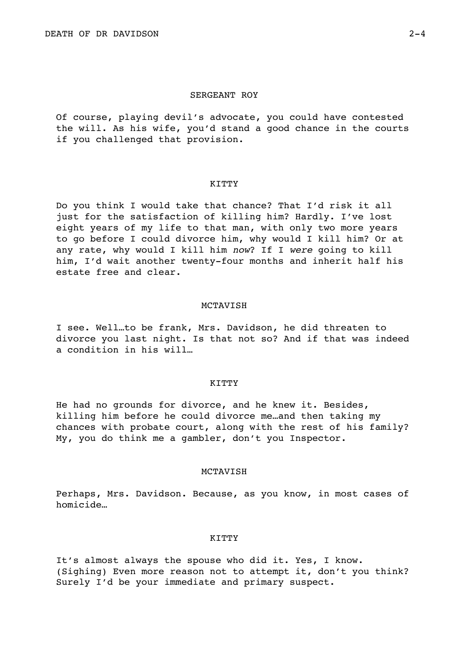Of course, playing devil's advocate, you could have contested the will. As his wife, you'd stand a good chance in the courts if you challenged that provision.

### KITTY

Do you think I would take that chance? That I'd risk it all just for the satisfaction of killing him? Hardly. I've lost eight years of my life to that man, with only two more years to go before I could divorce him, why would I kill him? Or at any rate, why would I kill him *now*? If I *were* going to kill him, I'd wait another twenty-four months and inherit half his estate free and clear.

#### MCTAVISH

I see. Well…to be frank, Mrs. Davidson, he did threaten to divorce you last night. Is that not so? And if that was indeed a condition in his will…

### KITTY

He had no grounds for divorce, and he knew it. Besides, killing him before he could divorce me…and then taking my chances with probate court, along with the rest of his family? My, you do think me a gambler, don't you Inspector.

## MCTAVISH

Perhaps, Mrs. Davidson. Because, as you know, in most cases of homicide…

### KITTY

It's almost always the spouse who did it. Yes, I know. (Sighing) Even more reason not to attempt it, don't you think? Surely I'd be your immediate and primary suspect.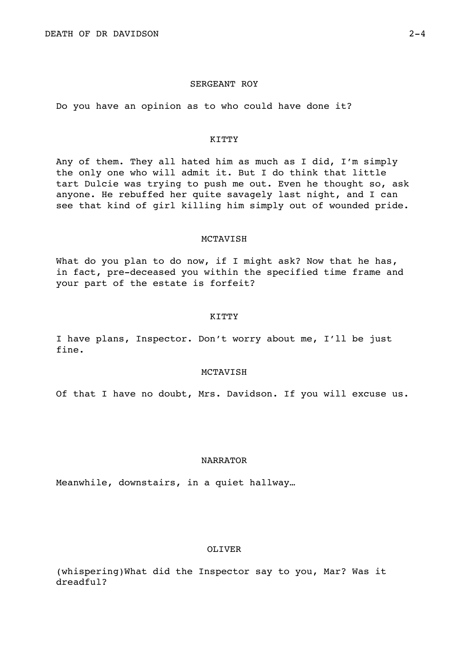## SERGEANT ROY

Do you have an opinion as to who could have done it?

#### KITTY

Any of them. They all hated him as much as I did, I'm simply the only one who will admit it. But I do think that little tart Dulcie was trying to push me out. Even he thought so, ask anyone. He rebuffed her quite savagely last night, and I can see that kind of girl killing him simply out of wounded pride.

#### MCTAVISH

What do you plan to do now, if I might ask? Now that he has, in fact, pre-deceased you within the specified time frame and your part of the estate is forfeit?

### KITTY

I have plans, Inspector. Don't worry about me, I'll be just fine.

## MCTAVISH

Of that I have no doubt, Mrs. Davidson. If you will excuse us.

### NARRATOR

Meanwhile, downstairs, in a quiet hallway…

# OLIVER

(whispering)What did the Inspector say to you, Mar? Was it dreadful?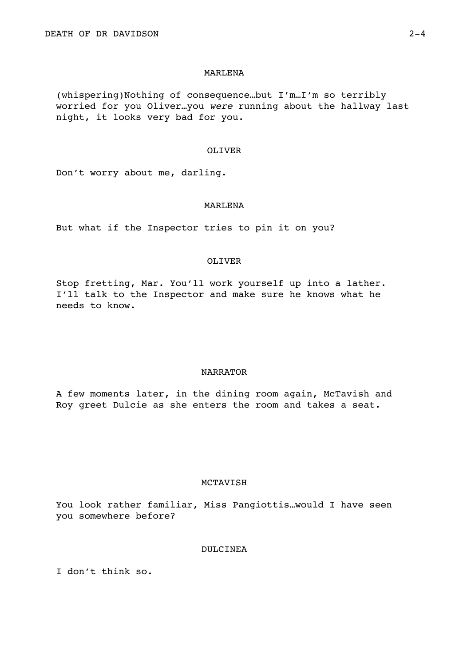## MARLENA

(whispering)Nothing of consequence…but I'm…I'm so terribly worried for you Oliver…you *were* running about the hallway last night, it looks very bad for you.

## OLIVER

Don't worry about me, darling.

## MARLENA

But what if the Inspector tries to pin it on you?

# OLIVER

Stop fretting, Mar. You'll work yourself up into a lather. I'll talk to the Inspector and make sure he knows what he needs to know.

## NARRATOR

A few moments later, in the dining room again, McTavish and Roy greet Dulcie as she enters the room and takes a seat.

# MCTAVISH

You look rather familiar, Miss Pangiottis…would I have seen you somewhere before?

# DULCINEA

I don't think so.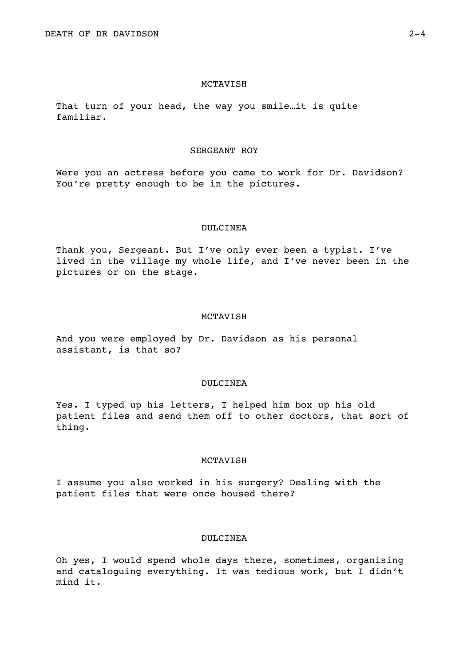That turn of your head, the way you smile…it is quite familiar.

# SERGEANT ROY

Were you an actress before you came to work for Dr. Davidson? You're pretty enough to be in the pictures.

#### DULCINEA

Thank you, Sergeant. But I've only ever been a typist. I've lived in the village my whole life, and I've never been in the pictures or on the stage.

## MCTAVISH

And you were employed by Dr. Davidson as his personal assistant, is that so?

### DULCINEA

Yes. I typed up his letters, I helped him box up his old patient files and send them off to other doctors, that sort of thing.

## MCTAVISH

I assume you also worked in his surgery? Dealing with the patient files that were once housed there?

## DULCINEA

Oh yes, I would spend whole days there, sometimes, organising and cataloguing everything. It was tedious work, but I didn't mind it.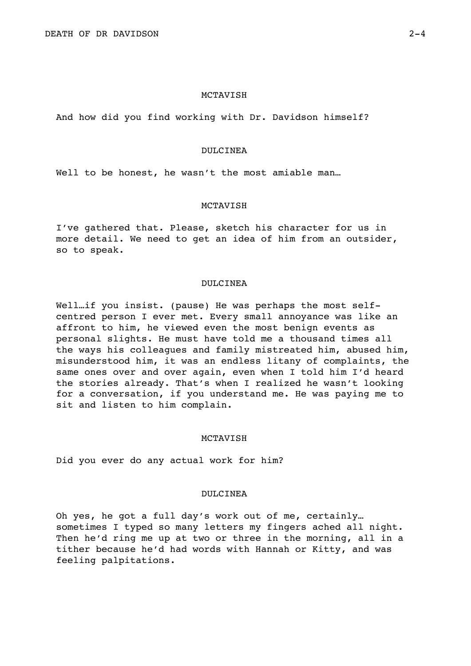And how did you find working with Dr. Davidson himself?

## DULCINEA

Well to be honest, he wasn't the most amiable man...

## MCTAVISH

I've gathered that. Please, sketch his character for us in more detail. We need to get an idea of him from an outsider, so to speak.

### DULCINEA

Well…if you insist. (pause) He was perhaps the most selfcentred person I ever met. Every small annoyance was like an affront to him, he viewed even the most benign events as personal slights. He must have told me a thousand times all the ways his colleagues and family mistreated him, abused him, misunderstood him, it was an endless litany of complaints, the same ones over and over again, even when I told him I'd heard the stories already. That's when I realized he wasn't looking for a conversation, if you understand me. He was paying me to sit and listen to him complain.

## **MCTAVISH**

Did you ever do any actual work for him?

## DULCINEA

Oh yes, he got a full day's work out of me, certainly… sometimes I typed so many letters my fingers ached all night. Then he'd ring me up at two or three in the morning, all in a tither because he'd had words with Hannah or Kitty, and was feeling palpitations.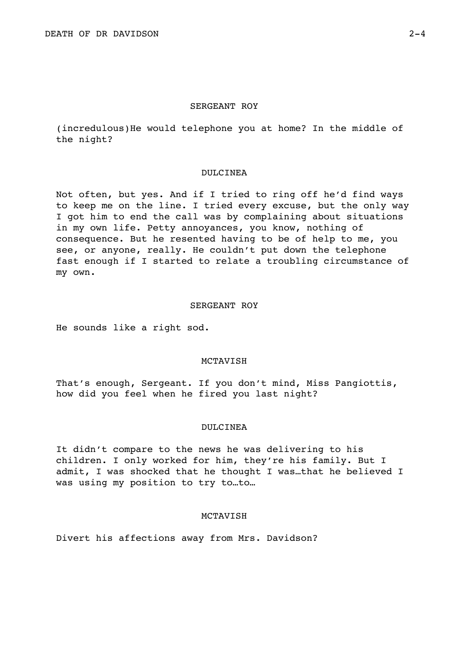## SERGEANT ROY

(incredulous)He would telephone you at home? In the middle of the night?

## DULCINEA

Not often, but yes. And if I tried to ring off he'd find ways to keep me on the line. I tried every excuse, but the only way I got him to end the call was by complaining about situations in my own life. Petty annoyances, you know, nothing of consequence. But he resented having to be of help to me, you see, or anyone, really. He couldn't put down the telephone fast enough if I started to relate a troubling circumstance of my own.

## SERGEANT ROY

He sounds like a right sod.

# MCTAVISH

That's enough, Sergeant. If you don't mind, Miss Pangiottis, how did you feel when he fired you last night?

## DULCINEA

It didn't compare to the news he was delivering to his children. I only worked for him, they're his family. But I admit, I was shocked that he thought I was…that he believed I was using my position to try to…to…

# MCTAVISH

Divert his affections away from Mrs. Davidson?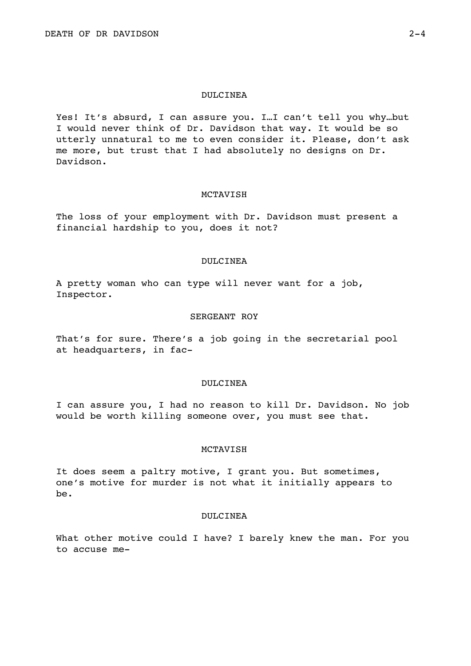## DULCINEA

Yes! It's absurd, I can assure you. I…I can't tell you why…but I would never think of Dr. Davidson that way. It would be so utterly unnatural to me to even consider it. Please, don't ask me more, but trust that I had absolutely no designs on Dr. Davidson.

### MCTAVISH

The loss of your employment with Dr. Davidson must present a financial hardship to you, does it not?

## DULCINEA

A pretty woman who can type will never want for a job, Inspector.

## SERGEANT ROY

That's for sure. There's a job going in the secretarial pool at headquarters, in fac-

### DULCINEA

I can assure you, I had no reason to kill Dr. Davidson. No job would be worth killing someone over, you must see that.

## MCTAVISH

It does seem a paltry motive, I grant you. But sometimes, one's motive for murder is not what it initially appears to be.

## DULCINEA

What other motive could I have? I barely knew the man. For you to accuse me-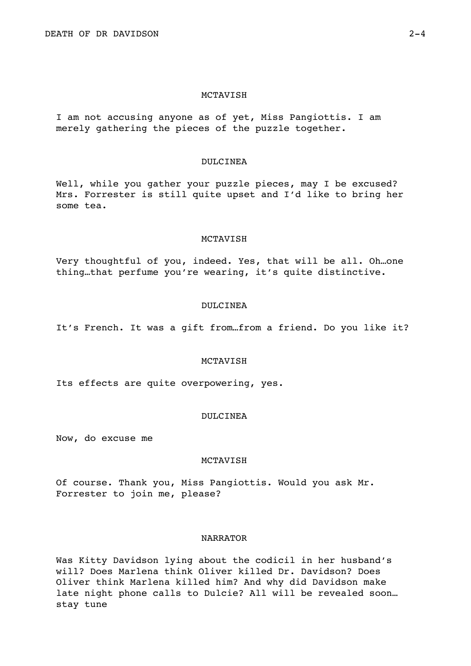I am not accusing anyone as of yet, Miss Pangiottis. I am merely gathering the pieces of the puzzle together.

## DULCINEA

Well, while you gather your puzzle pieces, may I be excused? Mrs. Forrester is still quite upset and I'd like to bring her some tea.

#### MCTAVISH

Very thoughtful of you, indeed. Yes, that will be all. Oh…one thing…that perfume you're wearing, it's quite distinctive.

#### DULCINEA

It's French. It was a gift from…from a friend. Do you like it?

## MCTAVISH

Its effects are quite overpowering, yes.

## DULCINEA

Now, do excuse me

## **MCTAVISH**

Of course. Thank you, Miss Pangiottis. Would you ask Mr. Forrester to join me, please?

## NARRATOR

Was Kitty Davidson lying about the codicil in her husband's will? Does Marlena think Oliver killed Dr. Davidson? Does Oliver think Marlena killed him? And why did Davidson make late night phone calls to Dulcie? All will be revealed soon… stay tune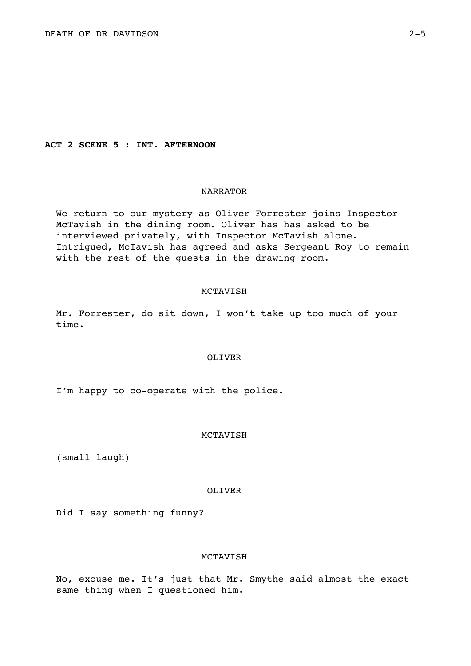**ACT 2 SCENE 5 : INT. AFTERNOON** 

## NARRATOR

We return to our mystery as Oliver Forrester joins Inspector McTavish in the dining room. Oliver has has asked to be interviewed privately, with Inspector McTavish alone. Intrigued, McTavish has agreed and asks Sergeant Roy to remain with the rest of the guests in the drawing room.

## MCTAVISH

Mr. Forrester, do sit down, I won't take up too much of your time.

### OLIVER

I'm happy to co-operate with the police.

### MCTAVISH

(small laugh)

#### OLIVER

Did I say something funny?

## MCTAVISH

No, excuse me. It's just that Mr. Smythe said almost the exact same thing when I questioned him.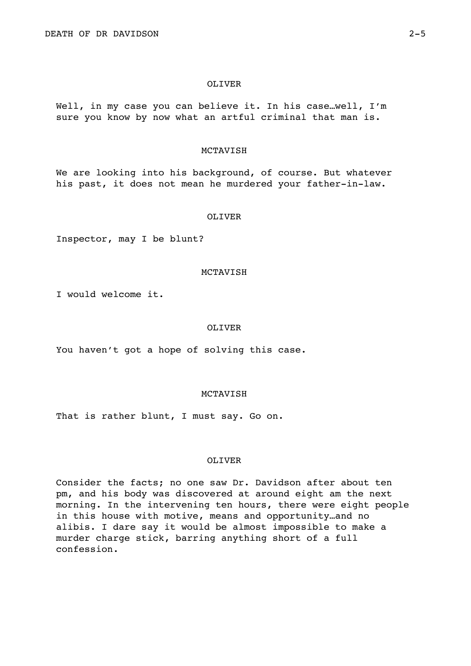#### OLIVER

Well, in my case you can believe it. In his case…well, I'm sure you know by now what an artful criminal that man is.

## MCTAVISH

We are looking into his background, of course. But whatever his past, it does not mean he murdered your father-in-law.

#### OLIVER

Inspector, may I be blunt?

### MCTAVISH

I would welcome it.

### OLIVER

You haven't got a hope of solving this case.

## **MCTAVISH**

That is rather blunt, I must say. Go on.

### OLIVER

Consider the facts; no one saw Dr. Davidson after about ten pm, and his body was discovered at around eight am the next morning. In the intervening ten hours, there were eight people in this house with motive, means and opportunity…and no alibis. I dare say it would be almost impossible to make a murder charge stick, barring anything short of a full confession.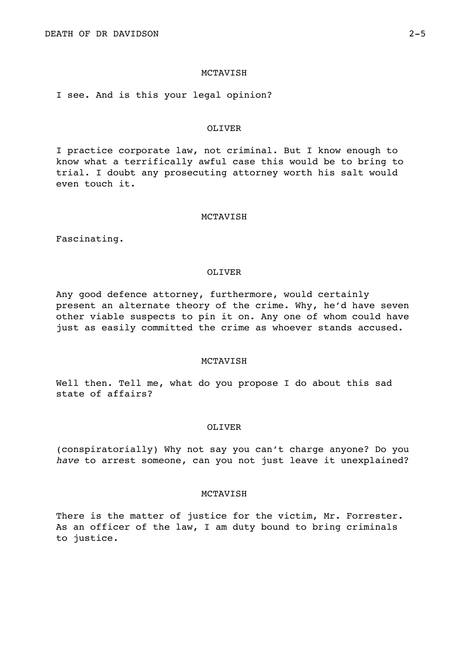I see. And is this your legal opinion?

## OLIVER

I practice corporate law, not criminal. But I know enough to know what a terrifically awful case this would be to bring to trial. I doubt any prosecuting attorney worth his salt would even touch it.

## **MCTAVISH**

Fascinating.

### OLIVER

Any good defence attorney, furthermore, would certainly present an alternate theory of the crime. Why, he'd have seven other viable suspects to pin it on. Any one of whom could have just as easily committed the crime as whoever stands accused.

## **MCTAVISH**

Well then. Tell me, what do you propose I do about this sad state of affairs?

### OLIVER

(conspiratorially) Why not say you can't charge anyone? Do you *have* to arrest someone, can you not just leave it unexplained?

#### **MCTAVISH**

There is the matter of justice for the victim, Mr. Forrester. As an officer of the law, I am duty bound to bring criminals to justice.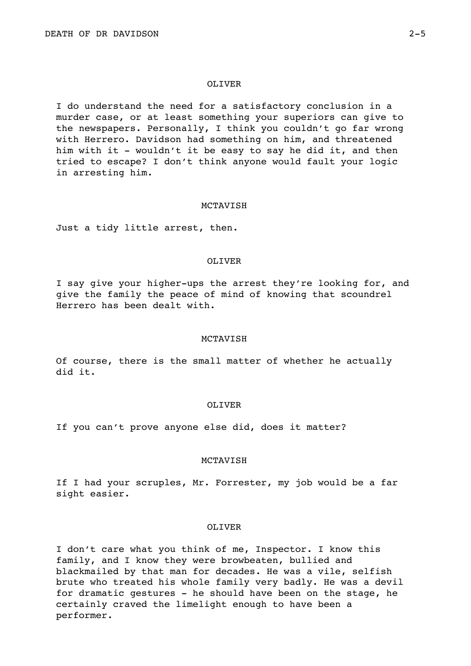#### OLIVER

I do understand the need for a satisfactory conclusion in a murder case, or at least something your superiors can give to the newspapers. Personally, I think you couldn't go far wrong with Herrero. Davidson had something on him, and threatened him with it - wouldn't it be easy to say he did it, and then tried to escape? I don't think anyone would fault your logic in arresting him.

## MCTAVISH

Just a tidy little arrest, then.

## OLIVER

I say give your higher-ups the arrest they're looking for, and give the family the peace of mind of knowing that scoundrel Herrero has been dealt with.

## MCTAVISH

Of course, there is the small matter of whether he actually did it.

### OLIVER

If you can't prove anyone else did, does it matter?

### MCTAVISH

If I had your scruples, Mr. Forrester, my job would be a far sight easier.

## OLIVER

I don't care what you think of me, Inspector. I know this family, and I know they were browbeaten, bullied and blackmailed by that man for decades. He was a vile, selfish brute who treated his whole family very badly. He was a devil for dramatic gestures - he should have been on the stage, he certainly craved the limelight enough to have been a performer.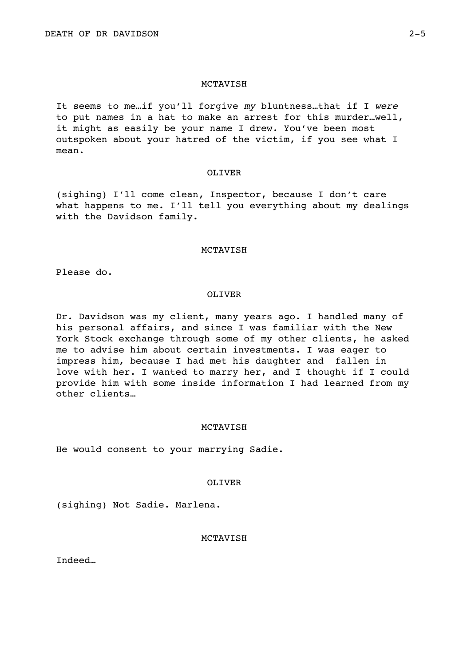It seems to me…if you'll forgive *my* bluntness…that if I *were* to put names in a hat to make an arrest for this murder…well, it might as easily be your name I drew. You've been most outspoken about your hatred of the victim, if you see what I mean.

### OLIVER

(sighing) I'll come clean, Inspector, because I don't care what happens to me. I'll tell you everything about my dealings with the Davidson family.

## MCTAVISH

Please do.

## OLIVER

Dr. Davidson was my client, many years ago. I handled many of his personal affairs, and since I was familiar with the New York Stock exchange through some of my other clients, he asked me to advise him about certain investments. I was eager to impress him, because I had met his daughter and fallen in love with her. I wanted to marry her, and I thought if I could provide him with some inside information I had learned from my other clients…

## **MCTAVISH**

He would consent to your marrying Sadie.

## OLIVER

(sighing) Not Sadie. Marlena.

## MCTAVISH

Indeed…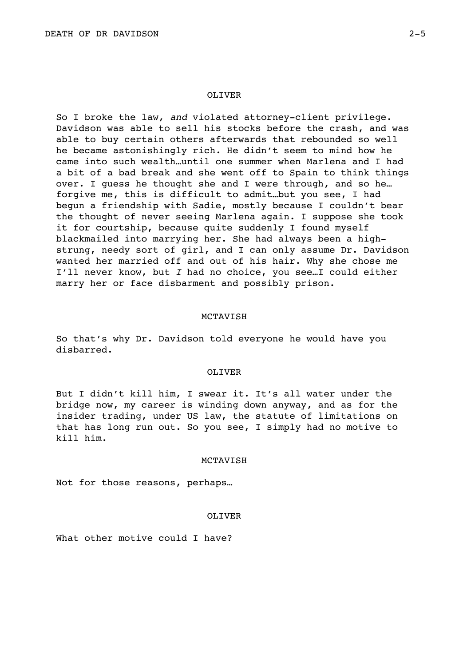So I broke the law, *and* violated attorney-client privilege. Davidson was able to sell his stocks before the crash, and was able to buy certain others afterwards that rebounded so well he became astonishingly rich. He didn't seem to mind how he came into such wealth…until one summer when Marlena and I had a bit of a bad break and she went off to Spain to think things over. I guess he thought she and I were through, and so he… forgive me, this is difficult to admit…but you see, I had begun a friendship with Sadie, mostly because I couldn't bear the thought of never seeing Marlena again. I suppose she took it for courtship, because quite suddenly I found myself blackmailed into marrying her. She had always been a highstrung, needy sort of girl, and I can only assume Dr. Davidson wanted her married off and out of his hair. Why she chose me I'll never know, but *I* had no choice, you see…I could either marry her or face disbarment and possibly prison.

## MCTAVISH

So that's why Dr. Davidson told everyone he would have you disbarred.

#### OLIVER

But I didn't kill him, I swear it. It's all water under the bridge now, my career is winding down anyway, and as for the insider trading, under US law, the statute of limitations on that has long run out. So you see, I simply had no motive to kill him.

#### **MCTAVISH**

Not for those reasons, perhaps…

### OLIVER

What other motive could I have?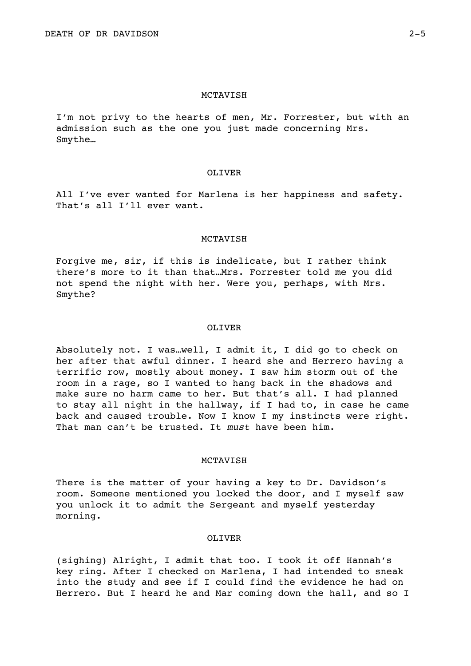I'm not privy to the hearts of men, Mr. Forrester, but with an admission such as the one you just made concerning Mrs. Smythe…

## OLIVER

All I've ever wanted for Marlena is her happiness and safety. That's all I'll ever want.

### MCTAVISH

Forgive me, sir, if this is indelicate, but I rather think there's more to it than that…Mrs. Forrester told me you did not spend the night with her. Were you, perhaps, with Mrs. Smythe?

### OLIVER

Absolutely not. I was…well, I admit it, I did go to check on her after that awful dinner. I heard she and Herrero having a terrific row, mostly about money. I saw him storm out of the room in a rage, so I wanted to hang back in the shadows and make sure no harm came to her. But that's all. I had planned to stay all night in the hallway, if I had to, in case he came back and caused trouble. Now I know I my instincts were right. That man can't be trusted. It *must* have been him.

### **MCTAVISH**

There is the matter of your having a key to Dr. Davidson's room. Someone mentioned you locked the door, and I myself saw you unlock it to admit the Sergeant and myself yesterday morning.

## OLIVER

(sighing) Alright, I admit that too. I took it off Hannah's key ring. After I checked on Marlena, I had intended to sneak into the study and see if I could find the evidence he had on Herrero. But I heard he and Mar coming down the hall, and so I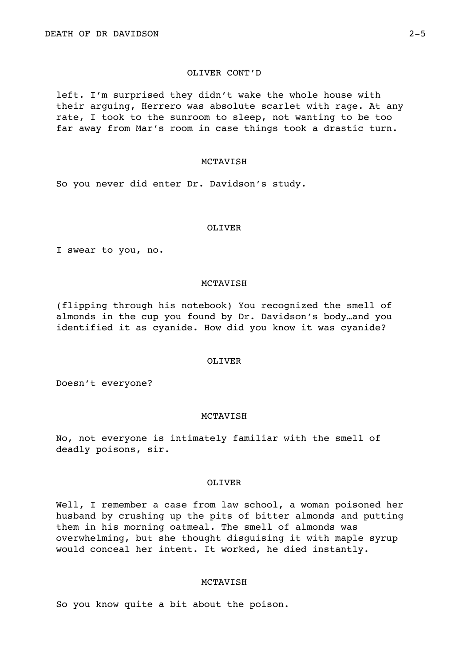## OLIVER CONT'D

left. I'm surprised they didn't wake the whole house with their arguing, Herrero was absolute scarlet with rage. At any rate, I took to the sunroom to sleep, not wanting to be too far away from Mar's room in case things took a drastic turn.

## MCTAVISH

So you never did enter Dr. Davidson's study.

#### OLIVER

I swear to you, no.

### MCTAVISH

(flipping through his notebook) You recognized the smell of almonds in the cup you found by Dr. Davidson's body…and you identified it as cyanide. How did you know it was cyanide?

# OLIVER

Doesn't everyone?

## MCTAVISH

No, not everyone is intimately familiar with the smell of deadly poisons, sir.

## OLIVER

Well, I remember a case from law school, a woman poisoned her husband by crushing up the pits of bitter almonds and putting them in his morning oatmeal. The smell of almonds was overwhelming, but she thought disguising it with maple syrup would conceal her intent. It worked, he died instantly.

## MCTAVISH

So you know quite a bit about the poison.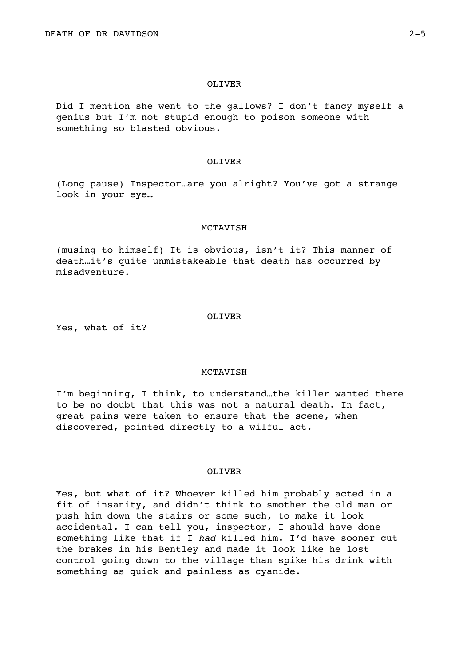#### OLIVER

Did I mention she went to the gallows? I don't fancy myself a genius but I'm not stupid enough to poison someone with something so blasted obvious.

## OLIVER

(Long pause) Inspector…are you alright? You've got a strange look in your eye…

#### MCTAVISH

(musing to himself) It is obvious, isn't it? This manner of death…it's quite unmistakeable that death has occurred by misadventure.

Yes, what of it?

# OLIVER

#### MCTAVISH

I'm beginning, I think, to understand…the killer wanted there to be no doubt that this was not a natural death. In fact, great pains were taken to ensure that the scene, when discovered, pointed directly to a wilful act.

## OLIVER

Yes, but what of it? Whoever killed him probably acted in a fit of insanity, and didn't think to smother the old man or push him down the stairs or some such, to make it look accidental. I can tell you, inspector, I should have done something like that if I *had* killed him. I'd have sooner cut the brakes in his Bentley and made it look like he lost control going down to the village than spike his drink with something as quick and painless as cyanide.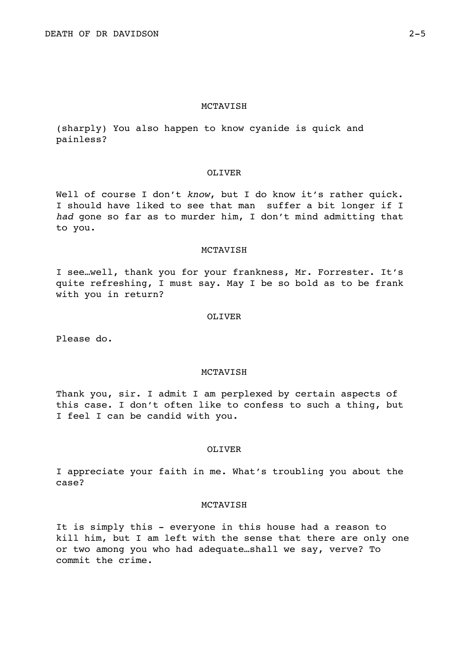(sharply) You also happen to know cyanide is quick and painless?

## OLIVER

Well of course I don't *know*, but I do know it's rather quick. I should have liked to see that man suffer a bit longer if I *had* gone so far as to murder him, I don't mind admitting that to you.

### MCTAVISH

I see…well, thank you for your frankness, Mr. Forrester. It's quite refreshing, I must say. May I be so bold as to be frank with you in return?

### OLIVER

Please do.

## MCTAVISH

Thank you, sir. I admit I am perplexed by certain aspects of this case. I don't often like to confess to such a thing, but I feel I can be candid with you.

# OLIVER

I appreciate your faith in me. What's troubling you about the case?

## MCTAVISH

It is simply this - everyone in this house had a reason to kill him, but I am left with the sense that there are only one or two among you who had adequate…shall we say, verve? To commit the crime.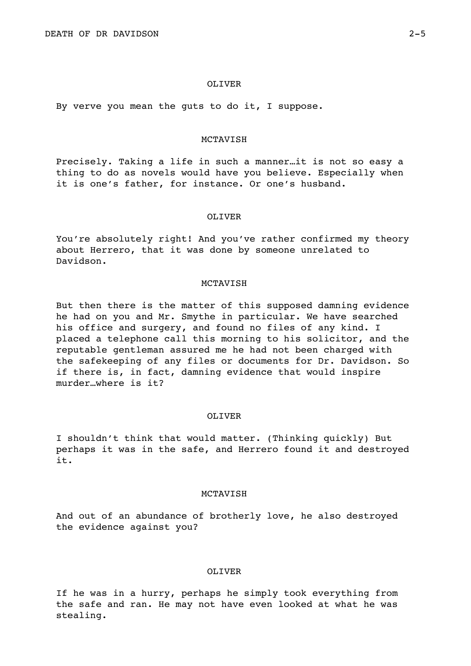By verve you mean the guts to do it, I suppose.

#### MCTAVISH

Precisely. Taking a life in such a manner…it is not so easy a thing to do as novels would have you believe. Especially when it is one's father, for instance. Or one's husband.

#### OLIVER

You're absolutely right! And you've rather confirmed my theory about Herrero, that it was done by someone unrelated to Davidson.

#### MCTAVISH

But then there is the matter of this supposed damning evidence he had on you and Mr. Smythe in particular. We have searched his office and surgery, and found no files of any kind. I placed a telephone call this morning to his solicitor, and the reputable gentleman assured me he had not been charged with the safekeeping of any files or documents for Dr. Davidson. So if there is, in fact, damning evidence that would inspire murder…where is it?

#### OLIVER

I shouldn't think that would matter. (Thinking quickly) But perhaps it was in the safe, and Herrero found it and destroyed it.

## **MCTAVISH**

And out of an abundance of brotherly love, he also destroyed the evidence against you?

## OLIVER

If he was in a hurry, perhaps he simply took everything from the safe and ran. He may not have even looked at what he was stealing.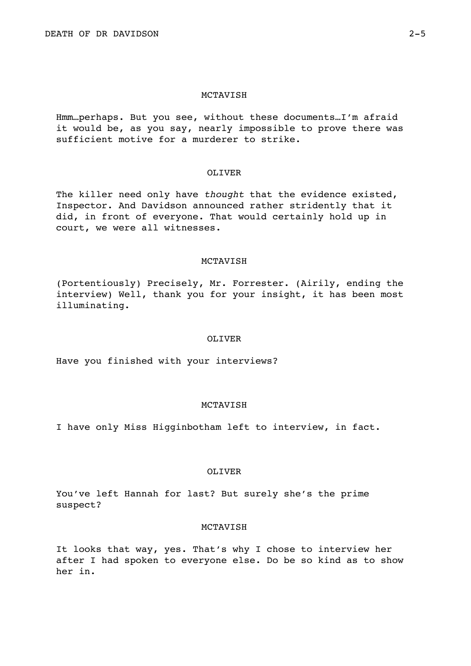Hmm…perhaps. But you see, without these documents…I'm afraid it would be, as you say, nearly impossible to prove there was sufficient motive for a murderer to strike.

## OLIVER

The killer need only have *thought* that the evidence existed, Inspector. And Davidson announced rather stridently that it did, in front of everyone. That would certainly hold up in court, we were all witnesses.

## MCTAVISH

(Portentiously) Precisely, Mr. Forrester. (Airily, ending the interview) Well, thank you for your insight, it has been most illuminating.

#### OLIVER

Have you finished with your interviews?

## MCTAVISH

I have only Miss Higginbotham left to interview, in fact.

# OLIVER

You've left Hannah for last? But surely she's the prime suspect?

## MCTAVISH

It looks that way, yes. That's why I chose to interview her after I had spoken to everyone else. Do be so kind as to show her in.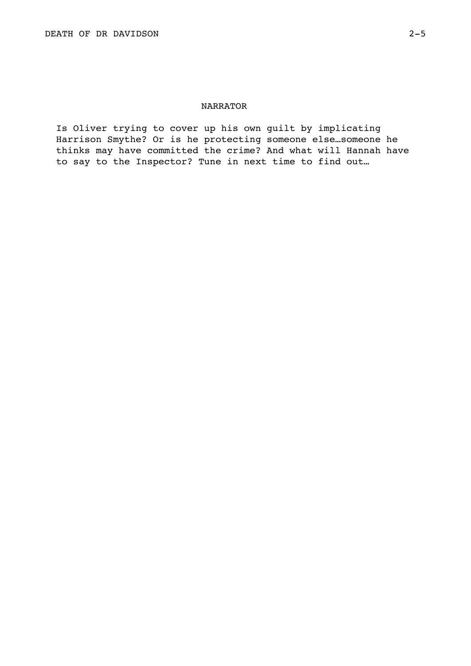# NARRATOR

Is Oliver trying to cover up his own guilt by implicating Harrison Smythe? Or is he protecting someone else…someone he thinks may have committed the crime? And what will Hannah have to say to the Inspector? Tune in next time to find out…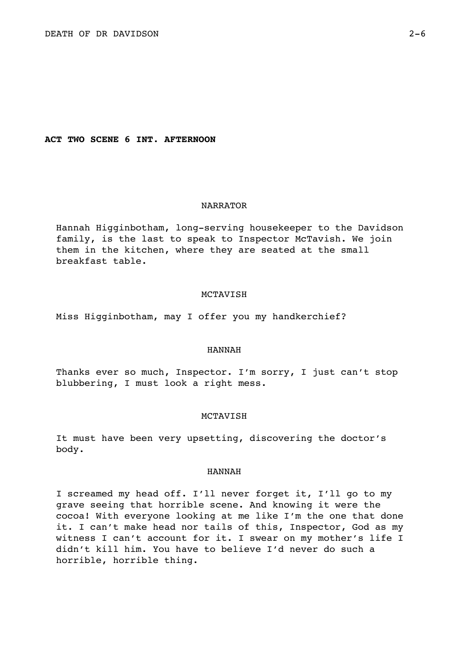**ACT TWO SCENE 6 INT. AFTERNOON** 

## NARRATOR

Hannah Higginbotham, long-serving housekeeper to the Davidson family, is the last to speak to Inspector McTavish. We join them in the kitchen, where they are seated at the small breakfast table.

## MCTAVISH

Miss Higginbotham, may I offer you my handkerchief?

## HANNAH

Thanks ever so much, Inspector. I'm sorry, I just can't stop blubbering, I must look a right mess.

## MCTAVISH

It must have been very upsetting, discovering the doctor's body.

## HANNAH

I screamed my head off. I'll never forget it, I'll go to my grave seeing that horrible scene. And knowing it were the cocoa! With everyone looking at me like I'm the one that done it. I can't make head nor tails of this, Inspector, God as my witness I can't account for it. I swear on my mother's life I didn't kill him. You have to believe I'd never do such a horrible, horrible thing.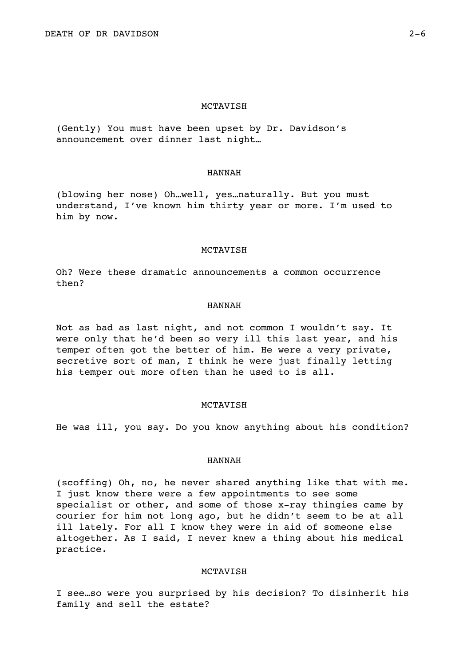(Gently) You must have been upset by Dr. Davidson's announcement over dinner last night…

## HANNAH

(blowing her nose) Oh…well, yes…naturally. But you must understand, I've known him thirty year or more. I'm used to him by now.

#### MCTAVISH

Oh? Were these dramatic announcements a common occurrence then?

## HANNAH

Not as bad as last night, and not common I wouldn't say. It were only that he'd been so very ill this last year, and his temper often got the better of him. He were a very private, secretive sort of man, I think he were just finally letting his temper out more often than he used to is all.

### MCTAVISH

He was ill, you say. Do you know anything about his condition?

## HANNAH

(scoffing) Oh, no, he never shared anything like that with me. I just know there were a few appointments to see some specialist or other, and some of those x-ray thingies came by courier for him not long ago, but he didn't seem to be at all ill lately. For all I know they were in aid of someone else altogether. As I said, I never knew a thing about his medical practice.

## MCTAVISH

I see…so were you surprised by his decision? To disinherit his family and sell the estate?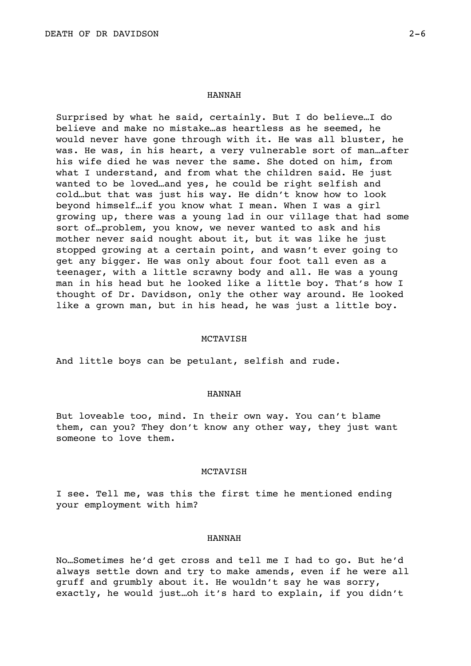#### HANNAH

Surprised by what he said, certainly. But I do believe…I do believe and make no mistake…as heartless as he seemed, he would never have gone through with it. He was all bluster, he was. He was, in his heart, a very vulnerable sort of man…after his wife died he was never the same. She doted on him, from what I understand, and from what the children said. He just wanted to be loved…and yes, he could be right selfish and cold…but that was just his way. He didn't know how to look beyond himself…if you know what I mean. When I was a girl growing up, there was a young lad in our village that had some sort of…problem, you know, we never wanted to ask and his mother never said nought about it, but it was like he just stopped growing at a certain point, and wasn't ever going to get any bigger. He was only about four foot tall even as a teenager, with a little scrawny body and all. He was a young man in his head but he looked like a little boy. That's how I thought of Dr. Davidson, only the other way around. He looked like a grown man, but in his head, he was just a little boy.

#### MCTAVISH

And little boys can be petulant, selfish and rude.

## HANNAH

But loveable too, mind. In their own way. You can't blame them, can you? They don't know any other way, they just want someone to love them.

### MCTAVISH

I see. Tell me, was this the first time he mentioned ending your employment with him?

## HANNAH

No…Sometimes he'd get cross and tell me I had to go. But he'd always settle down and try to make amends, even if he were all gruff and grumbly about it. He wouldn't say he was sorry, exactly, he would just…oh it's hard to explain, if you didn't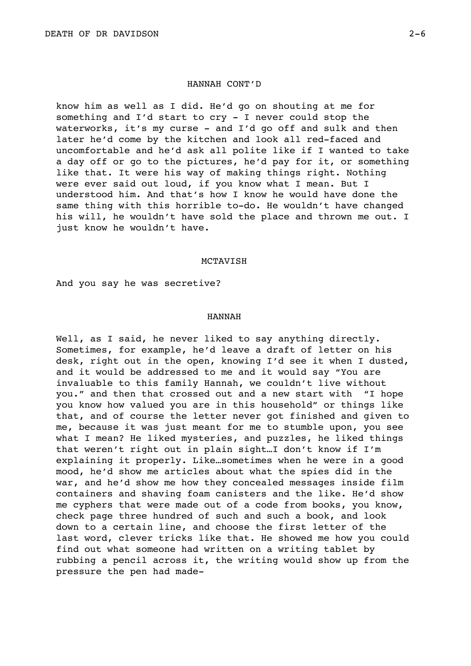# HANNAH CONT'D

know him as well as I did. He'd go on shouting at me for something and I'd start to cry - I never could stop the waterworks, it's my curse - and I'd go off and sulk and then later he'd come by the kitchen and look all red-faced and uncomfortable and he'd ask all polite like if I wanted to take a day off or go to the pictures, he'd pay for it, or something like that. It were his way of making things right. Nothing were ever said out loud, if you know what I mean. But I understood him. And that's how I know he would have done the same thing with this horrible to-do. He wouldn't have changed his will, he wouldn't have sold the place and thrown me out. I just know he wouldn't have.

### MCTAVISH

And you say he was secretive?

## HANNAH

Well, as I said, he never liked to say anything directly. Sometimes, for example, he'd leave a draft of letter on his desk, right out in the open, knowing I'd see it when I dusted, and it would be addressed to me and it would say "You are invaluable to this family Hannah, we couldn't live without you." and then that crossed out and a new start with "I hope you know how valued you are in this household" or things like that, and of course the letter never got finished and given to me, because it was just meant for me to stumble upon, you see what I mean? He liked mysteries, and puzzles, he liked things that weren't right out in plain sight…I don't know if I'm explaining it properly. Like…sometimes when he were in a good mood, he'd show me articles about what the spies did in the war, and he'd show me how they concealed messages inside film containers and shaving foam canisters and the like. He'd show me cyphers that were made out of a code from books, you know, check page three hundred of such and such a book, and look down to a certain line, and choose the first letter of the last word, clever tricks like that. He showed me how you could find out what someone had written on a writing tablet by rubbing a pencil across it, the writing would show up from the pressure the pen had made-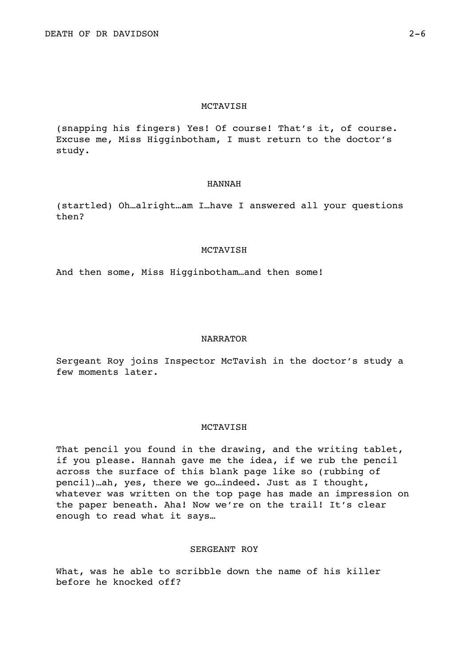(snapping his fingers) Yes! Of course! That's it, of course. Excuse me, Miss Higginbotham, I must return to the doctor's study.

### HANNAH

(startled) Oh…alright…am I…have I answered all your questions then?

### MCTAVISH

And then some, Miss Higginbotham…and then some!

# NARRATOR

Sergeant Roy joins Inspector McTavish in the doctor's study a few moments later.

## MCTAVISH

That pencil you found in the drawing, and the writing tablet, if you please. Hannah gave me the idea, if we rub the pencil across the surface of this blank page like so (rubbing of pencil)…ah, yes, there we go…indeed. Just as I thought, whatever was written on the top page has made an impression on the paper beneath. Aha! Now we're on the trail! It's clear enough to read what it says…

# SERGEANT ROY

What, was he able to scribble down the name of his killer before he knocked off?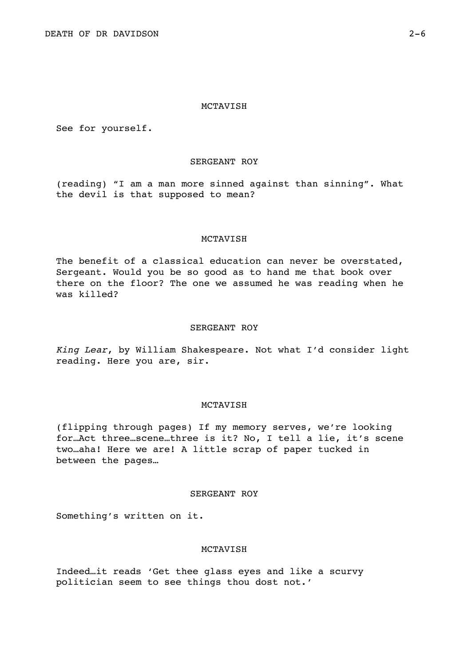See for yourself.

# SERGEANT ROY

(reading) "I am a man more sinned against than sinning". What the devil is that supposed to mean?

# MCTAVISH

The benefit of a classical education can never be overstated, Sergeant. Would you be so good as to hand me that book over there on the floor? The one we assumed he was reading when he was killed?

## SERGEANT ROY

*King Lear*, by William Shakespeare. Not what I'd consider light reading. Here you are, sir.

# MCTAVISH

(flipping through pages) If my memory serves, we're looking for…Act three…scene…three is it? No, I tell a lie, it's scene two…aha! Here we are! A little scrap of paper tucked in between the pages…

# SERGEANT ROY

Something's written on it.

# MCTAVISH

Indeed…it reads 'Get thee glass eyes and like a scurvy politician seem to see things thou dost not.'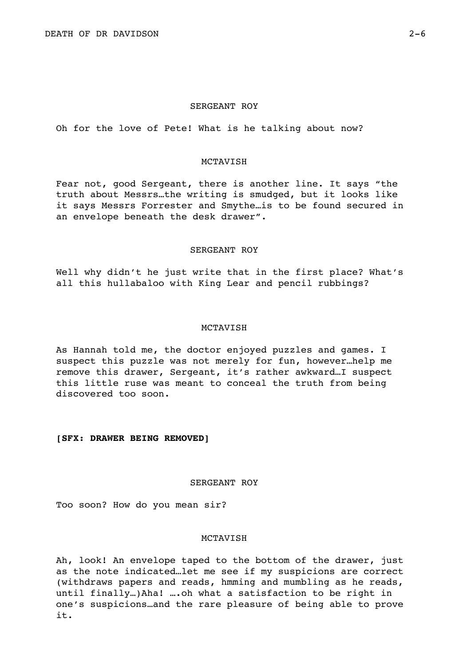## SERGEANT ROY

Oh for the love of Pete! What is he talking about now?

# MCTAVISH

Fear not, good Sergeant, there is another line. It says "the truth about Messrs…the writing is smudged, but it looks like it says Messrs Forrester and Smythe…is to be found secured in an envelope beneath the desk drawer".

### SERGEANT ROY

Well why didn't he just write that in the first place? What's all this hullabaloo with King Lear and pencil rubbings?

# MCTAVISH

As Hannah told me, the doctor enjoyed puzzles and games. I suspect this puzzle was not merely for fun, however…help me remove this drawer, Sergeant, it's rather awkward…I suspect this little ruse was meant to conceal the truth from being discovered too soon.

## **[SFX: DRAWER BEING REMOVED]**

# SERGEANT ROY

Too soon? How do you mean sir?

# MCTAVISH

Ah, look! An envelope taped to the bottom of the drawer, just as the note indicated…let me see if my suspicions are correct (withdraws papers and reads, hmming and mumbling as he reads, until finally…)Aha! ….oh what a satisfaction to be right in one's suspicions…and the rare pleasure of being able to prove it.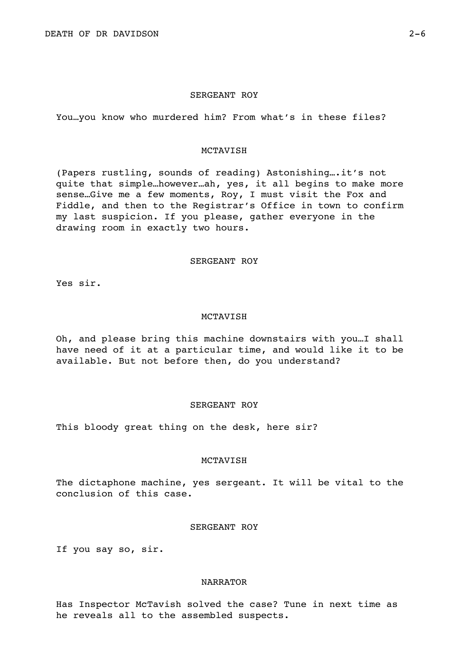## SERGEANT ROY

You…you know who murdered him? From what's in these files?

## MCTAVISH

(Papers rustling, sounds of reading) Astonishing….it's not quite that simple…however…ah, yes, it all begins to make more sense…Give me a few moments, Roy, I must visit the Fox and Fiddle, and then to the Registrar's Office in town to confirm my last suspicion. If you please, gather everyone in the drawing room in exactly two hours.

# SERGEANT ROY

Yes sir.

## MCTAVISH

Oh, and please bring this machine downstairs with you…I shall have need of it at a particular time, and would like it to be available. But not before then, do you understand?

# SERGEANT ROY

This bloody great thing on the desk, here sir?

### **MCTAVISH**

The dictaphone machine, yes sergeant. It will be vital to the conclusion of this case.

# SERGEANT ROY

If you say so, sir.

## NARRATOR

Has Inspector McTavish solved the case? Tune in next time as he reveals all to the assembled suspects.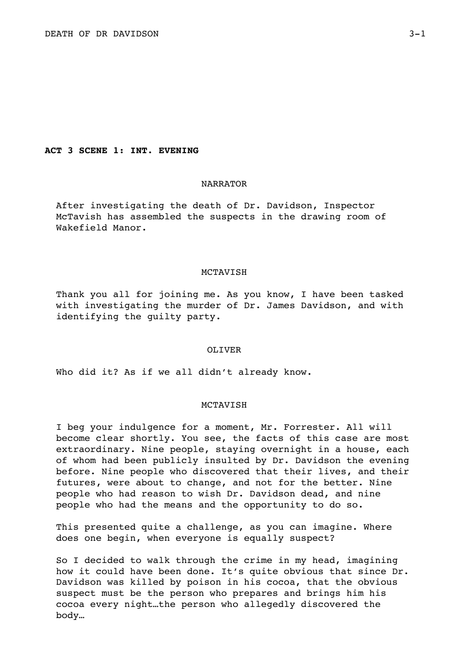# **ACT 3 SCENE 1: INT. EVENING**

# NARRATOR

After investigating the death of Dr. Davidson, Inspector McTavish has assembled the suspects in the drawing room of Wakefield Manor.

### MCTAVISH

Thank you all for joining me. As you know, I have been tasked with investigating the murder of Dr. James Davidson, and with identifying the guilty party.

## OLIVER

Who did it? As if we all didn't already know.

# **MCTAVISH**

I beg your indulgence for a moment, Mr. Forrester. All will become clear shortly. You see, the facts of this case are most extraordinary. Nine people, staying overnight in a house, each of whom had been publicly insulted by Dr. Davidson the evening before. Nine people who discovered that their lives, and their futures, were about to change, and not for the better. Nine people who had reason to wish Dr. Davidson dead, and nine people who had the means and the opportunity to do so.

This presented quite a challenge, as you can imagine. Where does one begin, when everyone is equally suspect?

So I decided to walk through the crime in my head, imagining how it could have been done. It's quite obvious that since Dr. Davidson was killed by poison in his cocoa, that the obvious suspect must be the person who prepares and brings him his cocoa every night…the person who allegedly discovered the body…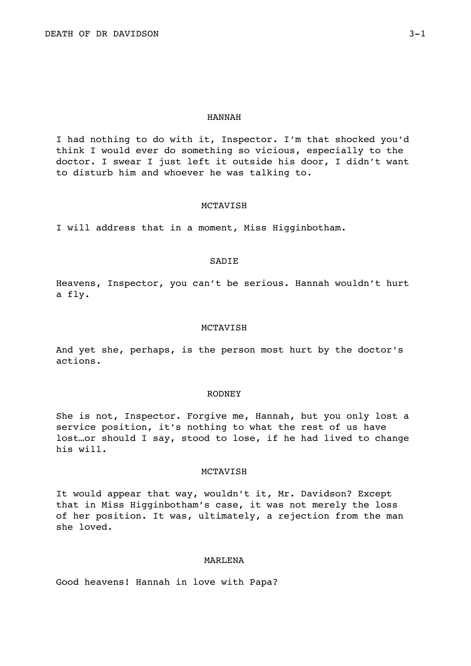#### HANNAH

I had nothing to do with it, Inspector. I'm that shocked you'd think I would ever do something so vicious, especially to the doctor. I swear I just left it outside his door, I didn't want to disturb him and whoever he was talking to.

## MCTAVISH

I will address that in a moment, Miss Higginbotham.

## SADIE

Heavens, Inspector, you can't be serious. Hannah wouldn't hurt a fly.

### MCTAVISH

And yet she, perhaps, is the person most hurt by the doctor's actions.

# RODNEY

She is not, Inspector. Forgive me, Hannah, but you only lost a service position, it's nothing to what the rest of us have lost…or should I say, stood to lose, if he had lived to change his will.

## MCTAVISH

It would appear that way, wouldn't it, Mr. Davidson? Except that in Miss Higginbotham's case, it was not merely the loss of her position. It was, ultimately, a rejection from the man she loved.

# MARLENA

Good heavens! Hannah in love with Papa?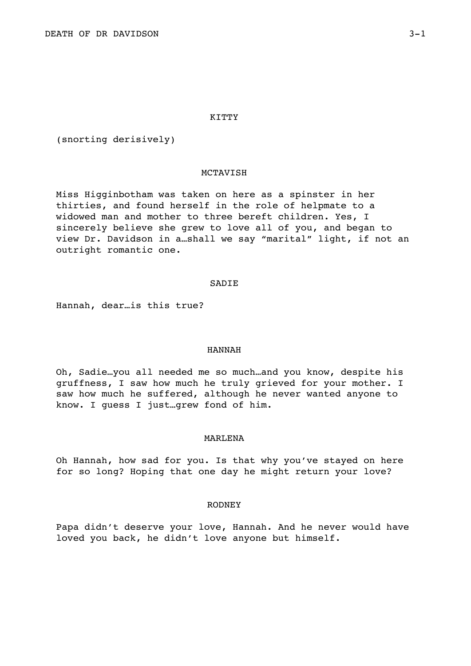### KITTY

(snorting derisively)

## MCTAVISH

Miss Higginbotham was taken on here as a spinster in her thirties, and found herself in the role of helpmate to a widowed man and mother to three bereft children. Yes, I sincerely believe she grew to love all of you, and began to view Dr. Davidson in a…shall we say "marital" light, if not an outright romantic one.

### SADIE

Hannah, dear…is this true?

### HANNAH

Oh, Sadie…you all needed me so much…and you know, despite his gruffness, I saw how much he truly grieved for your mother. I saw how much he suffered, although he never wanted anyone to know. I guess I just…grew fond of him.

# MARLENA

Oh Hannah, how sad for you. Is that why you've stayed on here for so long? Hoping that one day he might return your love?

### RODNEY

Papa didn't deserve your love, Hannah. And he never would have loved you back, he didn't love anyone but himself.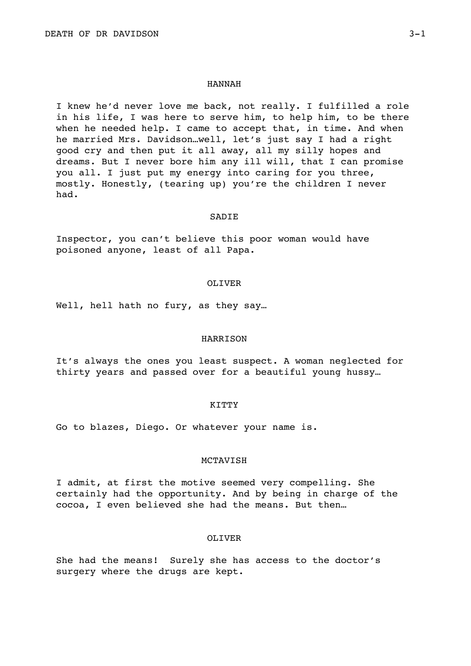### HANNAH

I knew he'd never love me back, not really. I fulfilled a role in his life, I was here to serve him, to help him, to be there when he needed help. I came to accept that, in time. And when he married Mrs. Davidson…well, let's just say I had a right good cry and then put it all away, all my silly hopes and dreams. But I never bore him any ill will, that I can promise you all. I just put my energy into caring for you three, mostly. Honestly, (tearing up) you're the children I never had.

### **SADIE**

Inspector, you can't believe this poor woman would have poisoned anyone, least of all Papa.

### OLIVER

Well, hell hath no fury, as they say...

## HARRISON

It's always the ones you least suspect. A woman neglected for thirty years and passed over for a beautiful young hussy…

### KITTY

Go to blazes, Diego. Or whatever your name is.

### **MCTAVISH**

I admit, at first the motive seemed very compelling. She certainly had the opportunity. And by being in charge of the cocoa, I even believed she had the means. But then…

## OLIVER

She had the means! Surely she has access to the doctor's surgery where the drugs are kept.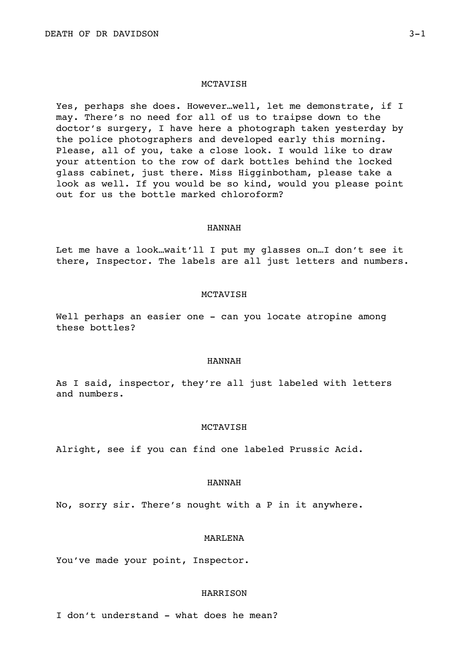Yes, perhaps she does. However…well, let me demonstrate, if I may. There's no need for all of us to traipse down to the doctor's surgery, I have here a photograph taken yesterday by the police photographers and developed early this morning. Please, all of you, take a close look. I would like to draw your attention to the row of dark bottles behind the locked glass cabinet, just there. Miss Higginbotham, please take a look as well. If you would be so kind, would you please point out for us the bottle marked chloroform?

### HANNAH

Let me have a look…wait'll I put my glasses on…I don't see it there, Inspector. The labels are all just letters and numbers.

### MCTAVISH

Well perhaps an easier one - can you locate atropine among these bottles?

# HANNAH

As I said, inspector, they're all just labeled with letters and numbers.

## **MCTAVISH**

Alright, see if you can find one labeled Prussic Acid.

# HANNAH

No, sorry sir. There's nought with a P in it anywhere.

### MARLENA

You've made your point, Inspector.

## **HARRISON**

I don't understand - what does he mean?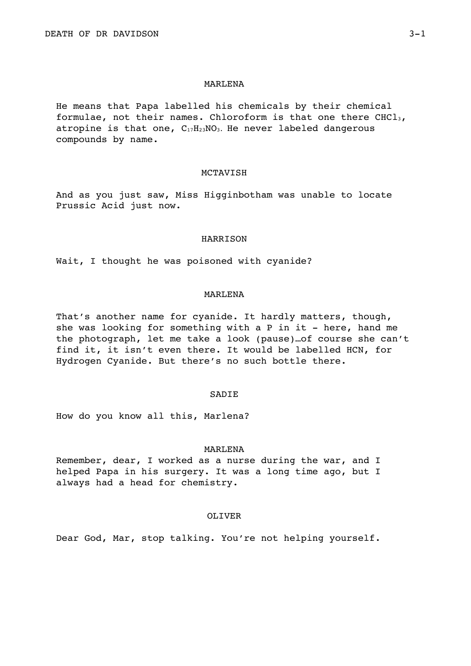### MARLENA

He means that Papa labelled his chemicals by their chemical formulae, not their names. Chloroform is that one there  $CHCl<sub>3</sub>$ , atropine is that one,  $C_{17}H_{23}NO_3$ . He never labeled dangerous compounds by name.

## MCTAVISH

And as you just saw, Miss Higginbotham was unable to locate Prussic Acid just now.

### HARRISON

Wait, I thought he was poisoned with cyanide?

# MARLENA

That's another name for cyanide. It hardly matters, though, she was looking for something with a P in it - here, hand me the photograph, let me take a look (pause)…of course she can't find it, it isn't even there. It would be labelled HCN, for Hydrogen Cyanide. But there's no such bottle there.

# **SADIE**

How do you know all this, Marlena?

### MARLENA

Remember, dear, I worked as a nurse during the war, and I helped Papa in his surgery. It was a long time ago, but I always had a head for chemistry.

# OLIVER

Dear God, Mar, stop talking. You're not helping yourself.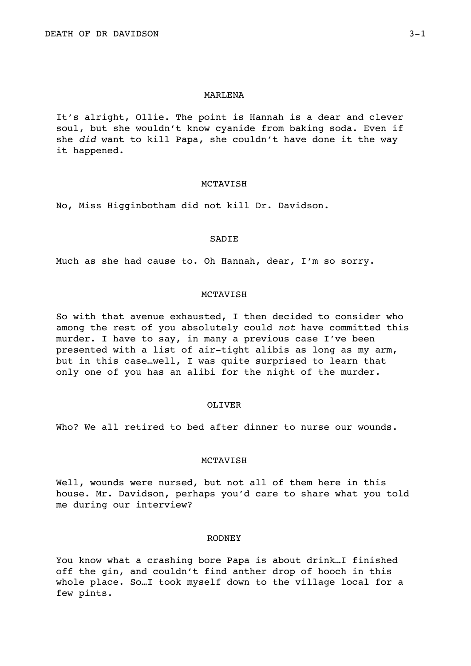### MARLENA

It's alright, Ollie. The point is Hannah is a dear and clever soul, but she wouldn't know cyanide from baking soda. Even if she *did* want to kill Papa, she couldn't have done it the way it happened.

### MCTAVISH

No, Miss Higginbotham did not kill Dr. Davidson.

### SADIE

Much as she had cause to. Oh Hannah, dear, I'm so sorry.

# MCTAVISH

So with that avenue exhausted, I then decided to consider who among the rest of you absolutely could *not* have committed this murder. I have to say, in many a previous case I've been presented with a list of air-tight alibis as long as my arm, but in this case…well, I was quite surprised to learn that only one of you has an alibi for the night of the murder.

### OLIVER

Who? We all retired to bed after dinner to nurse our wounds.

### **MCTAVISH**

Well, wounds were nursed, but not all of them here in this house. Mr. Davidson, perhaps you'd care to share what you told me during our interview?

## RODNEY

You know what a crashing bore Papa is about drink…I finished off the gin, and couldn't find anther drop of hooch in this whole place. So…I took myself down to the village local for a few pints.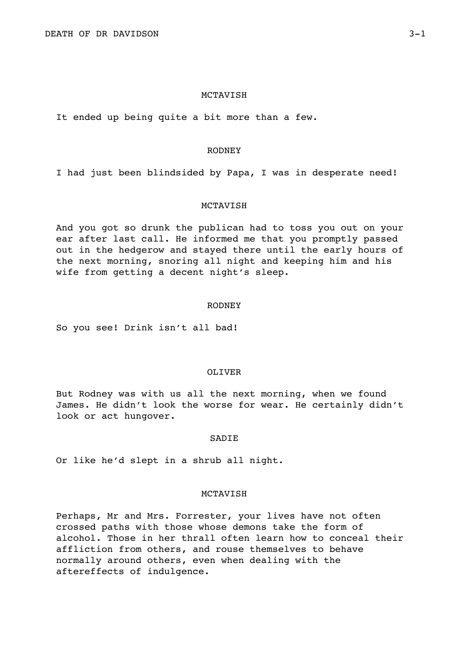It ended up being quite a bit more than a few.

## RODNEY

I had just been blindsided by Papa, I was in desperate need!

## MCTAVISH

And you got so drunk the publican had to toss you out on your ear after last call. He informed me that you promptly passed out in the hedgerow and stayed there until the early hours of the next morning, snoring all night and keeping him and his wife from getting a decent night's sleep.

### RODNEY

So you see! Drink isn't all bad!

## OLIVER

But Rodney was with us all the next morning, when we found James. He didn't look the worse for wear. He certainly didn't look or act hungover.

## **SADIE**

Or like he'd slept in a shrub all night.

## **MCTAVISH**

Perhaps, Mr and Mrs. Forrester, your lives have not often crossed paths with those whose demons take the form of alcohol. Those in her thrall often learn how to conceal their affliction from others, and rouse themselves to behave normally around others, even when dealing with the aftereffects of indulgence.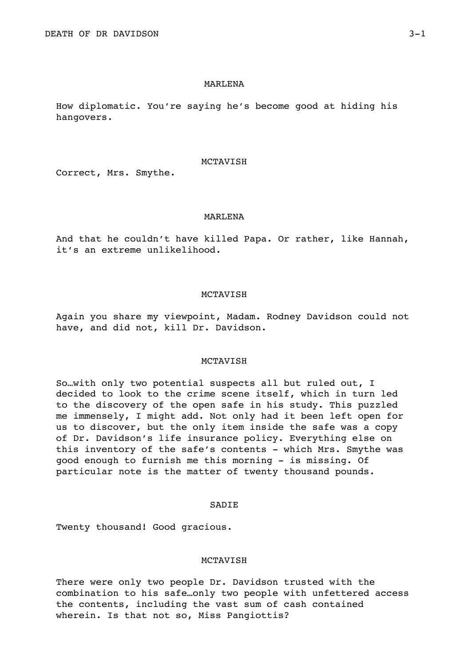### MARLENA

How diplomatic. You're saying he's become good at hiding his hangovers.

### MCTAVISH

Correct, Mrs. Smythe.

## MARLENA

And that he couldn't have killed Papa. Or rather, like Hannah, it's an extreme unlikelihood.

# MCTAVISH

Again you share my viewpoint, Madam. Rodney Davidson could not have, and did not, kill Dr. Davidson.

# **MCTAVISH**

So…with only two potential suspects all but ruled out, I decided to look to the crime scene itself, which in turn led to the discovery of the open safe in his study. This puzzled me immensely, I might add. Not only had it been left open for us to discover, but the only item inside the safe was a copy of Dr. Davidson's life insurance policy. Everything else on this inventory of the safe's contents - which Mrs. Smythe was good enough to furnish me this morning - is missing. Of particular note is the matter of twenty thousand pounds.

# SADIE

Twenty thousand! Good gracious.

# **MCTAVISH**

There were only two people Dr. Davidson trusted with the combination to his safe…only two people with unfettered access the contents, including the vast sum of cash contained wherein. Is that not so, Miss Pangiottis?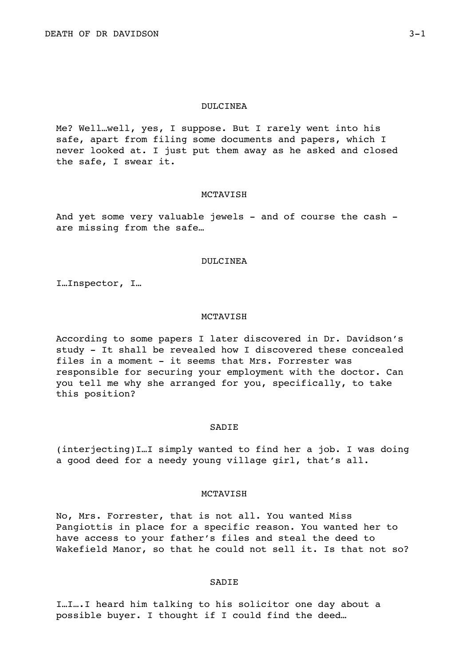### DULCINEA

Me? Well…well, yes, I suppose. But I rarely went into his safe, apart from filing some documents and papers, which I never looked at. I just put them away as he asked and closed the safe, I swear it.

### MCTAVISH

And yet some very valuable jewels - and of course the cash are missing from the safe…

## DULCINEA

I…Inspector, I…

## MCTAVISH

According to some papers I later discovered in Dr. Davidson's study - It shall be revealed how I discovered these concealed files in a moment - it seems that Mrs. Forrester was responsible for securing your employment with the doctor. Can you tell me why she arranged for you, specifically, to take this position?

### **SADIE**

(interjecting)I…I simply wanted to find her a job. I was doing a good deed for a needy young village girl, that's all.

# **MCTAVISH**

No, Mrs. Forrester, that is not all. You wanted Miss Pangiottis in place for a specific reason. You wanted her to have access to your father's files and steal the deed to Wakefield Manor, so that he could not sell it. Is that not so?

## SADIE

I…I….I heard him talking to his solicitor one day about a possible buyer. I thought if I could find the deed…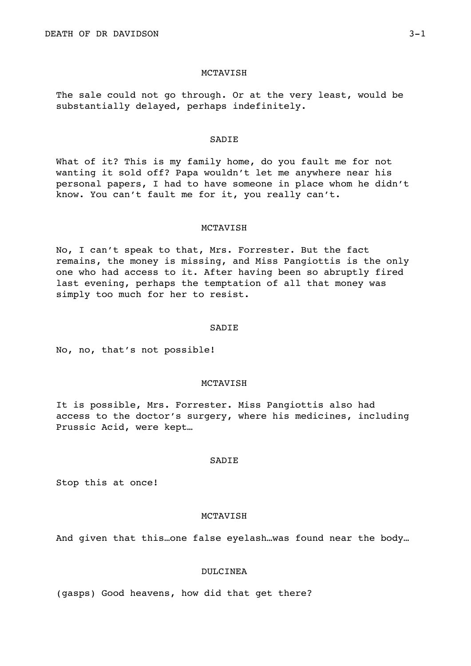The sale could not go through. Or at the very least, would be substantially delayed, perhaps indefinitely.

#### SADIE

What of it? This is my family home, do you fault me for not wanting it sold off? Papa wouldn't let me anywhere near his personal papers, I had to have someone in place whom he didn't know. You can't fault me for it, you really can't.

### MCTAVISH

No, I can't speak to that, Mrs. Forrester. But the fact remains, the money is missing, and Miss Pangiottis is the only one who had access to it. After having been so abruptly fired last evening, perhaps the temptation of all that money was simply too much for her to resist.

### SADIE

No, no, that's not possible!

### MCTAVISH

It is possible, Mrs. Forrester. Miss Pangiottis also had access to the doctor's surgery, where his medicines, including Prussic Acid, were kept…

### **SADIE**

Stop this at once!

# MCTAVISH

And given that this…one false eyelash…was found near the body…

### DULCINEA

(gasps) Good heavens, how did that get there?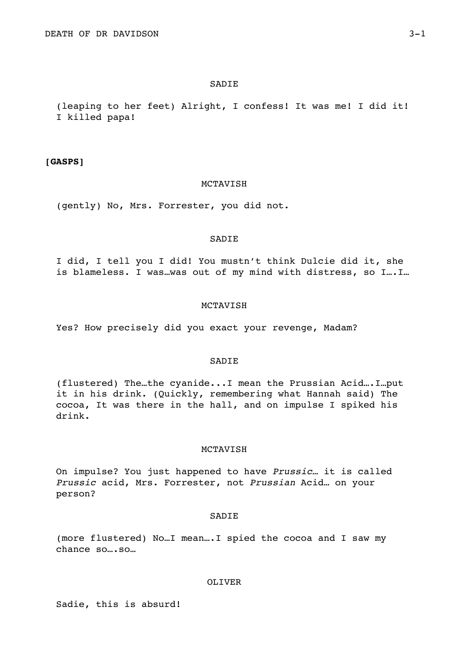### **SADIE**

(leaping to her feet) Alright, I confess! It was me! I did it! I killed papa!

# **[GASPS]**

## MCTAVISH

(gently) No, Mrs. Forrester, you did not.

### SADIE

I did, I tell you I did! You mustn't think Dulcie did it, she is blameless. I was…was out of my mind with distress, so I….I…

### MCTAVISH

Yes? How precisely did you exact your revenge, Madam?

# SADIE

(flustered) The…the cyanide...I mean the Prussian Acid….I…put it in his drink. (Quickly, remembering what Hannah said) The cocoa, It was there in the hall, and on impulse I spiked his drink.

## MCTAVISH

On impulse? You just happened to have *Prussic…* it is called *Prussic* acid, Mrs. Forrester, not *Prussian* Acid… on your person?

# SADIE

(more flustered) No…I mean….I spied the cocoa and I saw my chance so….so…

### OLIVER

Sadie, this is absurd!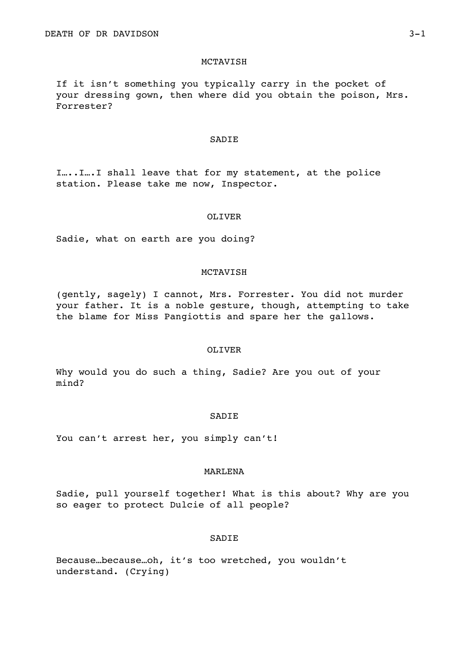If it isn't something you typically carry in the pocket of your dressing gown, then where did you obtain the poison, Mrs. Forrester?

### SADIE

I…..I….I shall leave that for my statement, at the police station. Please take me now, Inspector.

### OLIVER

Sadie, what on earth are you doing?

# MCTAVISH

(gently, sagely) I cannot, Mrs. Forrester. You did not murder your father. It is a noble gesture, though, attempting to take the blame for Miss Pangiottis and spare her the gallows.

# OLIVER

Why would you do such a thing, Sadie? Are you out of your mind?

# SADIE

You can't arrest her, you simply can't!

# MARLENA

Sadie, pull yourself together! What is this about? Why are you so eager to protect Dulcie of all people?

### SADIE

Because…because…oh, it's too wretched, you wouldn't understand. (Crying)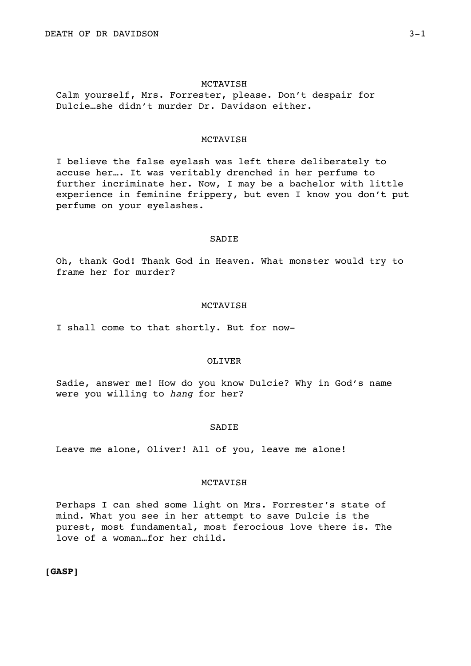Calm yourself, Mrs. Forrester, please. Don't despair for Dulcie…she didn't murder Dr. Davidson either.

### MCTAVISH

I believe the false eyelash was left there deliberately to accuse her…. It was veritably drenched in her perfume to further incriminate her. Now, I may be a bachelor with little experience in feminine frippery, but even I know you don't put perfume on your eyelashes.

### SADIE

Oh, thank God! Thank God in Heaven. What monster would try to frame her for murder?

### MCTAVISH

I shall come to that shortly. But for now-

# OLIVER

Sadie, answer me! How do you know Dulcie? Why in God's name were you willing to *hang* for her?

### **SADIE**

Leave me alone, Oliver! All of you, leave me alone!

# MCTAVISH

Perhaps I can shed some light on Mrs. Forrester's state of mind. What you see in her attempt to save Dulcie is the purest, most fundamental, most ferocious love there is. The love of a woman…for her child.

# **[GASP]**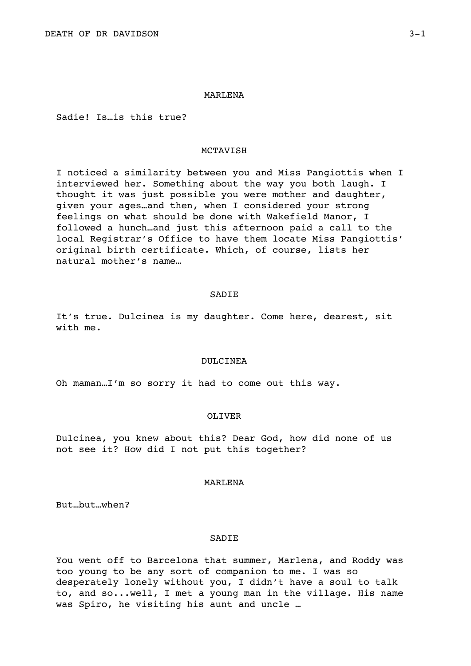### MARLENA

Sadie! Is…is this true?

# MCTAVISH

I noticed a similarity between you and Miss Pangiottis when I interviewed her. Something about the way you both laugh. I thought it was just possible you were mother and daughter, given your ages…and then, when I considered your strong feelings on what should be done with Wakefield Manor, I followed a hunch…and just this afternoon paid a call to the local Registrar's Office to have them locate Miss Pangiottis' original birth certificate. Which, of course, lists her natural mother's name…

### SADIE

It's true. Dulcinea is my daughter. Come here, dearest, sit with me.

### DULCINEA

Oh maman…I'm so sorry it had to come out this way.

### OLIVER

Dulcinea, you knew about this? Dear God, how did none of us not see it? How did I not put this together?

### MARLENA

But…but…when?

### SADIE

You went off to Barcelona that summer, Marlena, and Roddy was too young to be any sort of companion to me. I was so desperately lonely without you, I didn't have a soul to talk to, and so...well, I met a young man in the village. His name was Spiro, he visiting his aunt and uncle …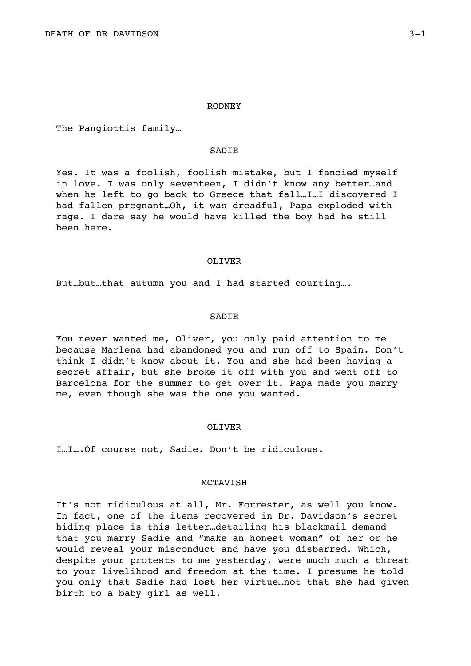### RODNEY

The Pangiottis family…

# SADIE

Yes. It was a foolish, foolish mistake, but I fancied myself in love. I was only seventeen, I didn't know any better…and when he left to go back to Greece that fall…I…I discovered I had fallen pregnant…Oh, it was dreadful, Papa exploded with rage. I dare say he would have killed the boy had he still been here.

### OLIVER

But…but…that autumn you and I had started courting….

## SADIE

You never wanted me, Oliver, you only paid attention to me because Marlena had abandoned you and run off to Spain. Don't think I didn't know about it. You and she had been having a secret affair, but she broke it off with you and went off to Barcelona for the summer to get over it. Papa made you marry me, even though she was the one you wanted.

### OLIVER

I…I….Of course not, Sadie. Don't be ridiculous.

# MCTAVISH

It's not ridiculous at all, Mr. Forrester, as well you know. In fact, one of the items recovered in Dr. Davidson's secret hiding place is this letter…detailing his blackmail demand that you marry Sadie and "make an honest woman" of her or he would reveal your misconduct and have you disbarred. Which, despite your protests to me yesterday, were much much a threat to your livelihood and freedom at the time. I presume he told you only that Sadie had lost her virtue…not that she had given birth to a baby girl as well.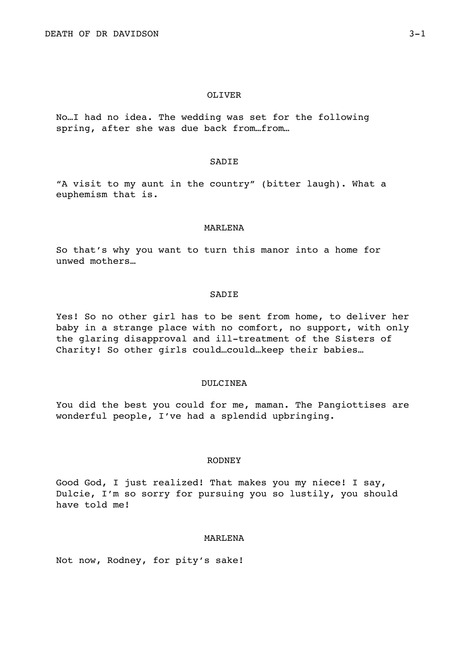### OLIVER

No…I had no idea. The wedding was set for the following spring, after she was due back from…from…

### SADIE

"A visit to my aunt in the country" (bitter laugh). What a euphemism that is.

### MARLENA

So that's why you want to turn this manor into a home for unwed mothers…

### SADIE

Yes! So no other girl has to be sent from home, to deliver her baby in a strange place with no comfort, no support, with only the glaring disapproval and ill-treatment of the Sisters of Charity! So other girls could…could…keep their babies…

### DULCINEA

You did the best you could for me, maman. The Pangiottises are wonderful people, I've had a splendid upbringing.

### RODNEY

Good God, I just realized! That makes you my niece! I say, Dulcie, I'm so sorry for pursuing you so lustily, you should have told me!

### MARLENA

Not now, Rodney, for pity's sake!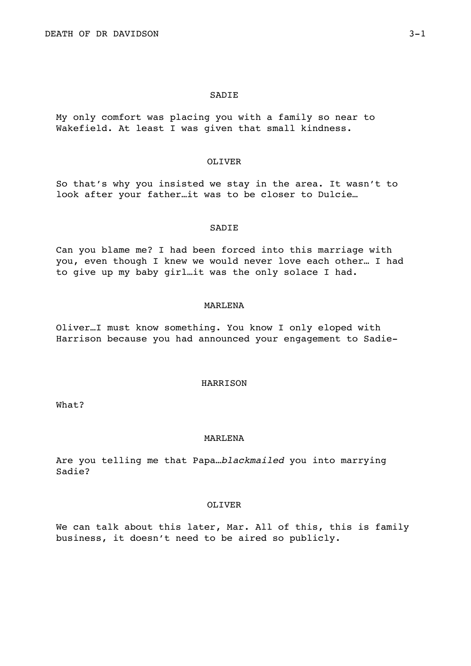## SADIE

My only comfort was placing you with a family so near to Wakefield. At least I was given that small kindness.

## OLIVER

So that's why you insisted we stay in the area. It wasn't to look after your father…it was to be closer to Dulcie…

### SADIE

Can you blame me? I had been forced into this marriage with you, even though I knew we would never love each other… I had to give up my baby girl…it was the only solace I had.

### MARLENA

Oliver…I must know something. You know I only eloped with Harrison because you had announced your engagement to Sadie-

### HARRISON

What?

# MARLENA

Are you telling me that Papa…*blackmailed* you into marrying Sadie?

## OLIVER

We can talk about this later, Mar. All of this, this is family business, it doesn't need to be aired so publicly.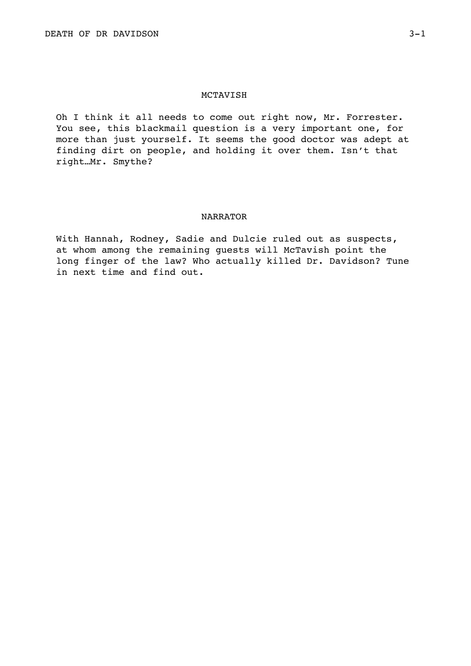Oh I think it all needs to come out right now, Mr. Forrester. You see, this blackmail question is a very important one, for more than just yourself. It seems the good doctor was adept at finding dirt on people, and holding it over them. Isn't that right…Mr. Smythe?

# NARRATOR

With Hannah, Rodney, Sadie and Dulcie ruled out as suspects, at whom among the remaining guests will McTavish point the long finger of the law? Who actually killed Dr. Davidson? Tune in next time and find out.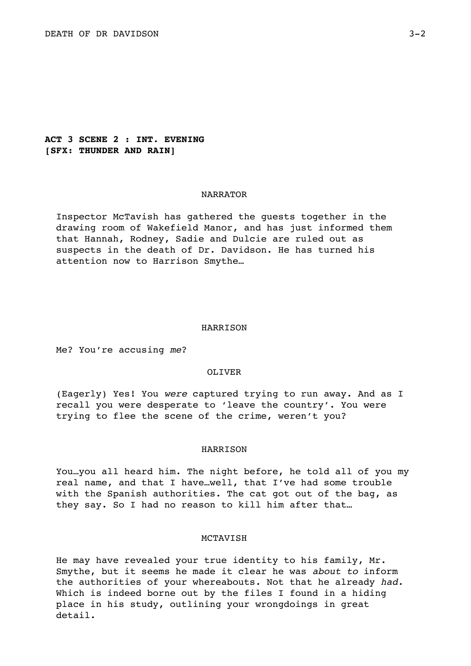# **ACT 3 SCENE 2 : INT. EVENING [SFX: THUNDER AND RAIN]**

## NARRATOR

Inspector McTavish has gathered the guests together in the drawing room of Wakefield Manor, and has just informed them that Hannah, Rodney, Sadie and Dulcie are ruled out as suspects in the death of Dr. Davidson. He has turned his attention now to Harrison Smythe…

### HARRISON

Me? You're accusing *me*?

## OLIVER

(Eagerly) Yes! You *were* captured trying to run away. And as I recall you were desperate to 'leave the country'. You were trying to flee the scene of the crime, weren't you?

# HARRISON

You…you all heard him. The night before, he told all of you my real name, and that I have…well, that I've had some trouble with the Spanish authorities. The cat got out of the bag, as they say. So I had no reason to kill him after that…

## MCTAVISH

He may have revealed your true identity to his family, Mr. Smythe, but it seems he made it clear he was *about to* inform the authorities of your whereabouts. Not that he already *had.* Which is indeed borne out by the files I found in a hiding place in his study, outlining your wrongdoings in great detail.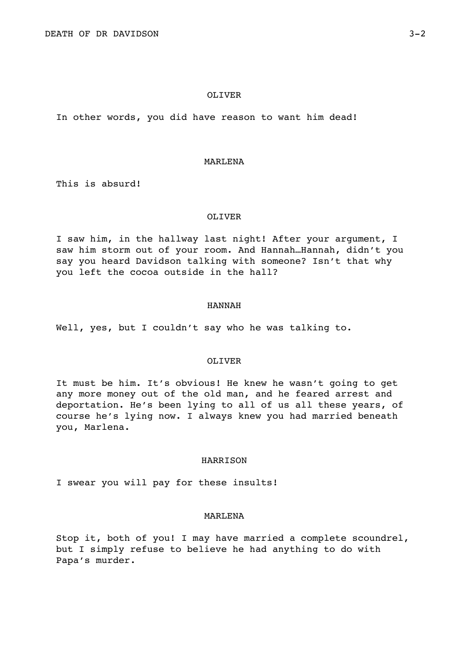## OLIVER

In other words, you did have reason to want him dead!

### MARLENA

This is absurd!

### OLIVER

I saw him, in the hallway last night! After your argument, I saw him storm out of your room. And Hannah…Hannah, didn't you say you heard Davidson talking with someone? Isn't that why you left the cocoa outside in the hall?

### HANNAH

Well, yes, but I couldn't say who he was talking to.

# OLIVER

It must be him. It's obvious! He knew he wasn't going to get any more money out of the old man, and he feared arrest and deportation. He's been lying to all of us all these years, of course he's lying now. I always knew you had married beneath you, Marlena.

### **HARRISON**

I swear you will pay for these insults!

# MARLENA

Stop it, both of you! I may have married a complete scoundrel, but I simply refuse to believe he had anything to do with Papa's murder.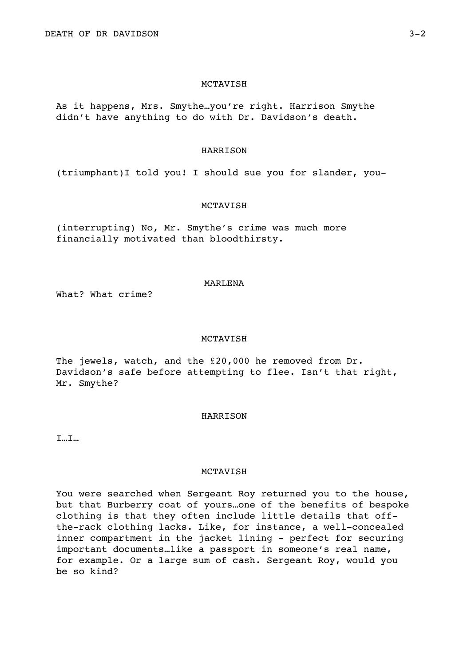As it happens, Mrs. Smythe…you're right. Harrison Smythe didn't have anything to do with Dr. Davidson's death.

# HARRISON

(triumphant)I told you! I should sue you for slander, you-

# MCTAVISH

(interrupting) No, Mr. Smythe's crime was much more financially motivated than bloodthirsty.

## MARLENA

What? What crime?

# MCTAVISH

The jewels, watch, and the £20,000 he removed from Dr. Davidson's safe before attempting to flee. Isn't that right, Mr. Smythe?

## HARRISON

I…I…

# MCTAVISH

You were searched when Sergeant Roy returned you to the house, but that Burberry coat of yours…one of the benefits of bespoke clothing is that they often include little details that offthe-rack clothing lacks. Like, for instance, a well-concealed inner compartment in the jacket lining - perfect for securing important documents…like a passport in someone's real name, for example. Or a large sum of cash. Sergeant Roy, would you be so kind?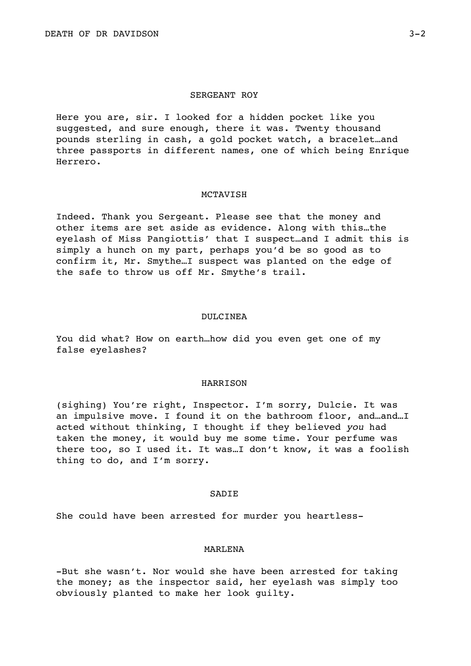## SERGEANT ROY

Here you are, sir. I looked for a hidden pocket like you suggested, and sure enough, there it was. Twenty thousand pounds sterling in cash, a gold pocket watch, a bracelet…and three passports in different names, one of which being Enrique Herrero.

### MCTAVISH

Indeed. Thank you Sergeant. Please see that the money and other items are set aside as evidence. Along with this…the eyelash of Miss Pangiottis' that I suspect…and I admit this is simply a hunch on my part, perhaps you'd be so good as to confirm it, Mr. Smythe…I suspect was planted on the edge of the safe to throw us off Mr. Smythe's trail.

## DULCINEA

You did what? How on earth…how did you even get one of my false eyelashes?

### HARRISON

(sighing) You're right, Inspector. I'm sorry, Dulcie. It was an impulsive move. I found it on the bathroom floor, and…and…I acted without thinking, I thought if they believed *you* had taken the money, it would buy me some time. Your perfume was there too, so I used it. It was…I don't know, it was a foolish thing to do, and I'm sorry.

## **SADIE**

She could have been arrested for murder you heartless-

# MARLENA

-But she wasn't. Nor would she have been arrested for taking the money; as the inspector said, her eyelash was simply too obviously planted to make her look guilty.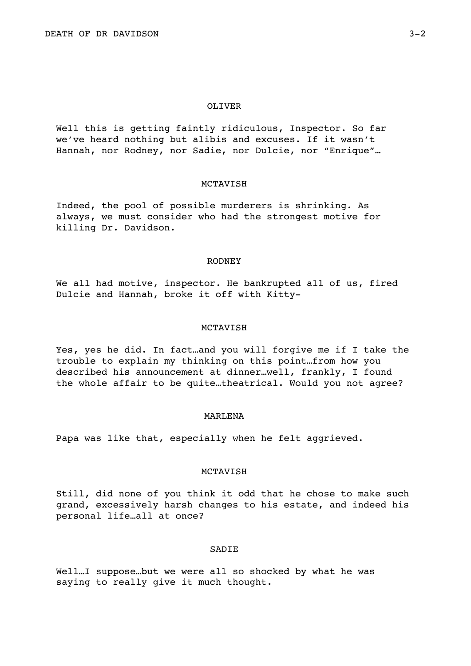### OLIVER

Well this is getting faintly ridiculous, Inspector. So far we've heard nothing but alibis and excuses. If it wasn't Hannah, nor Rodney, nor Sadie, nor Dulcie, nor "Enrique"…

### MCTAVISH

Indeed, the pool of possible murderers is shrinking. As always, we must consider who had the strongest motive for killing Dr. Davidson.

## RODNEY

We all had motive, inspector. He bankrupted all of us, fired Dulcie and Hannah, broke it off with Kitty-

### MCTAVISH

Yes, yes he did. In fact…and you will forgive me if I take the trouble to explain my thinking on this point…from how you described his announcement at dinner…well, frankly, I found the whole affair to be quite…theatrical. Would you not agree?

### MARLENA

Papa was like that, especially when he felt aggrieved.

# MCTAVISH

Still, did none of you think it odd that he chose to make such grand, excessively harsh changes to his estate, and indeed his personal life…all at once?

# SADIE

Well...I suppose...but we were all so shocked by what he was saying to really give it much thought.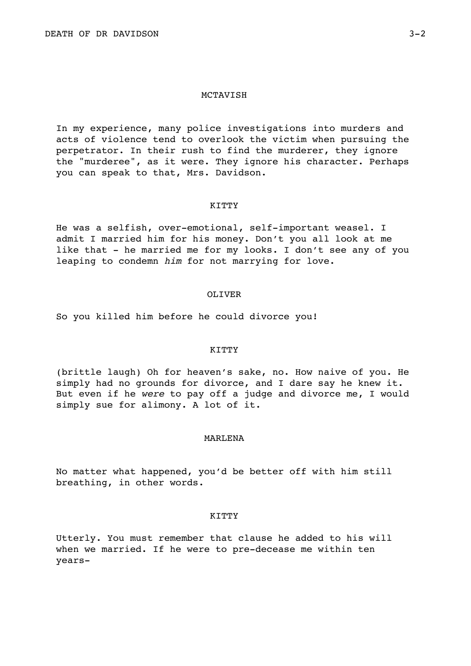In my experience, many police investigations into murders and acts of violence tend to overlook the victim when pursuing the perpetrator. In their rush to find the murderer, they ignore the "murderee", as it were. They ignore his character. Perhaps you can speak to that, Mrs. Davidson.

## KITTY

He was a selfish, over-emotional, self-important weasel. I admit I married him for his money. Don't you all look at me like that - he married me for my looks. I don't see any of you leaping to condemn *him* for not marrying for love.

# OLIVER

So you killed him before he could divorce you!

# KITTY

(brittle laugh) Oh for heaven's sake, no. How naive of you. He simply had no grounds for divorce, and I dare say he knew it. But even if he *were* to pay off a judge and divorce me, I would simply sue for alimony. A lot of it.

# MARLENA

No matter what happened, you'd be better off with him still breathing, in other words.

# KITTY

Utterly. You must remember that clause he added to his will when we married. If he were to pre-decease me within ten years-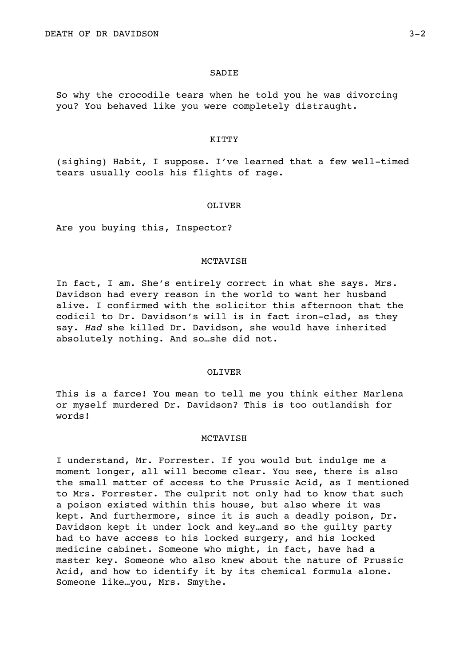### SADIE

So why the crocodile tears when he told you he was divorcing you? You behaved like you were completely distraught.

### KITTY

(sighing) Habit, I suppose. I've learned that a few well-timed tears usually cools his flights of rage.

## OLIVER

Are you buying this, Inspector?

# MCTAVISH

In fact, I am. She's entirely correct in what she says. Mrs. Davidson had every reason in the world to want her husband alive. I confirmed with the solicitor this afternoon that the codicil to Dr. Davidson's will is in fact iron-clad, as they say. *Had* she killed Dr. Davidson, she would have inherited absolutely nothing. And so…she did not.

### OLIVER

This is a farce! You mean to tell me you think either Marlena or myself murdered Dr. Davidson? This is too outlandish for words!

## **MCTAVISH**

I understand, Mr. Forrester. If you would but indulge me a moment longer, all will become clear. You see, there is also the small matter of access to the Prussic Acid, as I mentioned to Mrs. Forrester. The culprit not only had to know that such a poison existed within this house, but also where it was kept. And furthermore, since it is such a deadly poison, Dr. Davidson kept it under lock and key…and so the guilty party had to have access to his locked surgery, and his locked medicine cabinet. Someone who might, in fact, have had a master key. Someone who also knew about the nature of Prussic Acid, and how to identify it by its chemical formula alone. Someone like…you, Mrs. Smythe.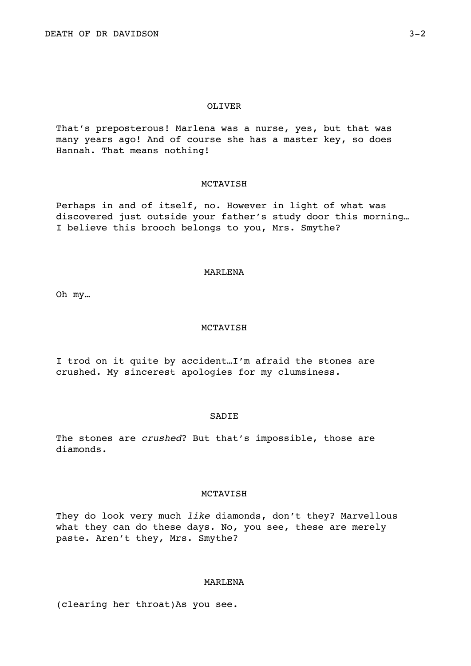# OLIVER

That's preposterous! Marlena was a nurse, yes, but that was many years ago! And of course she has a master key, so does Hannah. That means nothing!

# MCTAVISH

Perhaps in and of itself, no. However in light of what was discovered just outside your father's study door this morning… I believe this brooch belongs to you, Mrs. Smythe?

### MARLENA

Oh my…

# MCTAVISH

I trod on it quite by accident…I'm afraid the stones are crushed. My sincerest apologies for my clumsiness.

## SADIE

The stones are *crushed*? But that's impossible, those are diamonds.

# **MCTAVISH**

They do look very much *like* diamonds, don't they? Marvellous what they can do these days. No, you see, these are merely paste. Aren't they, Mrs. Smythe?

## MARLENA

(clearing her throat)As you see.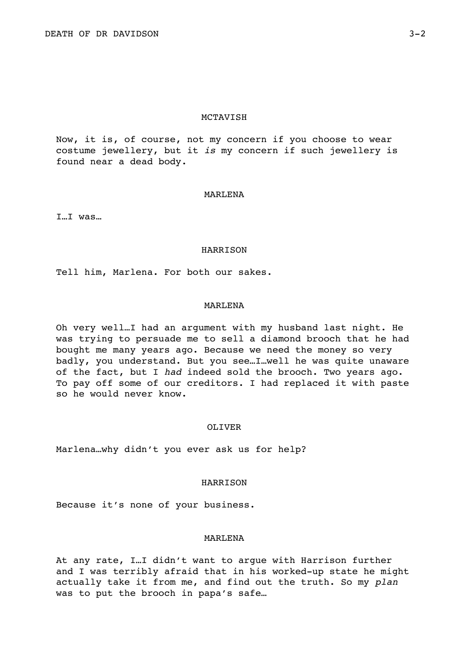Now, it is, of course, not my concern if you choose to wear costume jewellery, but it *is* my concern if such jewellery is found near a dead body.

### MARLENA

I…I was…

### HARRISON

Tell him, Marlena. For both our sakes.

## MARLENA

Oh very well…I had an argument with my husband last night. He was trying to persuade me to sell a diamond brooch that he had bought me many years ago. Because we need the money so very badly, you understand. But you see…I…well he was quite unaware of the fact, but I *had* indeed sold the brooch. Two years ago. To pay off some of our creditors. I had replaced it with paste so he would never know.

## OLIVER

Marlena…why didn't you ever ask us for help?

## HARRISON

Because it's none of your business.

## MARLENA

At any rate, I…I didn't want to argue with Harrison further and I was terribly afraid that in his worked-up state he might actually take it from me, and find out the truth. So my *plan* was to put the brooch in papa's safe…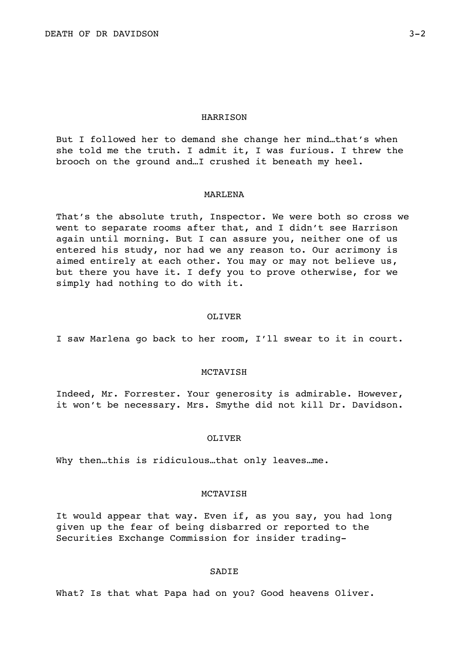### HARRISON

But I followed her to demand she change her mind…that's when she told me the truth. I admit it, I was furious. I threw the brooch on the ground and…I crushed it beneath my heel.

### MARLENA

That's the absolute truth, Inspector. We were both so cross we went to separate rooms after that, and I didn't see Harrison again until morning. But I can assure you, neither one of us entered his study, nor had we any reason to. Our acrimony is aimed entirely at each other. You may or may not believe us, but there you have it. I defy you to prove otherwise, for we simply had nothing to do with it.

### OLIVER

I saw Marlena go back to her room, I'll swear to it in court.

## MCTAVISH

Indeed, Mr. Forrester. Your generosity is admirable. However, it won't be necessary. Mrs. Smythe did not kill Dr. Davidson.

## OLIVER

Why then…this is ridiculous…that only leaves…me.

## **MCTAVISH**

It would appear that way. Even if, as you say, you had long given up the fear of being disbarred or reported to the Securities Exchange Commission for insider trading-

## SADIE

What? Is that what Papa had on you? Good heavens Oliver.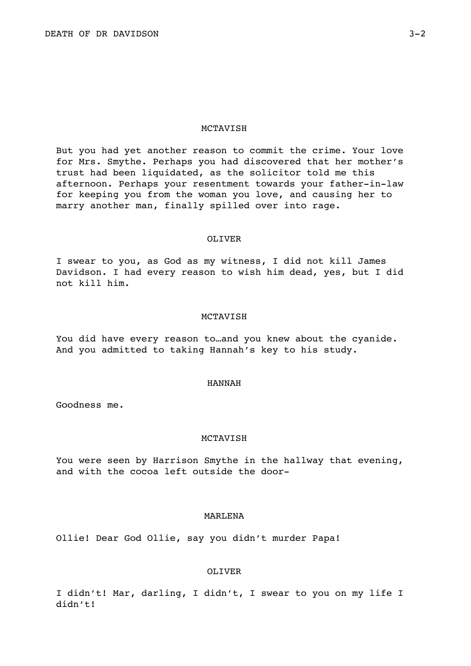But you had yet another reason to commit the crime. Your love for Mrs. Smythe. Perhaps you had discovered that her mother's trust had been liquidated, as the solicitor told me this afternoon. Perhaps your resentment towards your father-in-law for keeping you from the woman you love, and causing her to marry another man, finally spilled over into rage.

### OLIVER

I swear to you, as God as my witness, I did not kill James Davidson. I had every reason to wish him dead, yes, but I did not kill him.

## MCTAVISH

You did have every reason to…and you knew about the cyanide. And you admitted to taking Hannah's key to his study.

### HANNAH

Goodness me.

# **MCTAVISH**

You were seen by Harrison Smythe in the hallway that evening, and with the cocoa left outside the door-

# MARLENA

Ollie! Dear God Ollie, say you didn't murder Papa!

## OLIVER

I didn't! Mar, darling, I didn't, I swear to you on my life I didn't!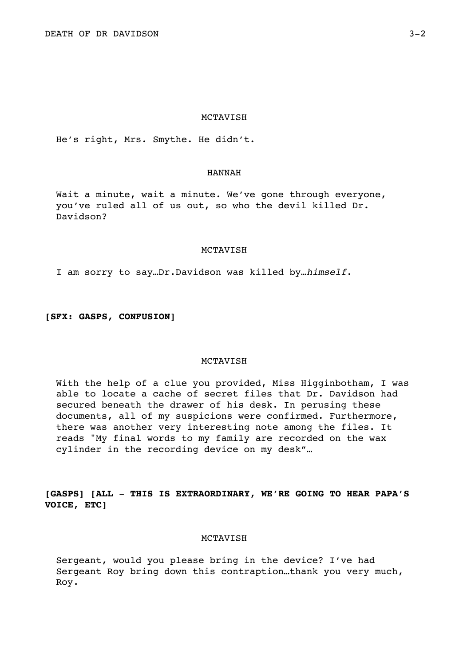He's right, Mrs. Smythe. He didn't.

## HANNAH

Wait a minute, wait a minute. We've gone through everyone, you've ruled all of us out, so who the devil killed Dr. Davidson?

### MCTAVISH

I am sorry to say…Dr.Davidson was killed by…*himself*.

**[SFX: GASPS, CONFUSION]** 

# **MCTAVISH**

With the help of a clue you provided, Miss Higginbotham, I was able to locate a cache of secret files that Dr. Davidson had secured beneath the drawer of his desk. In perusing these documents, all of my suspicions were confirmed. Furthermore, there was another very interesting note among the files. It reads "My final words to my family are recorded on the wax cylinder in the recording device on my desk"…

**[GASPS] [ALL - THIS IS EXTRAORDINARY, WE'RE GOING TO HEAR PAPA'S VOICE, ETC]** 

## MCTAVISH

Sergeant, would you please bring in the device? I've had Sergeant Roy bring down this contraption…thank you very much, Roy.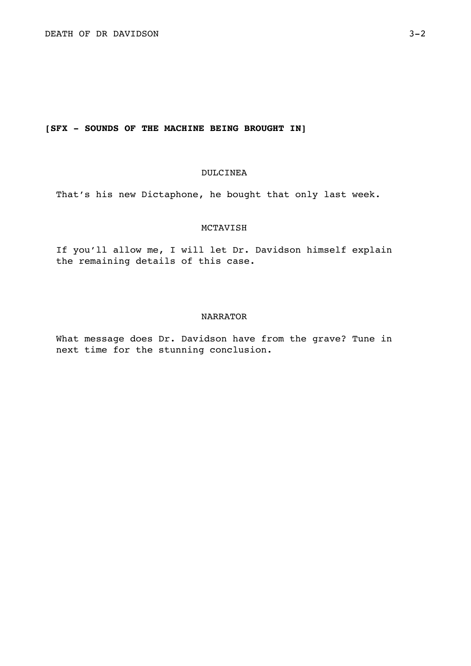# **[SFX - SOUNDS OF THE MACHINE BEING BROUGHT IN]**

# DULCINEA

That's his new Dictaphone, he bought that only last week.

## MCTAVISH

If you'll allow me, I will let Dr. Davidson himself explain the remaining details of this case.

## NARRATOR

What message does Dr. Davidson have from the grave? Tune in next time for the stunning conclusion.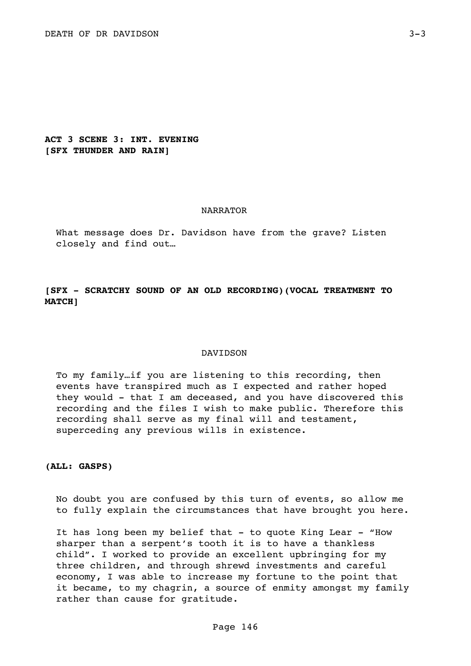**ACT 3 SCENE 3: INT. EVENING [SFX THUNDER AND RAIN]** 

#### NARRATOR

What message does Dr. Davidson have from the grave? Listen closely and find out…

# **[SFX - SCRATCHY SOUND OF AN OLD RECORDING)(VOCAL TREATMENT TO MATCH]**

### DAVIDSON

To my family…if you are listening to this recording, then events have transpired much as I expected and rather hoped they would - that I am deceased, and you have discovered this recording and the files I wish to make public. Therefore this recording shall serve as my final will and testament, superceding any previous wills in existence.

**(ALL: GASPS)** 

No doubt you are confused by this turn of events, so allow me to fully explain the circumstances that have brought you here.

It has long been my belief that - to quote King Lear - "How sharper than a serpent's tooth it is to have a thankless child". I worked to provide an excellent upbringing for my three children, and through shrewd investments and careful economy, I was able to increase my fortune to the point that it became, to my chagrin, a source of enmity amongst my family rather than cause for gratitude.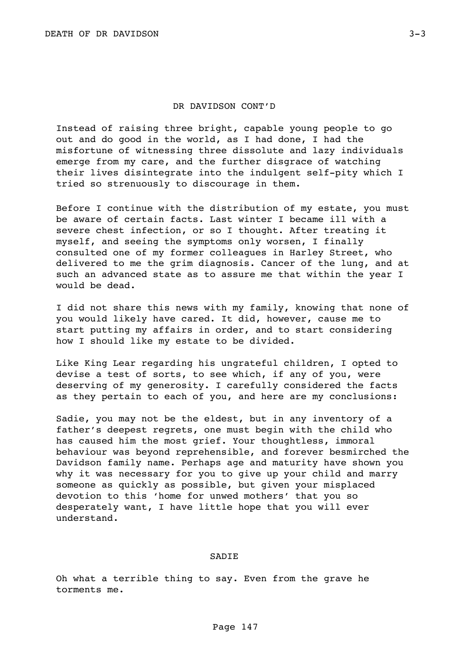Instead of raising three bright, capable young people to go out and do good in the world, as I had done, I had the misfortune of witnessing three dissolute and lazy individuals emerge from my care, and the further disgrace of watching their lives disintegrate into the indulgent self-pity which I tried so strenuously to discourage in them.

Before I continue with the distribution of my estate, you must be aware of certain facts. Last winter I became ill with a severe chest infection, or so I thought. After treating it myself, and seeing the symptoms only worsen, I finally consulted one of my former colleagues in Harley Street, who delivered to me the grim diagnosis. Cancer of the lung, and at such an advanced state as to assure me that within the year I would be dead.

I did not share this news with my family, knowing that none of you would likely have cared. It did, however, cause me to start putting my affairs in order, and to start considering how I should like my estate to be divided.

Like King Lear regarding his ungrateful children, I opted to devise a test of sorts, to see which, if any of you, were deserving of my generosity. I carefully considered the facts as they pertain to each of you, and here are my conclusions:

Sadie, you may not be the eldest, but in any inventory of a father's deepest regrets, one must begin with the child who has caused him the most grief. Your thoughtless, immoral behaviour was beyond reprehensible, and forever besmirched the Davidson family name. Perhaps age and maturity have shown you why it was necessary for you to give up your child and marry someone as quickly as possible, but given your misplaced devotion to this 'home for unwed mothers' that you so desperately want, I have little hope that you will ever understand.

### SADIE

Oh what a terrible thing to say. Even from the grave he torments me.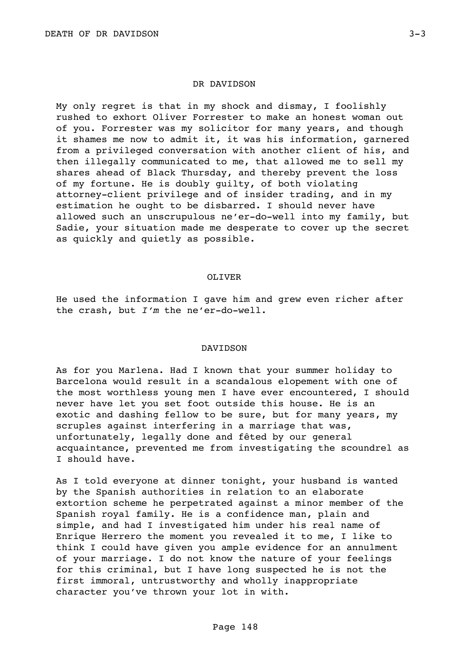### DR DAVIDSON

My only regret is that in my shock and dismay, I foolishly rushed to exhort Oliver Forrester to make an honest woman out of you. Forrester was my solicitor for many years, and though it shames me now to admit it, it was his information, garnered from a privileged conversation with another client of his, and then illegally communicated to me, that allowed me to sell my shares ahead of Black Thursday, and thereby prevent the loss of my fortune. He is doubly guilty, of both violating attorney-client privilege and of insider trading, and in my estimation he ought to be disbarred. I should never have allowed such an unscrupulous ne'er-do-well into my family, but Sadie, your situation made me desperate to cover up the secret as quickly and quietly as possible.

#### OLIVER

He used the information I gave him and grew even richer after the crash, but *I'm* the ne'er-do-well.

#### DAVIDSON

As for you Marlena. Had I known that your summer holiday to Barcelona would result in a scandalous elopement with one of the most worthless young men I have ever encountered, I should never have let you set foot outside this house. He is an exotic and dashing fellow to be sure, but for many years, my scruples against interfering in a marriage that was, unfortunately, legally done and fêted by our general acquaintance, prevented me from investigating the scoundrel as I should have.

As I told everyone at dinner tonight, your husband is wanted by the Spanish authorities in relation to an elaborate extortion scheme he perpetrated against a minor member of the Spanish royal family. He is a confidence man, plain and simple, and had I investigated him under his real name of Enrique Herrero the moment you revealed it to me, I like to think I could have given you ample evidence for an annulment of your marriage. I do not know the nature of your feelings for this criminal, but I have long suspected he is not the first immoral, untrustworthy and wholly inappropriate character you've thrown your lot in with.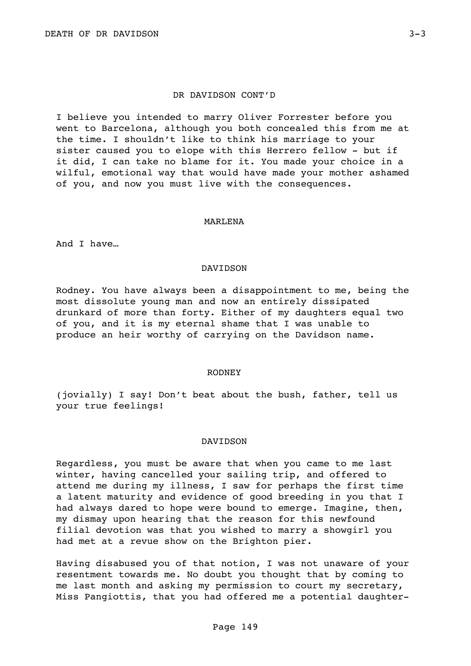I believe you intended to marry Oliver Forrester before you went to Barcelona, although you both concealed this from me at the time. I shouldn't like to think his marriage to your sister caused you to elope with this Herrero fellow - but if it did, I can take no blame for it. You made your choice in a wilful, emotional way that would have made your mother ashamed of you, and now you must live with the consequences.

### MARLENA

And I have…

#### DAVIDSON

Rodney. You have always been a disappointment to me, being the most dissolute young man and now an entirely dissipated drunkard of more than forty. Either of my daughters equal two of you, and it is my eternal shame that I was unable to produce an heir worthy of carrying on the Davidson name.

#### RODNEY

(jovially) I say! Don't beat about the bush, father, tell us your true feelings!

#### DAVIDSON

Regardless, you must be aware that when you came to me last winter, having cancelled your sailing trip, and offered to attend me during my illness, I saw for perhaps the first time a latent maturity and evidence of good breeding in you that I had always dared to hope were bound to emerge. Imagine, then, my dismay upon hearing that the reason for this newfound filial devotion was that you wished to marry a showgirl you had met at a revue show on the Brighton pier.

Having disabused you of that notion, I was not unaware of your resentment towards me. No doubt you thought that by coming to me last month and asking my permission to court my secretary, Miss Pangiottis, that you had offered me a potential daughter-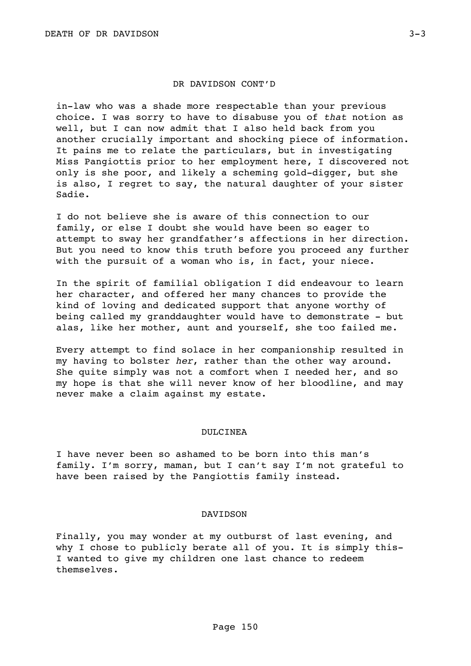## DR DAVIDSON CONT'D

in-law who was a shade more respectable than your previous choice. I was sorry to have to disabuse you of *that* notion as well, but I can now admit that I also held back from you another crucially important and shocking piece of information. It pains me to relate the particulars, but in investigating Miss Pangiottis prior to her employment here, I discovered not only is she poor, and likely a scheming gold-digger, but she is also, I regret to say, the natural daughter of your sister Sadie.

I do not believe she is aware of this connection to our family, or else I doubt she would have been so eager to attempt to sway her grandfather's affections in her direction. But you need to know this truth before you proceed any further with the pursuit of a woman who is, in fact, your niece.

In the spirit of familial obligation I did endeavour to learn her character, and offered her many chances to provide the kind of loving and dedicated support that anyone worthy of being called my granddaughter would have to demonstrate - but alas, like her mother, aunt and yourself, she too failed me.

Every attempt to find solace in her companionship resulted in my having to bolster *her*, rather than the other way around. She quite simply was not a comfort when I needed her, and so my hope is that she will never know of her bloodline, and may never make a claim against my estate.

### DULCINEA

I have never been so ashamed to be born into this man's family. I'm sorry, maman, but I can't say I'm not grateful to have been raised by the Pangiottis family instead.

### DAVIDSON

Finally, you may wonder at my outburst of last evening, and why I chose to publicly berate all of you. It is simply this-I wanted to give my children one last chance to redeem themselves.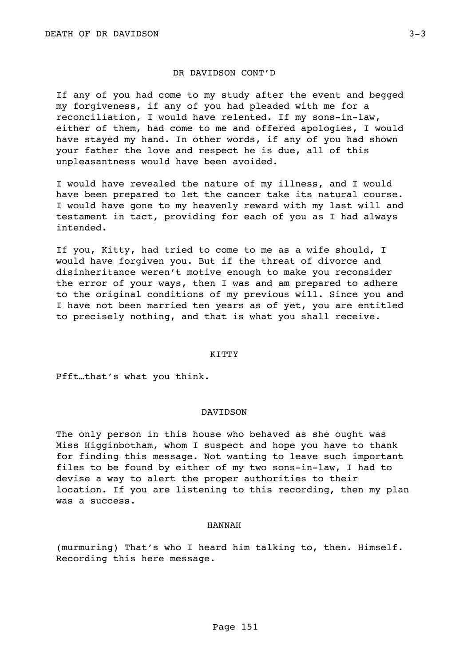### DR DAVIDSON CONT'D

If any of you had come to my study after the event and begged my forgiveness, if any of you had pleaded with me for a reconciliation, I would have relented. If my sons-in-law, either of them, had come to me and offered apologies, I would have stayed my hand. In other words, if any of you had shown your father the love and respect he is due, all of this unpleasantness would have been avoided.

I would have revealed the nature of my illness, and I would have been prepared to let the cancer take its natural course. I would have gone to my heavenly reward with my last will and testament in tact, providing for each of you as I had always intended.

If you, Kitty, had tried to come to me as a wife should, I would have forgiven you. But if the threat of divorce and disinheritance weren't motive enough to make you reconsider the error of your ways, then I was and am prepared to adhere to the original conditions of my previous will. Since you and I have not been married ten years as of yet, you are entitled to precisely nothing, and that is what you shall receive.

#### KITTY

Pfft…that's what you think.

## DAVIDSON

The only person in this house who behaved as she ought was Miss Higginbotham, whom I suspect and hope you have to thank for finding this message. Not wanting to leave such important files to be found by either of my two sons-in-law, I had to devise a way to alert the proper authorities to their location. If you are listening to this recording, then my plan was a success.

#### HANNAH

(murmuring) That's who I heard him talking to, then. Himself. Recording this here message.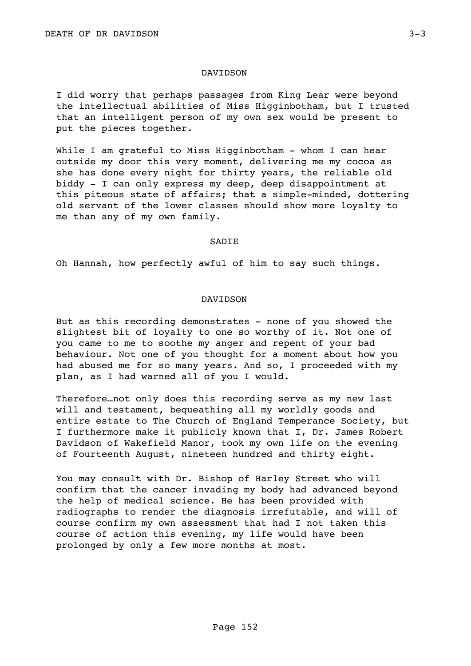## DAVIDSON

I did worry that perhaps passages from King Lear were beyond the intellectual abilities of Miss Higginbotham, but I trusted that an intelligent person of my own sex would be present to put the pieces together.

While I am grateful to Miss Higginbotham - whom I can hear outside my door this very moment, delivering me my cocoa as she has done every night for thirty years, the reliable old biddy - I can only express my deep, deep disappointment at this piteous state of affairs; that a simple-minded, dottering old servant of the lower classes should show more loyalty to me than any of my own family.

## **SADIE**

Oh Hannah, how perfectly awful of him to say such things.

## DAVIDSON

But as this recording demonstrates - none of you showed the slightest bit of loyalty to one so worthy of it. Not one of you came to me to soothe my anger and repent of your bad behaviour. Not one of you thought for a moment about how you had abused me for so many years. And so, I proceeded with my plan, as I had warned all of you I would.

Therefore…not only does this recording serve as my new last will and testament, bequeathing all my worldly goods and entire estate to The Church of England Temperance Society, but I furthermore make it publicly known that I, Dr. James Robert Davidson of Wakefield Manor, took my own life on the evening of Fourteenth August, nineteen hundred and thirty eight.

You may consult with Dr. Bishop of Harley Street who will confirm that the cancer invading my body had advanced beyond the help of medical science. He has been provided with radiographs to render the diagnosis irrefutable, and will of course confirm my own assessment that had I not taken this course of action this evening, my life would have been prolonged by only a few more months at most.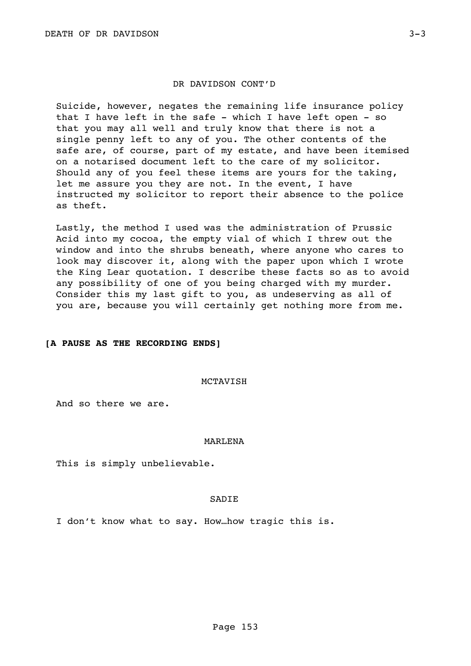## DR DAVIDSON CONT'D

Suicide, however, negates the remaining life insurance policy that I have left in the safe - which I have left open - so that you may all well and truly know that there is not a single penny left to any of you. The other contents of the safe are, of course, part of my estate, and have been itemised on a notarised document left to the care of my solicitor. Should any of you feel these items are yours for the taking, let me assure you they are not. In the event, I have instructed my solicitor to report their absence to the police as theft.

Lastly, the method I used was the administration of Prussic Acid into my cocoa, the empty vial of which I threw out the window and into the shrubs beneath, where anyone who cares to look may discover it, along with the paper upon which I wrote the King Lear quotation. I describe these facts so as to avoid any possibility of one of you being charged with my murder. Consider this my last gift to you, as undeserving as all of you are, because you will certainly get nothing more from me.

## **[A PAUSE AS THE RECORDING ENDS]**

#### MCTAVISH

And so there we are.

## MARLENA

This is simply unbelievable.

## SADIE

I don't know what to say. How…how tragic this is.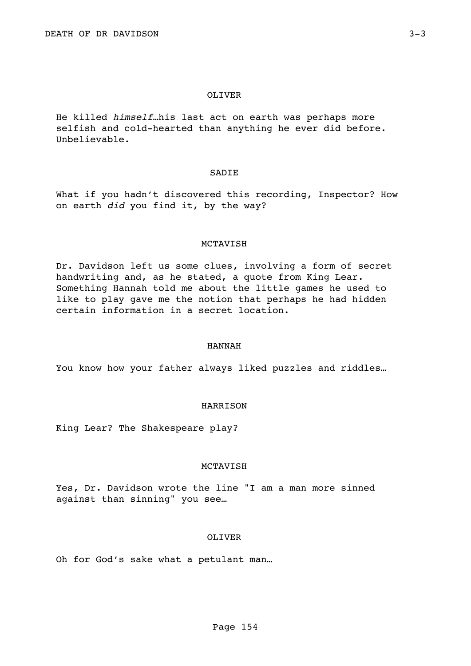### OLIVER

He killed *himself…*his last act on earth was perhaps more selfish and cold-hearted than anything he ever did before. Unbelievable.

## SADIE

What if you hadn't discovered this recording, Inspector? How on earth *did* you find it, by the way?

### MCTAVISH

Dr. Davidson left us some clues, involving a form of secret handwriting and, as he stated, a quote from King Lear. Something Hannah told me about the little games he used to like to play gave me the notion that perhaps he had hidden certain information in a secret location.

### HANNAH

You know how your father always liked puzzles and riddles...

### **HARRISON**

King Lear? The Shakespeare play?

### MCTAVISH

Yes, Dr. Davidson wrote the line "I am a man more sinned against than sinning" you see…

## OLIVER

Oh for God's sake what a petulant man…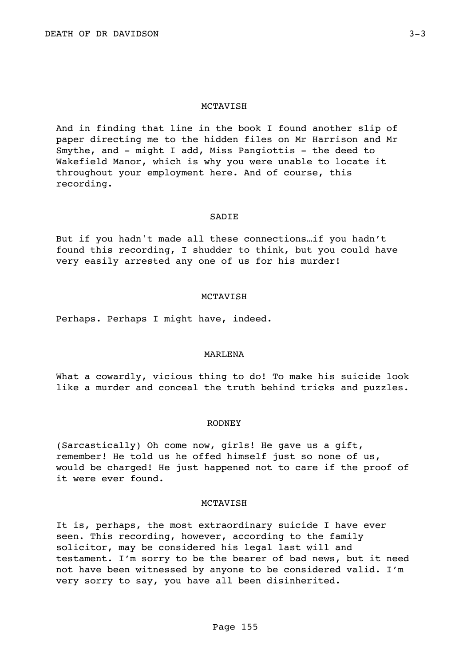## MCTAVISH

And in finding that line in the book I found another slip of paper directing me to the hidden files on Mr Harrison and Mr Smythe, and - might I add, Miss Pangiottis - the deed to Wakefield Manor, which is why you were unable to locate it throughout your employment here. And of course, this recording.

#### **SADIE**

But if you hadn't made all these connections…if you hadn't found this recording, I shudder to think, but you could have very easily arrested any one of us for his murder!

## MCTAVISH

Perhaps. Perhaps I might have, indeed.

## MARLENA

What a cowardly, vicious thing to do! To make his suicide look like a murder and conceal the truth behind tricks and puzzles.

### RODNEY

(Sarcastically) Oh come now, girls! He gave us a gift, remember! He told us he offed himself just so none of us, would be charged! He just happened not to care if the proof of it were ever found.

## MCTAVISH

It is, perhaps, the most extraordinary suicide I have ever seen. This recording, however, according to the family solicitor, may be considered his legal last will and testament. I'm sorry to be the bearer of bad news, but it need not have been witnessed by anyone to be considered valid. I'm very sorry to say, you have all been disinherited.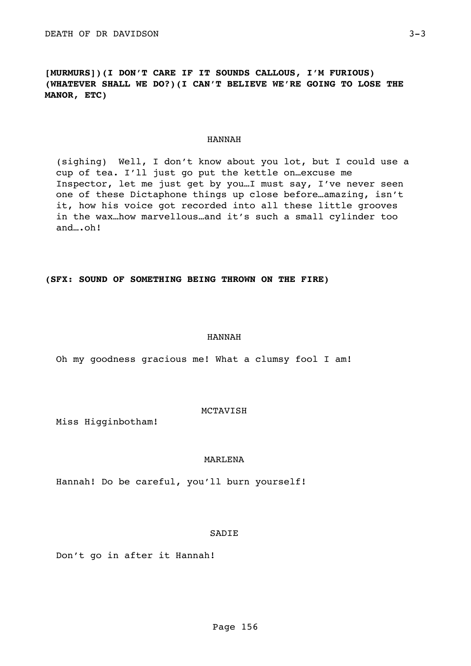**[MURMURS])(I DON'T CARE IF IT SOUNDS CALLOUS, I'M FURIOUS) (WHATEVER SHALL WE DO?)(I CAN'T BELIEVE WE'RE GOING TO LOSE THE MANOR, ETC)** 

## HANNAH

(sighing) Well, I don't know about you lot, but I could use a cup of tea. I'll just go put the kettle on…excuse me Inspector, let me just get by you…I must say, I've never seen one of these Dictaphone things up close before…amazing, isn't it, how his voice got recorded into all these little grooves in the wax…how marvellous…and it's such a small cylinder too and….oh!

**(SFX: SOUND OF SOMETHING BEING THROWN ON THE FIRE)** 

## HANNAH

Oh my goodness gracious me! What a clumsy fool I am!

MCTAVISH

Miss Higginbotham!

### MARLENA

Hannah! Do be careful, you'll burn yourself!

SADIE

Don't go in after it Hannah!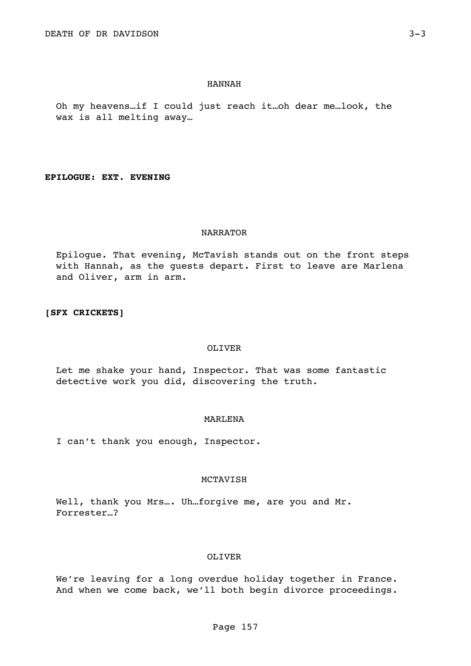## HANNAH

Oh my heavens…if I could just reach it…oh dear me…look, the wax is all melting away…

**EPILOGUE: EXT. EVENING** 

### NARRATOR

Epilogue. That evening, McTavish stands out on the front steps with Hannah, as the guests depart. First to leave are Marlena and Oliver, arm in arm.

## **[SFX CRICKETS]**

#### OLIVER

Let me shake your hand, Inspector. That was some fantastic detective work you did, discovering the truth.

### MARLENA

I can't thank you enough, Inspector.

### MCTAVISH

Well, thank you Mrs.... Uh...forgive me, are you and Mr. Forrester…?

## OLIVER

We're leaving for a long overdue holiday together in France. And when we come back, we'll both begin divorce proceedings.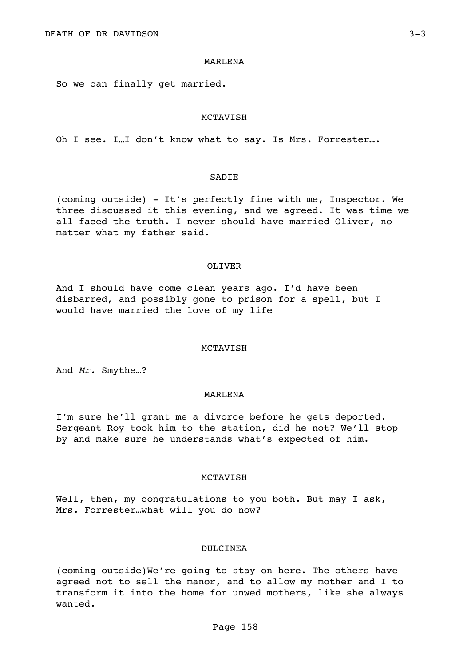### MARLENA

So we can finally get married.

### MCTAVISH

Oh I see. I…I don't know what to say. Is Mrs. Forrester….

### SADIE

(coming outside) - It's perfectly fine with me, Inspector. We three discussed it this evening, and we agreed. It was time we all faced the truth. I never should have married Oliver, no matter what my father said.

## OLIVER

And I should have come clean years ago. I'd have been disbarred, and possibly gone to prison for a spell, but I would have married the love of my life

#### MCTAVISH

And *Mr.* Smythe…?

#### MARLENA

I'm sure he'll grant me a divorce before he gets deported. Sergeant Roy took him to the station, did he not? We'll stop by and make sure he understands what's expected of him.

#### MCTAVISH

Well, then, my congratulations to you both. But may I ask, Mrs. Forrester…what will you do now?

### DULCINEA

(coming outside)We're going to stay on here. The others have agreed not to sell the manor, and to allow my mother and I to transform it into the home for unwed mothers, like she always wanted.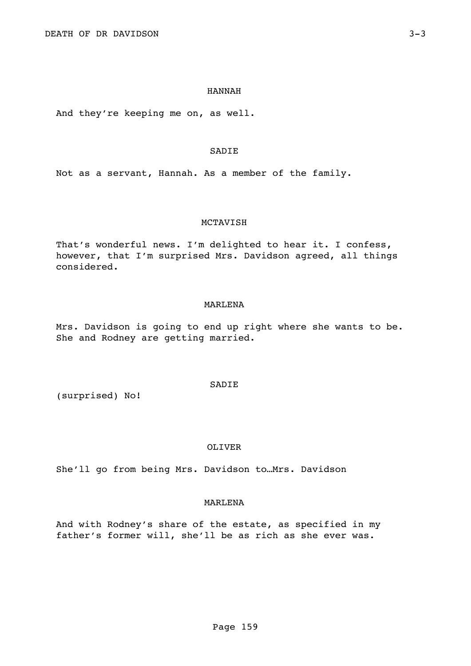### HANNAH

And they're keeping me on, as well.

# SADIE

Not as a servant, Hannah. As a member of the family.

## MCTAVISH

That's wonderful news. I'm delighted to hear it. I confess, however, that I'm surprised Mrs. Davidson agreed, all things considered.

## MARLENA

Mrs. Davidson is going to end up right where she wants to be. She and Rodney are getting married.

(surprised) No!

OLIVER

**SADIE** 

She'll go from being Mrs. Davidson to…Mrs. Davidson

## MARLENA

And with Rodney's share of the estate, as specified in my father's former will, she'll be as rich as she ever was.